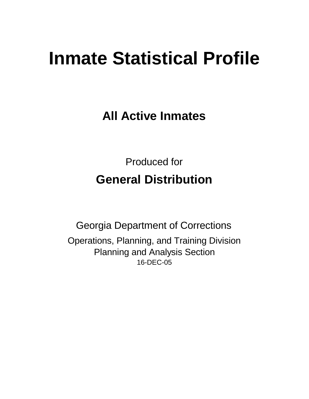# **Inmate Statistical Profile**

**All Active Inmates**

Produced for **General Distribution**

16-DEC-05 Georgia Department of Corrections Operations, Planning, and Training Division Planning and Analysis Section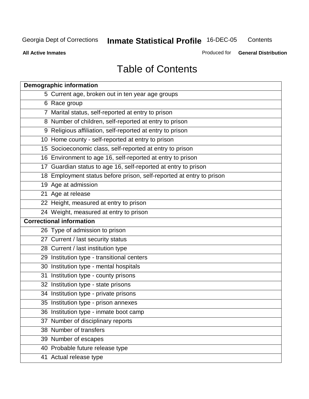**All Active Inmates**

Produced for **General Distribution**

# Table of Contents

| <b>Demographic information</b>                                       |
|----------------------------------------------------------------------|
| 5 Current age, broken out in ten year age groups                     |
| 6 Race group                                                         |
| 7 Marital status, self-reported at entry to prison                   |
| 8 Number of children, self-reported at entry to prison               |
| 9 Religious affiliation, self-reported at entry to prison            |
| 10 Home county - self-reported at entry to prison                    |
| 15 Socioeconomic class, self-reported at entry to prison             |
| 16 Environment to age 16, self-reported at entry to prison           |
| 17 Guardian status to age 16, self-reported at entry to prison       |
| 18 Employment status before prison, self-reported at entry to prison |
| 19 Age at admission                                                  |
| 21 Age at release                                                    |
| 22 Height, measured at entry to prison                               |
| 24 Weight, measured at entry to prison                               |
| <b>Correctional information</b>                                      |
| 26 Type of admission to prison                                       |
| 27 Current / last security status                                    |
| 28 Current / last institution type                                   |
| 29 Institution type - transitional centers                           |
| 30 Institution type - mental hospitals                               |
| 31 Institution type - county prisons                                 |
| 32 Institution type - state prisons                                  |
| 34 Institution type - private prisons                                |
| 35 Institution type - prison annexes                                 |
| 36 Institution type - inmate boot camp                               |
| 37 Number of disciplinary reports                                    |
| 38 Number of transfers                                               |
| 39 Number of escapes                                                 |
| 40 Probable future release type                                      |
| 41 Actual release type                                               |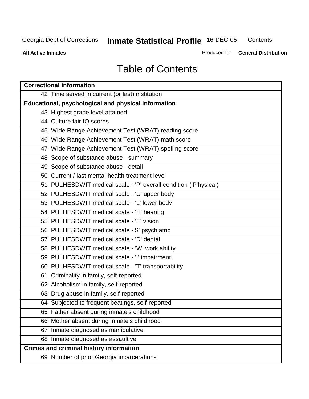**All Active Inmates**

Produced for **General Distribution**

## Table of Contents

| <b>Correctional information</b>                                  |
|------------------------------------------------------------------|
| 42 Time served in current (or last) institution                  |
| Educational, psychological and physical information              |
| 43 Highest grade level attained                                  |
| 44 Culture fair IQ scores                                        |
| 45 Wide Range Achievement Test (WRAT) reading score              |
| 46 Wide Range Achievement Test (WRAT) math score                 |
| 47 Wide Range Achievement Test (WRAT) spelling score             |
| 48 Scope of substance abuse - summary                            |
| 49 Scope of substance abuse - detail                             |
| 50 Current / last mental health treatment level                  |
| 51 PULHESDWIT medical scale - 'P' overall condition ('P'hysical) |
| 52 PULHESDWIT medical scale - 'U' upper body                     |
| 53 PULHESDWIT medical scale - 'L' lower body                     |
| 54 PULHESDWIT medical scale - 'H' hearing                        |
| 55 PULHESDWIT medical scale - 'E' vision                         |
| 56 PULHESDWIT medical scale -'S' psychiatric                     |
| 57 PULHESDWIT medical scale - 'D' dental                         |
| 58 PULHESDWIT medical scale - 'W' work ability                   |
| 59 PULHESDWIT medical scale - 'I' impairment                     |
| 60 PULHESDWIT medical scale - 'T' transportability               |
| 61 Criminality in family, self-reported                          |
| 62 Alcoholism in family, self-reported                           |
| 63 Drug abuse in family, self-reported                           |
| 64 Subjected to frequent beatings, self-reported                 |
| 65 Father absent during inmate's childhood                       |
| 66 Mother absent during inmate's childhood                       |
| 67 Inmate diagnosed as manipulative                              |
| 68 Inmate diagnosed as assaultive                                |
| <b>Crimes and criminal history information</b>                   |
| 69 Number of prior Georgia incarcerations                        |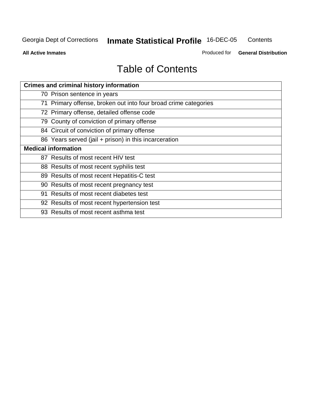**Contents** 

**All Active Inmates**

Produced for **General Distribution**

# Table of Contents

| <b>Crimes and criminal history information</b>                  |
|-----------------------------------------------------------------|
| 70 Prison sentence in years                                     |
| 71 Primary offense, broken out into four broad crime categories |
| 72 Primary offense, detailed offense code                       |
| 79 County of conviction of primary offense                      |
| 84 Circuit of conviction of primary offense                     |
| 86 Years served (jail + prison) in this incarceration           |
| <b>Medical information</b>                                      |
| 87 Results of most recent HIV test                              |
| 88 Results of most recent syphilis test                         |
| 89 Results of most recent Hepatitis-C test                      |
| 90 Results of most recent pregnancy test                        |
| 91 Results of most recent diabetes test                         |
| 92 Results of most recent hypertension test                     |
| 93 Results of most recent asthma test                           |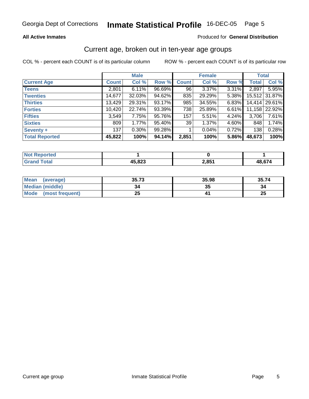#### **All Active Inmates**

#### Produced for **General Distribution**

### Current age, broken out in ten-year age groups

|                       |              | <b>Male</b> |        |              | <b>Female</b> |       | <b>Total</b> |               |
|-----------------------|--------------|-------------|--------|--------------|---------------|-------|--------------|---------------|
| <b>Current Age</b>    | <b>Count</b> | Col %       | Row %  | <b>Count</b> | Col %         | Row % | <b>Total</b> | Col %         |
| <b>Teens</b>          | 2,801        | 6.11%       | 96.69% | 96           | 3.37%         | 3.31% | 2,897        | 5.95%         |
| <b>Twenties</b>       | 14,677       | $32.03\%$   | 94.62% | 835          | 29.29%        | 5.38% |              | 15,512 31.87% |
| <b>Thirties</b>       | 13,429       | 29.31%      | 93.17% | 985          | 34.55%        | 6.83% |              | 14,414 29.61% |
| <b>Forties</b>        | 10,420       | 22.74%      | 93.39% | 738          | 25.89%        | 6.61% | 11,158       | 22.92%        |
| <b>Fifties</b>        | 3,549        | 7.75%       | 95.76% | 157          | 5.51%         | 4.24% | 3,706        | 7.61%         |
| <b>Sixties</b>        | 809          | 1.77%       | 95.40% | 39           | 1.37%         | 4.60% | 848          | 1.74%         |
| Seventy +             | 137          | $0.30\%$    | 99.28% |              | 0.04%         | 0.72% | 138          | 0.28%         |
| <b>Total Reported</b> | 45,822       | 100%        | 94.14% | 2,851        | 100%          | 5.86% | 48,673       | 100%          |

| <b>Not Reported</b>        |        |       |       |
|----------------------------|--------|-------|-------|
| <b><i><u>Cotal</u></i></b> | 45,823 | 2,851 | 4867' |

| <b>Mean</b><br>(average) | 35.73   | 35.98   | 35.74    |
|--------------------------|---------|---------|----------|
| Median (middle)          | 34      | ^^<br>w | 34       |
| Mode<br>(most frequent)  | つら<br>⊷ |         | つら<br>ZJ |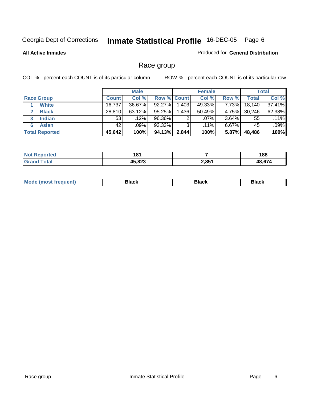#### **All Active Inmates**

### Produced for **General Distribution**

### Race group

|                       |              | <b>Male</b> |                    |       | <b>Female</b> |          |        | <b>Total</b> |
|-----------------------|--------------|-------------|--------------------|-------|---------------|----------|--------|--------------|
| <b>Race Group</b>     | <b>Count</b> | Col %       | <b>Row % Count</b> |       | Col %         | Row %    | Total  | Col %        |
| <b>White</b>          | 16,737       | 36.67%      | 92.27%             | .403  | 49.33%        | 7.73%    | 18,140 | 37.41%       |
| <b>Black</b>          | 28,810       | $63.12\%$   | 95.25%             | .436  | 50.49%        | 4.75%    | 30,246 | 62.38%       |
| <b>Indian</b><br>3    | 53           | .12%        | 96.36%             | 2     | $.07\%$       | 3.64%    | 55     | .11%         |
| <b>Asian</b>          | 42           | .09%        | 93.33%             | 3     | $.11\%$       | $6.67\%$ | 45     | .09%         |
| <b>Total Reported</b> | 45,642       | 100%        | 94.13%             | 2,844 | 100%          | 5.87%    | 48,486 | 100%         |

| orted       | 181<br>$-$ |       | 188            |
|-------------|------------|-------|----------------|
| <b>otal</b> | 45,823     | 2,851 | 12 G7 <i>1</i> |

| "''" | M.<br><b>Black</b><br>Rlack<br>. <b>.</b><br>∍ıacı |
|------|----------------------------------------------------|
|------|----------------------------------------------------|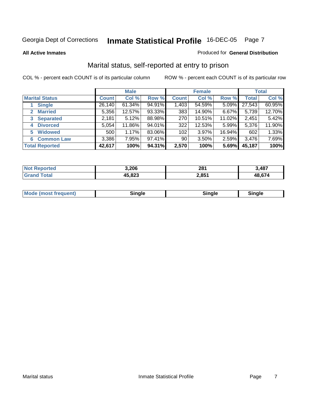#### **All Active Inmates**

#### Produced for **General Distribution**

### Marital status, self-reported at entry to prison

|                                |              | <b>Male</b> |        |                  | <b>Female</b> |          |              | <b>Total</b> |
|--------------------------------|--------------|-------------|--------|------------------|---------------|----------|--------------|--------------|
| <b>Marital Status</b>          | <b>Count</b> | Col %       | Row %  | <b>Count</b>     | Col %         | Row %    | <b>Total</b> | Col %        |
| <b>Single</b>                  | 26,140       | $61.34\%$   | 94.91% | 1,403            | 54.59%        | $5.09\%$ | 27,543       | 60.95%       |
| <b>Married</b><br>$\mathbf{2}$ | 5,356        | 12.57%      | 93.33% | 383              | 14.90%        | 6.67%    | 5,739        | 12.70%       |
| <b>Separated</b><br>3          | 2,181        | 5.12%       | 88.98% | 270              | 10.51%        | 11.02%   | 2,451        | 5.42%        |
| <b>Divorced</b><br>4           | 5,054        | 11.86%      | 94.01% | 322              | 12.53%        | 5.99%    | 5,376        | 11.90%       |
| <b>Widowed</b><br>5            | 500          | 1.17%       | 83.06% | 102 <sub>1</sub> | 3.97%         | 16.94%   | 602          | 1.33%        |
| <b>Common Law</b><br>6         | 3,386        | 7.95%       | 97.41% | 90               | 3.50%         | 2.59%    | 3,476        | 7.69%        |
| <b>Total Reported</b>          | 42,617       | 100%        | 94.31% | 2,570            | 100%          | 5.69%    | 45,187       | 100%         |

| ,206 | 281    | ,487          |
|------|--------|---------------|
| റററ  | 2.85'' | $\sim$<br>19. |

|  | <b>Mode (most frequent)</b> | . <i>.</i><br>naie | sinale | Minale ! |
|--|-----------------------------|--------------------|--------|----------|
|--|-----------------------------|--------------------|--------|----------|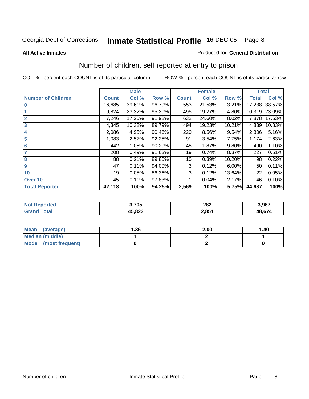#### **All Active Inmates**

#### Produced for **General Distribution**

### Number of children, self reported at entry to prison

|                           |              | <b>Male</b> |        | <b>Female</b> |        |        | <b>Total</b> |        |
|---------------------------|--------------|-------------|--------|---------------|--------|--------|--------------|--------|
| <b>Number of Children</b> | <b>Count</b> | Col %       | Row %  | <b>Count</b>  | Col %  | Row %  | <b>Total</b> | Col %  |
| $\overline{0}$            | 16,685       | 39.61%      | 96.79% | 553           | 21.53% | 3.21%  | 17,238       | 38.57% |
|                           | 9,824        | 23.32%      | 95.20% | 495           | 19.27% | 4.80%  | 10,319       | 23.09% |
| $\overline{2}$            | 7,246        | 17.20%      | 91.98% | 632           | 24.60% | 8.02%  | 7,878        | 17.63% |
| $\overline{\mathbf{3}}$   | 4,345        | 10.32%      | 89.79% | 494           | 19.23% | 10.21% | 4,839        | 10.83% |
| 4                         | 2,086        | 4.95%       | 90.46% | 220           | 8.56%  | 9.54%  | 2,306        | 5.16%  |
| 5                         | 1,083        | 2.57%       | 92.25% | 91            | 3.54%  | 7.75%  | 1,174        | 2.63%  |
| $6\phantom{a}6$           | 442          | 1.05%       | 90.20% | 48            | 1.87%  | 9.80%  | 490          | 1.10%  |
| 7                         | 208          | 0.49%       | 91.63% | 19            | 0.74%  | 8.37%  | 227          | 0.51%  |
| 8                         | 88           | 0.21%       | 89.80% | 10            | 0.39%  | 10.20% | 98           | 0.22%  |
| 9                         | 47           | 0.11%       | 94.00% | 3             | 0.12%  | 6.00%  | 50           | 0.11%  |
| 10                        | 19           | 0.05%       | 86.36% | 3             | 0.12%  | 13.64% | 22           | 0.05%  |
| Over 10                   | 45           | 0.11%       | 97.83% |               | 0.04%  | 2.17%  | 46           | 0.10%  |
| <b>Total Reported</b>     | 42,118       | 100%        | 94.25% | 2,569         | 100%   | 5.75%  | 44,687       | 100%   |

| TAC.<br>N | 8,705              | 282<br>$\sim$ $\sim$ | 3,987  |
|-----------|--------------------|----------------------|--------|
|           | $AB$ 822<br>د ے ه. | 2,85 <sup>4</sup>    | 48.674 |

| Mean<br>(average)    | 36. ا | 2.00 | 1.40 |
|----------------------|-------|------|------|
| Median (middle)      |       |      |      |
| Mode (most frequent) |       |      |      |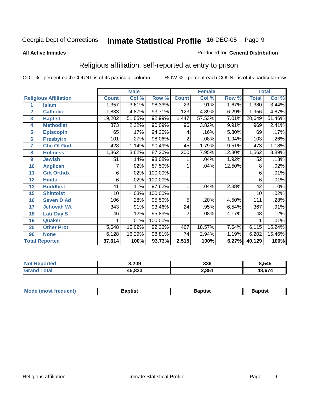#### **All Active Inmates**

#### Produced for **General Distribution**

### Religious affiliation, self-reported at entry to prison

|                       |                              | <b>Male</b>  |        |         | <b>Female</b>   |        |        | <b>Total</b> |        |
|-----------------------|------------------------------|--------------|--------|---------|-----------------|--------|--------|--------------|--------|
|                       | <b>Religious Affiliation</b> | <b>Count</b> | Col %  | Row %   | <b>Count</b>    | Col %  | Row %  | <b>Total</b> | Col %  |
| 1                     | <b>Islam</b>                 | 1,357        | 3.61%  | 98.33%  | $\overline{23}$ | .91%   | 1.67%  | 1,380        | 3.44%  |
| $\overline{2}$        | <b>Catholic</b>              | 1,833        | 4.87%  | 93.71%  | 123             | 4.89%  | 6.29%  | 1,956        | 4.87%  |
| 3                     | <b>Baptist</b>               | 19,202       | 51.05% | 92.99%  | 1,447           | 57.53% | 7.01%  | 20,649       | 51.46% |
| 4                     | <b>Methodist</b>             | 873          | 2.32%  | 90.09%  | 96              | 3.82%  | 9.91%  | 969          | 2.41%  |
| 5                     | <b>EpiscopIn</b>             | 65           | .17%   | 94.20%  | 4               | .16%   | 5.80%  | 69           | .17%   |
| $6\phantom{1}6$       | <b>Presbytrn</b>             | 101          | .27%   | 98.06%  | $\overline{2}$  | .08%   | 1.94%  | 103          | .26%   |
| 7                     | <b>Chc Of God</b>            | 428          | 1.14%  | 90.49%  | 45              | 1.79%  | 9.51%  | 473          | 1.18%  |
| 8                     | <b>Holiness</b>              | 1,362        | 3.62%  | 87.20%  | 200             | 7.95%  | 12.80% | 1,562        | 3.89%  |
| $\boldsymbol{9}$      | <b>Jewish</b>                | 51           | .14%   | 98.08%  |                 | .04%   | 1.92%  | 52           | .13%   |
| 10                    | <b>Anglican</b>              |              | .02%   | 87.50%  |                 | .04%   | 12.50% | 8            | .02%   |
| 11                    | <b>Grk Orthdx</b>            | 6            | .02%   | 100.00% |                 |        |        | 6            | .01%   |
| 12                    | <b>Hindu</b>                 | 6            | .02%   | 100.00% |                 |        |        | 6            | .01%   |
| 13                    | <b>Buddhist</b>              | 41           | .11%   | 97.62%  | 1               | .04%   | 2.38%  | 42           | .10%   |
| 15                    | <b>Shintoist</b>             | 10           | .03%   | 100.00% |                 |        |        | 10           | .02%   |
| 16                    | <b>Seven D Ad</b>            | 106          | .28%   | 95.50%  | 5               | .20%   | 4.50%  | 111          | .28%   |
| 17                    | <b>Jehovah Wt</b>            | 343          | .91%   | 93.46%  | 24              | .95%   | 6.54%  | 367          | .91%   |
| 18                    | <b>Latr Day S</b>            | 46           | .12%   | 95.83%  | 2               | .08%   | 4.17%  | 48           | .12%   |
| 19                    | Quaker                       |              | .01%   | 100.00% |                 |        |        |              | .01%   |
| 20                    | <b>Other Prot</b>            | 5,648        | 15.02% | 92.36%  | 467             | 18.57% | 7.64%  | 6,115        | 15.24% |
| 96                    | <b>None</b>                  | 6,128        | 16.29% | 98.81%  | 74              | 2.94%  | 1.19%  | 6,202        | 15.46% |
| <b>Total Reported</b> |                              | 37,614       | 100%   | 93.73%  | 2,515           | 100%   | 6.27%  | 40,129       | 100%   |

| rtec<br>NA                | 209,ر  | 336   | 8,545  |
|---------------------------|--------|-------|--------|
| ั่วtaเ<br>. Gr $\epsilon$ | 45,823 | 2,851 | 48 674 |

| Mode (mo<br>ost freauent) | 3aptist | Baptist | 3aptist |
|---------------------------|---------|---------|---------|
|                           |         |         |         |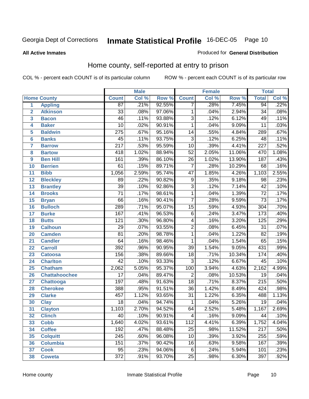#### **All Active Inmates**

#### Produced for **General Distribution**

### Home county, self-reported at entry to prison

|                  |                      |                  | <b>Male</b> |        |                           | <b>Female</b> |        | <b>Total</b>     |       |
|------------------|----------------------|------------------|-------------|--------|---------------------------|---------------|--------|------------------|-------|
|                  | <b>Home County</b>   | <b>Count</b>     | Col %       | Row %  | <b>Count</b>              | Col %         | Row %  | <b>Total</b>     | Col % |
| 1                | <b>Appling</b>       | 87               | .21%        | 92.55% | 7                         | $.28\%$       | 7.45%  | 94               | .22%  |
| $\overline{2}$   | <b>Atkinson</b>      | $\overline{33}$  | .08%        | 97.06% | 1                         | .04%          | 2.94%  | $\overline{34}$  | .08%  |
| 3                | <b>Bacon</b>         | $\overline{46}$  | .11%        | 93.88% | $\overline{3}$            | .12%          | 6.12%  | 49               | .11%  |
| 4                | <b>Baker</b>         | $\overline{10}$  | .02%        | 90.91% | $\overline{1}$            | .04%          | 9.09%  | $\overline{11}$  | .03%  |
| 5                | <b>Baldwin</b>       | $\overline{275}$ | .67%        | 95.16% | $\overline{14}$           | .55%          | 4.84%  | 289              | .67%  |
| $6\phantom{a}$   | <b>Banks</b>         | 45               | .11%        | 93.75% | $\overline{3}$            | .12%          | 6.25%  | 48               | .11%  |
| $\overline{7}$   | <b>Barrow</b>        | $\overline{217}$ | .53%        | 95.59% | $\overline{10}$           | .39%          | 4.41%  | $\overline{227}$ | .52%  |
| 8                | <b>Bartow</b>        | $\overline{418}$ | 1.02%       | 88.94% | $\overline{52}$           | 2.05%         | 11.06% | 470              | 1.08% |
| $\boldsymbol{9}$ | <b>Ben Hill</b>      | $\overline{161}$ | .39%        | 86.10% | $\overline{26}$           | 1.02%         | 13.90% | $\overline{187}$ | .43%  |
| 10               | <b>Berrien</b>       | 61               | .15%        | 89.71% | $\overline{7}$            | .28%          | 10.29% | 68               | .16%  |
| 11               | <b>Bibb</b>          | 1,056            | 2.59%       | 95.74% | $\overline{47}$           | 1.85%         | 4.26%  | 1,103            | 2.55% |
| 12               | <b>Bleckley</b>      | 89               | .22%        | 90.82% | $\overline{9}$            | .35%          | 9.18%  | 98               | .23%  |
| $\overline{13}$  | <b>Brantley</b>      | $\overline{39}$  | .10%        | 92.86% | $\overline{3}$            | .12%          | 7.14%  | $\overline{42}$  | .10%  |
| 14               | <b>Brooks</b>        | $\overline{71}$  | .17%        | 98.61% | $\overline{1}$            | .04%          | 1.39%  | $\overline{72}$  | .17%  |
| 15               | <b>Bryan</b>         | $\overline{66}$  | .16%        | 90.41% | $\overline{\overline{7}}$ | .28%          | 9.59%  | $\overline{73}$  | .17%  |
| 16               | <b>Bulloch</b>       | 289              | .71%        | 95.07% | $\overline{15}$           | .59%          | 4.93%  | $\overline{304}$ | .70%  |
| 17               | <b>Burke</b>         | 167              | .41%        | 96.53% | $\overline{6}$            | .24%          | 3.47%  | 173              | .40%  |
| 18               | <b>Butts</b>         | $\overline{121}$ | .30%        | 96.80% | 4                         | .16%          | 3.20%  | $\overline{125}$ | .29%  |
| 19               | <b>Calhoun</b>       | $\overline{29}$  | .07%        | 93.55% | $\overline{2}$            | .08%          | 6.45%  | $\overline{31}$  | .07%  |
| 20               | <b>Camden</b>        | $\overline{81}$  | .20%        | 98.78% | 1                         | .04%          | 1.22%  | $\overline{82}$  | .19%  |
| 21               | <b>Candler</b>       | 64               | .16%        | 98.46% | $\overline{1}$            | .04%          | 1.54%  | 65               | .15%  |
| 22               | <b>Carroll</b>       | $\overline{392}$ | .96%        | 90.95% | $\overline{39}$           | 1.54%         | 9.05%  | 431              | .99%  |
| 23               | <b>Catoosa</b>       | 156              | .38%        | 89.66% | $\overline{18}$           | .71%          | 10.34% | 174              | .40%  |
| 24               | <b>Charlton</b>      | $\overline{42}$  | .10%        | 93.33% | $\overline{3}$            | .12%          | 6.67%  | $\overline{45}$  | .10%  |
| 25               | <b>Chatham</b>       | 2,062            | 5.05%       | 95.37% | 100                       | 3.94%         | 4.63%  | 2,162            | 4.99% |
| 26               | <b>Chattahoochee</b> | $\overline{17}$  | .04%        | 89.47% | $\overline{2}$            | .08%          | 10.53% | $\overline{19}$  | .04%  |
| 27               | Chattooga            | 197              | .48%        | 91.63% | $\overline{18}$           | .71%          | 8.37%  | $\overline{215}$ | .50%  |
| 28               | <b>Cherokee</b>      | 388              | .95%        | 91.51% | $\overline{36}$           | 1.42%         | 8.49%  | 424              | .98%  |
| 29               | <b>Clarke</b>        | 457              | 1.12%       | 93.65% | $\overline{31}$           | 1.22%         | 6.35%  | 488              | 1.13% |
| 30               | <b>Clay</b>          | $\overline{18}$  | .04%        | 94.74% | $\mathbf{1}$              | .04%          | 5.26%  | $\overline{19}$  | .04%  |
| 31               | <b>Clayton</b>       | 1,103            | 2.70%       | 94.52% | 64                        | 2.52%         | 5.48%  | 1,167            | 2.69% |
| 32               | <b>Clinch</b>        | 40               | .10%        | 90.91% | 4                         | .16%          | 9.09%  | 44               | .10%  |
| 33               | <b>Cobb</b>          | 1,640            | 4.02%       | 93.61% | 112                       | 4.41%         | 6.39%  | 1,752            | 4.04% |
| 34               | <b>Coffee</b>        | 192              | .47%        | 88.48% | 25                        | .98%          | 11.52% | 217              | .50%  |
| 35               | <b>Colquitt</b>      | 245              | .60%        | 96.08% | 10                        | .39%          | 3.92%  | 255              | .59%  |
| 36               | <b>Columbia</b>      | 151              | .37%        | 90.42% | 16                        | .63%          | 9.58%  | 167              | .39%  |
| 37               | <b>Cook</b>          | $\overline{95}$  | .23%        | 94.06% | $\overline{6}$            | .24%          | 5.94%  | 101              | .23%  |
| 38               | Coweta               | $\overline{372}$ | .91%        | 93.70% | $\overline{25}$           | .98%          | 6.30%  | 397              | .92%  |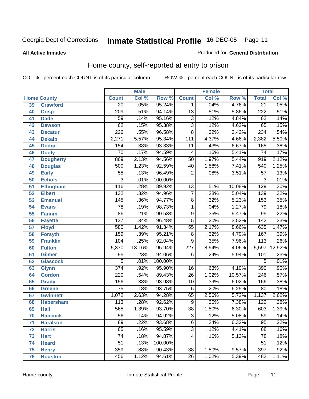#### **All Active Inmates**

#### Produced for **General Distribution**

### Home county, self-reported at entry to prison

|    |                    |                  | <b>Male</b> |         |                         | <b>Female</b> |        | <b>Total</b>     |        |
|----|--------------------|------------------|-------------|---------|-------------------------|---------------|--------|------------------|--------|
|    | <b>Home County</b> | <b>Count</b>     | Col %       | Row %   | <b>Count</b>            | Col %         | Row %  | <b>Total</b>     | Col %  |
| 39 | <b>Crawford</b>    | 20               | .05%        | 95.24%  | $\mathbf{1}$            | .04%          | 4.76%  | 21               | .05%   |
| 40 | <b>Crisp</b>       | $\overline{209}$ | .51%        | 94.14%  | $\overline{13}$         | .51%          | 5.86%  | $\overline{222}$ | .51%   |
| 41 | <b>Dade</b>        | $\overline{59}$  | .14%        | 95.16%  | $\overline{3}$          | .12%          | 4.84%  | $\overline{62}$  | .14%   |
| 42 | <b>Dawson</b>      | 62               | .15%        | 95.38%  | $\overline{3}$          | .12%          | 4.62%  | 65               | .15%   |
| 43 | <b>Decatur</b>     | $\overline{226}$ | .55%        | 96.58%  | $\overline{8}$          | .32%          | 3.42%  | 234              | .54%   |
| 44 | <b>Dekalb</b>      | 2,271            | 5.57%       | 95.34%  | 111                     | 4.37%         | 4.66%  | 2,382            | 5.50%  |
| 45 | <b>Dodge</b>       | 154              | .38%        | 93.33%  | 11                      | .43%          | 6.67%  | 165              | .38%   |
| 46 | <b>Dooly</b>       | $\overline{70}$  | .17%        | 94.59%  | $\overline{\mathbf{4}}$ | .16%          | 5.41%  | $\overline{74}$  | .17%   |
| 47 | <b>Dougherty</b>   | 869              | 2.13%       | 94.56%  | $\overline{50}$         | 1.97%         | 5.44%  | 919              | 2.12%  |
| 48 | <b>Douglas</b>     | 500              | 1.23%       | 92.59%  | 40                      | 1.58%         | 7.41%  | 540              | 1.25%  |
| 49 | <b>Early</b>       | $\overline{55}$  | .13%        | 96.49%  | $\overline{2}$          | .08%          | 3.51%  | $\overline{57}$  | .13%   |
| 50 | <b>Echols</b>      | $\overline{3}$   | .01%        | 100.00% |                         |               |        | 3                | .01%   |
| 51 | <b>Effingham</b>   | $\overline{116}$ | .28%        | 89.92%  | $\overline{13}$         | .51%          | 10.08% | $\overline{129}$ | .30%   |
| 52 | <b>Elbert</b>      | $\overline{132}$ | .32%        | 94.96%  | $\overline{7}$          | .28%          | 5.04%  | 139              | .32%   |
| 53 | <b>Emanuel</b>     | 145              | .36%        | 94.77%  | $\overline{8}$          | .32%          | 5.23%  | $\overline{153}$ | .35%   |
| 54 | <b>Evans</b>       | $\overline{78}$  | .19%        | 98.73%  | 1                       | .04%          | 1.27%  | $\overline{79}$  | .18%   |
| 55 | <b>Fannin</b>      | 86               | .21%        | 90.53%  | $\overline{9}$          | .35%          | 9.47%  | $\overline{95}$  | .22%   |
| 56 | <b>Fayette</b>     | $\overline{137}$ | .34%        | 96.48%  | $\overline{5}$          | .20%          | 3.52%  | $\overline{142}$ | .33%   |
| 57 | <b>Floyd</b>       | 580              | 1.42%       | 91.34%  | $\overline{55}$         | 2.17%         | 8.66%  | 635              | 1.47%  |
| 58 | <b>Forsyth</b>     | 159              | .39%        | 95.21%  | $\overline{8}$          | .32%          | 4.79%  | 167              | .39%   |
| 59 | <b>Franklin</b>    | 104              | .25%        | 92.04%  | $\overline{9}$          | .35%          | 7.96%  | 113              | .26%   |
| 60 | <b>Fulton</b>      | 5,370            | 13.16%      | 95.94%  | $\overline{227}$        | 8.94%         | 4.06%  | 5,597            | 12.92% |
| 61 | <b>Gilmer</b>      | 95               | .23%        | 94.06%  | 6                       | .24%          | 5.94%  | 101              | .23%   |
| 62 | <b>Glascock</b>    | $\overline{5}$   | .01%        | 100.00% |                         |               |        | 5                | .01%   |
| 63 | <b>Glynn</b>       | $\overline{374}$ | .92%        | 95.90%  | 16                      | .63%          | 4.10%  | 390              | .90%   |
| 64 | <b>Gordon</b>      | $\overline{220}$ | .54%        | 89.43%  | $\overline{26}$         | 1.02%         | 10.57% | $\overline{246}$ | .57%   |
| 65 | <b>Grady</b>       | 156              | .38%        | 93.98%  | 10                      | .39%          | 6.02%  | 166              | .38%   |
| 66 | <b>Greene</b>      | $\overline{75}$  | .18%        | 93.75%  | $\overline{5}$          | .20%          | 6.25%  | $\overline{80}$  | .18%   |
| 67 | <b>Gwinnett</b>    | 1,072            | 2.63%       | 94.28%  | 65                      | 2.56%         | 5.72%  | 1,137            | 2.62%  |
| 68 | <b>Habersham</b>   | 113              | .28%        | 92.62%  | $\overline{9}$          | .35%          | 7.38%  | 122              | .28%   |
| 69 | <b>Hall</b>        | 565              | 1.39%       | 93.70%  | $\overline{38}$         | 1.50%         | 6.30%  | 603              | 1.39%  |
| 70 | <b>Hancock</b>     | $\overline{56}$  | .14%        | 94.92%  | $\overline{3}$          | .12%          | 5.08%  | $\overline{59}$  | .14%   |
| 71 | <b>Haralson</b>    | $\overline{89}$  | .22%        | 93.68%  | 6                       | .24%          | 6.32%  | $\overline{95}$  | .22%   |
| 72 | <b>Harris</b>      | 65               | .16%        | 95.59%  | $\overline{3}$          | .12%          | 4.41%  | 68               | .16%   |
| 73 | <b>Hart</b>        | 74               | .18%        | 94.87%  | 4                       | .16%          | 5.13%  | 78               | .18%   |
| 74 | <b>Heard</b>       | $\overline{51}$  | .13%        | 100.00% |                         |               |        | $\overline{51}$  | .12%   |
| 75 | <b>Henry</b>       | 359              | .88%        | 90.43%  | $\overline{38}$         | 1.50%         | 9.57%  | 397              | .92%   |
| 76 | <b>Houston</b>     | 456              | 1.12%       | 94.61%  | $\overline{26}$         | 1.02%         | 5.39%  | 482              | 1.11%  |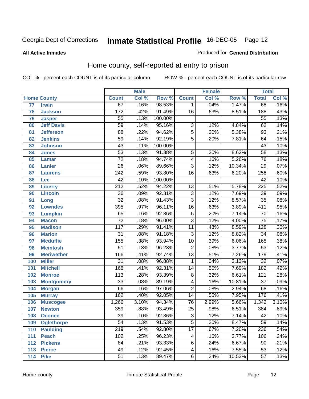#### **All Active Inmates**

#### Produced for **General Distribution**

### Home county, self-reported at entry to prison

|                 |                    |                  | <b>Male</b> |         |                 | <b>Female</b> |        | <b>Total</b>     |       |
|-----------------|--------------------|------------------|-------------|---------|-----------------|---------------|--------|------------------|-------|
|                 | <b>Home County</b> | <b>Count</b>     | Col %       | Row %   | <b>Count</b>    | Col %         | Row %  | <b>Total</b>     | Col % |
| $\overline{77}$ | <b>Irwin</b>       | 67               | .16%        | 98.53%  | 1.              | .04%          | 1.47%  | 68               | .16%  |
| 78              | <b>Jackson</b>     | 172              | .42%        | 91.49%  | $\overline{16}$ | .63%          | 8.51%  | 188              | .43%  |
| 79              | <b>Jasper</b>      | $\overline{55}$  | .13%        | 100.00% |                 |               |        | $\overline{55}$  | .13%  |
| 80              | <b>Jeff Davis</b>  | $\overline{59}$  | .14%        | 95.16%  | $\overline{3}$  | .12%          | 4.84%  | $\overline{62}$  | .14%  |
| 81              | <b>Jefferson</b>   | $\overline{88}$  | .22%        | 94.62%  | $\overline{5}$  | .20%          | 5.38%  | $\overline{93}$  | .21%  |
| 82              | <b>Jenkins</b>     | $\overline{59}$  | .14%        | 92.19%  | $\overline{5}$  | .20%          | 7.81%  | 64               | .15%  |
| 83              | <b>Johnson</b>     | $\overline{43}$  | .11%        | 100.00% |                 |               |        | $\overline{43}$  | .10%  |
| 84              | <b>Jones</b>       | $\overline{53}$  | .13%        | 91.38%  | 5               | .20%          | 8.62%  | $\overline{58}$  | .13%  |
| 85              | <b>Lamar</b>       | $\overline{72}$  | .18%        | 94.74%  | 4               | .16%          | 5.26%  | $\overline{76}$  | .18%  |
| 86              | <b>Lanier</b>      | $\overline{26}$  | .06%        | 89.66%  | $\overline{3}$  | .12%          | 10.34% | $\overline{29}$  | .07%  |
| 87              | <b>Laurens</b>     | $\overline{242}$ | .59%        | 93.80%  | $\overline{16}$ | .63%          | 6.20%  | 258              | .60%  |
| 88              | Lee                | $\overline{42}$  | .10%        | 100.00% |                 |               |        | $\overline{42}$  | .10%  |
| 89              | <b>Liberty</b>     | $\overline{212}$ | .52%        | 94.22%  | $\overline{13}$ | .51%          | 5.78%  | $\overline{225}$ | .52%  |
| 90              | <b>Lincoln</b>     | $\overline{36}$  | .09%        | 92.31%  | $\overline{3}$  | .12%          | 7.69%  | $\overline{39}$  | .09%  |
| 91              | Long               | $\overline{32}$  | .08%        | 91.43%  | $\overline{3}$  | .12%          | 8.57%  | $\overline{35}$  | .08%  |
| 92              | <b>Lowndes</b>     | 395              | .97%        | 96.11%  | $\overline{16}$ | .63%          | 3.89%  | $\overline{411}$ | .95%  |
| 93              | <b>Lumpkin</b>     | 65               | .16%        | 92.86%  | $\overline{5}$  | .20%          | 7.14%  | $\overline{70}$  | .16%  |
| 94              | <b>Macon</b>       | $\overline{72}$  | .18%        | 96.00%  | $\overline{3}$  | .12%          | 4.00%  | $\overline{75}$  | .17%  |
| 95              | <b>Madison</b>     | $\overline{117}$ | .29%        | 91.41%  | $\overline{11}$ | .43%          | 8.59%  | 128              | .30%  |
| 96              | <b>Marion</b>      | $\overline{31}$  | .08%        | 91.18%  | $\overline{3}$  | .12%          | 8.82%  | $\overline{34}$  | .08%  |
| 97              | <b>Mcduffie</b>    | 155              | .38%        | 93.94%  | $\overline{10}$ | .39%          | 6.06%  | 165              | .38%  |
| 98              | <b>Mcintosh</b>    | $\overline{51}$  | .13%        | 96.23%  | $\overline{2}$  | .08%          | 3.77%  | $\overline{53}$  | .12%  |
| 99              | <b>Meriwether</b>  | 166              | .41%        | 92.74%  | $\overline{13}$ | .51%          | 7.26%  | 179              | .41%  |
| 100             | <b>Miller</b>      | $\overline{31}$  | .08%        | 96.88%  | $\mathbf{1}$    | .04%          | 3.13%  | $\overline{32}$  | .07%  |
| 101             | <b>Mitchell</b>    | 168              | .41%        | 92.31%  | $\overline{14}$ | .55%          | 7.69%  | $\overline{182}$ | .42%  |
| 102             | <b>Monroe</b>      | 113              | .28%        | 93.39%  | $\overline{8}$  | .32%          | 6.61%  | 121              | .28%  |
| 103             | <b>Montgomery</b>  | $\overline{33}$  | .08%        | 89.19%  | 4               | .16%          | 10.81% | $\overline{37}$  | .09%  |
| 104             | <b>Morgan</b>      | $\overline{66}$  | .16%        | 97.06%  | $\overline{2}$  | .08%          | 2.94%  | $\overline{68}$  | .16%  |
| 105             | <b>Murray</b>      | 162              | .40%        | 92.05%  | $\overline{14}$ | .55%          | 7.95%  | 176              | .41%  |
| 106             | <b>Muscogee</b>    | 1,266            | 3.10%       | 94.34%  | $\overline{76}$ | 2.99%         | 5.66%  | 1,342            | 3.10% |
| 107             | <b>Newton</b>      | 359              | .88%        | 93.49%  | $\overline{25}$ | .98%          | 6.51%  | 384              | .89%  |
| 108             | <b>Oconee</b>      | $\overline{39}$  | .10%        | 92.86%  | 3               | .12%          | 7.14%  | 42               | .10%  |
| 109             | <b>Oglethorpe</b>  | $\overline{54}$  | .13%        | 91.53%  | $\overline{5}$  | .20%          | 8.47%  | $\overline{59}$  | .14%  |
| 110             | <b>Paulding</b>    | $\overline{219}$ | .54%        | 92.80%  | $\overline{17}$ | .67%          | 7.20%  | 236              | .54%  |
| 111             | <b>Peach</b>       | 102              | .25%        | 96.23%  | 4               | .16%          | 3.77%  | 106              | .24%  |
| 112             | <b>Pickens</b>     | $\overline{84}$  | .21%        | 93.33%  | $\overline{6}$  | .24%          | 6.67%  | $\overline{90}$  | .21%  |
| 113             | <b>Pierce</b>      | 49               | .12%        | 92.45%  | 4               | .16%          | 7.55%  | $\overline{53}$  | .12%  |
| 114             | <b>Pike</b>        | $\overline{51}$  | .13%        | 89.47%  | $\overline{6}$  | .24%          | 10.53% | $\overline{57}$  | .13%  |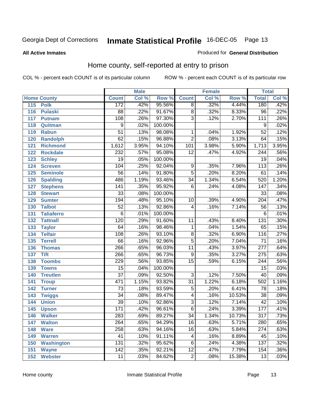#### **All Active Inmates**

#### Produced for **General Distribution**

### Home county, self-reported at entry to prison

|                          |                  | <b>Male</b> |         |                 | <b>Female</b> |        | <b>Total</b>     |       |
|--------------------------|------------------|-------------|---------|-----------------|---------------|--------|------------------|-------|
| <b>Home County</b>       | <b>Count</b>     | Col %       | Row %   | <b>Count</b>    | Col %         | Row %  | <b>Total</b>     | Col % |
| 115<br><b>Polk</b>       | 172              | .42%        | 95.56%  | $\overline{8}$  | .32%          | 4.44%  | 180              | .42%  |
| 116<br><b>Pulaski</b>    | 88               | .22%        | 91.67%  | $\overline{8}$  | .32%          | 8.33%  | $\overline{96}$  | .22%  |
| 117<br><b>Putnam</b>     | 108              | .26%        | 97.30%  | $\overline{3}$  | .12%          | 2.70%  | 111              | .26%  |
| 118<br>Quitman           | $\overline{9}$   | .02%        | 100.00% |                 |               |        | 9                | .02%  |
| 119<br><b>Rabun</b>      | $\overline{51}$  | .13%        | 98.08%  | 1               | .04%          | 1.92%  | $\overline{52}$  | .12%  |
| 120<br><b>Randolph</b>   | $\overline{62}$  | .15%        | 96.88%  | $\overline{2}$  | .08%          | 3.13%  | 64               | .15%  |
| <b>Richmond</b><br>121   | 1,612            | 3.95%       | 94.10%  | 101             | 3.98%         | 5.90%  | 1,713            | 3.95% |
| 122<br><b>Rockdale</b>   | 232              | .57%        | 95.08%  | $\overline{12}$ | .47%          | 4.92%  | $\overline{244}$ | .56%  |
| 123<br><b>Schley</b>     | $\overline{19}$  | .05%        | 100.00% |                 |               |        | $\overline{19}$  | .04%  |
| 124<br><b>Screven</b>    | 104              | .25%        | 92.04%  | 9               | .35%          | 7.96%  | 113              | .26%  |
| <b>Seminole</b><br>125   | $\overline{56}$  | .14%        | 91.80%  | $\overline{5}$  | .20%          | 8.20%  | $\overline{61}$  | .14%  |
| 126<br><b>Spalding</b>   | 486              | 1.19%       | 93.46%  | $\overline{34}$ | 1.34%         | 6.54%  | 520              | 1.20% |
| 127<br><b>Stephens</b>   | $\overline{141}$ | .35%        | 95.92%  | $\overline{6}$  | .24%          | 4.08%  | 147              | .34%  |
| 128<br><b>Stewart</b>    | $\overline{33}$  | .08%        | 100.00% |                 |               |        | $\overline{33}$  | .08%  |
| 129<br><b>Sumter</b>     | 194              | .48%        | 95.10%  | 10              | .39%          | 4.90%  | $\overline{204}$ | .47%  |
| <b>Talbot</b><br>130     | 52               | .13%        | 92.86%  | 4               | .16%          | 7.14%  | $\overline{56}$  | .13%  |
| 131<br><b>Taliaferro</b> | $\overline{6}$   | .01%        | 100.00% |                 |               |        | 6                | .01%  |
| 132<br><b>Tattnall</b>   | 120              | .29%        | 91.60%  | 11              | .43%          | 8.40%  | $\overline{131}$ | .30%  |
| 133<br><b>Taylor</b>     | 64               | .16%        | 98.46%  | 1               | .04%          | 1.54%  | 65               | .15%  |
| <b>Telfair</b><br>134    | 108              | .26%        | 93.10%  | 8               | .32%          | 6.90%  | $\overline{116}$ | .27%  |
| 135<br><b>Terrell</b>    | $\overline{66}$  | .16%        | 92.96%  | $\overline{5}$  | .20%          | 7.04%  | $\overline{71}$  | .16%  |
| 136<br><b>Thomas</b>     | 266              | .65%        | 96.03%  | $\overline{11}$ | .43%          | 3.97%  | $\overline{277}$ | .64%  |
| <b>Tift</b><br>137       | 266              | .65%        | 96.73%  | $\overline{9}$  | .35%          | 3.27%  | 275              | .63%  |
| <b>Toombs</b><br>138     | 229              | .56%        | 93.85%  | $\overline{15}$ | .59%          | 6.15%  | $\overline{244}$ | .56%  |
| 139<br><b>Towns</b>      | $\overline{15}$  | .04%        | 100.00% |                 |               |        | $\overline{15}$  | .03%  |
| 140<br><b>Treutlen</b>   | $\overline{37}$  | .09%        | 92.50%  | $\overline{3}$  | .12%          | 7.50%  | 40               | .09%  |
| 141<br><b>Troup</b>      | 471              | 1.15%       | 93.82%  | $\overline{31}$ | 1.22%         | 6.18%  | 502              | 1.16% |
| 142<br><b>Turner</b>     | $\overline{73}$  | .18%        | 93.59%  | $\overline{5}$  | .20%          | 6.41%  | $\overline{78}$  | .18%  |
| 143<br><b>Twiggs</b>     | $\overline{34}$  | .08%        | 89.47%  | 4               | .16%          | 10.53% | $\overline{38}$  | .09%  |
| 144<br><b>Union</b>      | $\overline{39}$  | .10%        | 92.86%  | $\overline{3}$  | .12%          | 7.14%  | $\overline{42}$  | .10%  |
| 145<br><b>Upson</b>      | 171              | .42%        | 96.61%  | $\overline{6}$  | .24%          | 3.39%  | 177              | .41%  |
| 146<br><b>Walker</b>     | 283              | .69%        | 89.27%  | 34              | 1.34%         | 10.73% | 317              | .73%  |
| 147<br><b>Walton</b>     | $\overline{264}$ | .65%        | 94.29%  | $\overline{16}$ | .63%          | 5.71%  | 280              | .65%  |
| 148<br><b>Ware</b>       | 258              | .63%        | 94.16%  | 16              | .63%          | 5.84%  | 274              | .63%  |
| <b>Warren</b><br>149     | $\overline{41}$  | .10%        | 91.11%  | 4               | .16%          | 8.89%  | 45               | .10%  |
| <b>Washington</b><br>150 | 131              | .32%        | 95.62%  | 6               | .24%          | 4.38%  | 137              | .32%  |
| 151<br><b>Wayne</b>      | $\overline{142}$ | .35%        | 92.21%  | $\overline{12}$ | .47%          | 7.79%  | 154              | .36%  |
| <b>Webster</b><br>152    | 11               | .03%        | 84.62%  | $\overline{2}$  | .08%          | 15.38% | 13               | .03%  |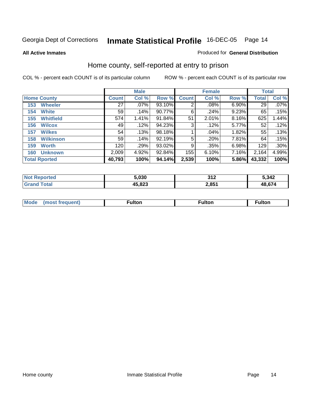#### **All Active Inmates**

#### Produced for **General Distribution**

### Home county, self-reported at entry to prison

|     |                      |              | <b>Male</b> |        |                | <b>Female</b> |          | <b>Total</b> |         |
|-----|----------------------|--------------|-------------|--------|----------------|---------------|----------|--------------|---------|
|     | <b>Home County</b>   | <b>Count</b> | Col %       | Row %  | <b>Count</b>   | Col %         | Row %    | <b>Total</b> | Col %   |
| 153 | <b>Wheeler</b>       | 27           | $.07\%$     | 93.10% | $\overline{2}$ | $.08\%$       | 6.90%    | 29           | $.07\%$ |
| 154 | <b>White</b>         | 59           | .14%        | 90.77% | 6              | .24%          | 9.23%    | 65           | .15%    |
| 155 | <b>Whitfield</b>     | 574          | 1.41%       | 91.84% | 51             | 2.01%         | $8.16\%$ | 625          | 1.44%   |
| 156 | <b>Wilcox</b>        | 49           | .12%        | 94.23% | 3              | .12%          | 5.77%    | 52           | .12%    |
| 157 | <b>Wilkes</b>        | 54           | .13%        | 98.18% |                | .04%          | 1.82%    | 55           | .13%    |
| 158 | <b>Wilkinson</b>     | 59           | .14%        | 92.19% | 5              | .20%          | 7.81%    | 64           | .15%    |
| 159 | <b>Worth</b>         | 120          | .29%        | 93.02% | 9              | .35%          | 6.98%    | 129          | .30%    |
| 160 | <b>Unknown</b>       | 2,009        | 4.92%       | 92.84% | 155            | 6.10%         | 7.16%    | 2,164        | 4.99%   |
|     | <b>Total Rported</b> | 40,793       | 100%        | 94.14% | 2,539          | 100%          | 5.86%    | 43,332       | 100%    |

| orted<br>NO. | 5,030  | 242<br>◡▮▴ | 5,342  |
|--------------|--------|------------|--------|
| īota.<br>Gr  | 45,823 | 2,851      | 48 67/ |

| <b>Mode</b> | ultor | <sup>:</sup> ulton<br> | . |
|-------------|-------|------------------------|---|
|             |       |                        |   |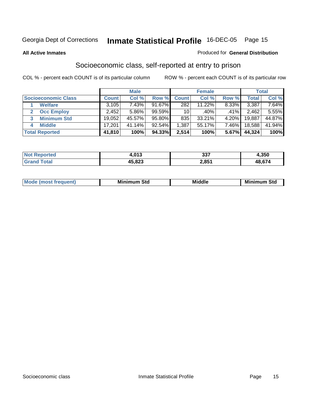#### **All Active Inmates**

#### Produced for **General Distribution**

### Socioeconomic class, self-reported at entry to prison

|                            |              | <b>Male</b> |           |              | <b>Female</b> |       |              | <b>Total</b> |
|----------------------------|--------------|-------------|-----------|--------------|---------------|-------|--------------|--------------|
| <b>Socioeconomic Class</b> | <b>Count</b> | Col %       | Row %     | <b>Count</b> | Col %         | Row % | <b>Total</b> | Col %        |
| <b>Welfare</b>             | 3,105        | 7.43%       | 91.67%    | 282          | 11.22%        | 8.33% | 3,387        | 7.64%        |
| <b>Occ Employ</b>          | 2,452        | 5.86%       | 99.59%    | 10           | .40%          | .41%  | 2.462        | 5.55%        |
| <b>Minimum Std</b><br>3    | 19,052       | 45.57%      | 95.80%    | 835          | 33.21%        | 4.20% | 19,887       | 44.87%       |
| <b>Middle</b>              | 17,201       | $41.14\%$   | $92.54\%$ | .387         | 55.17%        | 7.46% | 18,588       | 41.94%       |
| <b>Total Reported</b>      | 41,810       | 100%        | 94.33%    | 2,514        | 100%          | 5.67% | 44,324       | 100%         |

| orted           | 0.42<br>4.V I J | つつフ<br>. ၁၁ | 4,350  |
|-----------------|-----------------|-------------|--------|
| . Gr $\epsilon$ | 45,823          | 2,851       | 48,674 |

|  | $-$<br>IM 6 | Std<br>M. | . | Mil<br>84J<br>ວເບ<br>$   -$ |
|--|-------------|-----------|---|-----------------------------|
|--|-------------|-----------|---|-----------------------------|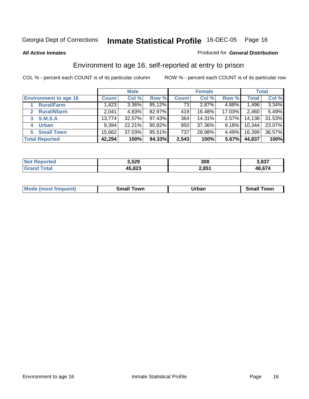#### **All Active Inmates**

#### Produced for **General Distribution**

### Environment to age 16, self-reported at entry to prison

|                                    |              | <b>Male</b> |           |              | <b>Female</b> |        |        | <b>Total</b> |
|------------------------------------|--------------|-------------|-----------|--------------|---------------|--------|--------|--------------|
| <b>Environment to age 16</b>       | <b>Count</b> | Col %       | Row %     | <b>Count</b> | Col %         | Row %  | Total  | Col %        |
| <b>Rural/Farm</b>                  | 1,423        | $3.36\%$    | 95.12%    | 73           | 2.87%         | 4.88%  | 1,496  | 3.34%        |
| <b>Rural/Nfarm</b><br>$\mathbf{2}$ | 2,041        | 4.83%       | 82.97%    | 419          | 16.48%        | 17.03% | 2,460  | 5.49%        |
| <b>S.M.S.A</b><br>3                | 13,774       | 32.57%      | $97.43\%$ | 364          | 14.31%        | 2.57%  | 14,138 | 31.53%       |
| <b>Urban</b><br>4                  | 9,394        | 22.21%      | $90.82\%$ | 950          | 37.36%        | 9.18%  | 10,344 | 23.07%       |
| <b>Small Town</b><br>5             | 15,662       | 37.03%      | 95.51%    | 737          | 28.98%        | 4.49%  | 16,399 | 36.57%       |
| <b>Total Reported</b>              | 42,294       | 100%        | 94.33%    | 2,543        | 100%          | 5.67%  | 44,837 | 100%         |

| <b>Not Reported</b> | 3,529  | 308   | 3,837  |
|---------------------|--------|-------|--------|
| $\tau$ otal         | 45,823 | 2,851 | 48,674 |

| Mode (most frequent) | ----<br>Town<br>\mall<br>_____ | Jrban<br>____ | Towr<br>small |
|----------------------|--------------------------------|---------------|---------------|
|                      |                                |               |               |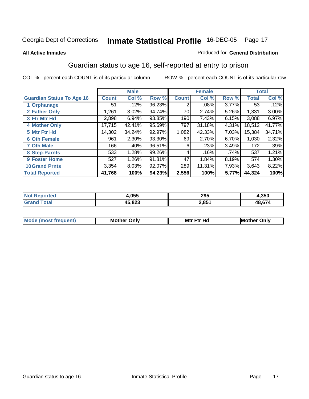#### **All Active Inmates**

#### Produced for **General Distribution**

### Guardian status to age 16, self-reported at entry to prison

|                                  |              | <b>Male</b> |        |              | <b>Female</b> |       |              | <b>Total</b> |
|----------------------------------|--------------|-------------|--------|--------------|---------------|-------|--------------|--------------|
| <b>Guardian Status To Age 16</b> | <b>Count</b> | Col %       | Row %  | <b>Count</b> | Col %         | Row % | <b>Total</b> | Col %        |
| 1 Orphanage                      | 51           | .12%        | 96.23% | 2            | $.08\%$       | 3.77% | 53           | .12%         |
| 2 Father Only                    | 1,261        | 3.02%       | 94.74% | 70           | 2.74%         | 5.26% | 1,331        | 3.00%        |
| 3 Ftr Mtr Hd                     | 2,898        | 6.94%       | 93.85% | 190          | 7.43%         | 6.15% | 3,088        | 6.97%        |
| <b>4 Mother Only</b>             | 17,715       | 42.41%      | 95.69% | 797          | 31.18%        | 4.31% | 18,512       | 41.77%       |
| 5 Mtr Ftr Hd                     | 14,302       | 34.24%      | 92.97% | 1,082        | 42.33%        | 7.03% | 15,384       | 34.71%       |
| <b>6 Oth Female</b>              | 961          | 2.30%       | 93.30% | 69           | 2.70%         | 6.70% | 1,030        | 2.32%        |
| <b>7 Oth Male</b>                | 166          | .40%        | 96.51% | 6            | .23%          | 3.49% | 172          | .39%         |
| 8 Step-Parnts                    | 533          | 1.28%       | 99.26% | 4            | .16%          | .74%  | 537          | 1.21%        |
| <b>9 Foster Home</b>             | 527          | 1.26%       | 91.81% | 47           | 1.84%         | 8.19% | 574          | 1.30%        |
| <b>10 Grand Prnts</b>            | 3,354        | 8.03%       | 92.07% | 289          | 11.31%        | 7.93% | 3,643        | 8.22%        |
| <b>Total Reported</b>            | 41,768       | 100%        | 94.23% | 2,556        | 100%          | 5.77% | 44,324       | 100%         |

|        | 055.،  | 295   | .350   |
|--------|--------|-------|--------|
| ______ | AE 072 | 2,851 | $\sim$ |

| Mode              | Mother | Mtr Ftr Hd                                                                                                      | Only   |
|-------------------|--------|-----------------------------------------------------------------------------------------------------------------|--------|
| (most frequent) د | Only   | the contract of the contract of the contract of the contract of the contract of the contract of the contract of | Mother |
|                   |        |                                                                                                                 |        |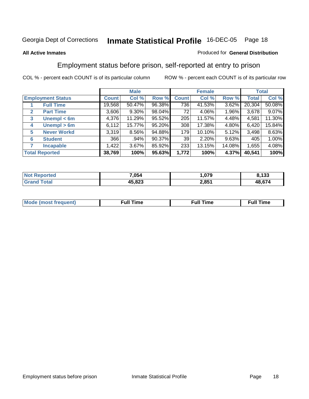#### **All Active Inmates**

#### Produced for **General Distribution**

### Employment status before prison, self-reported at entry to prison

|                                  |              | <b>Male</b> |        |              | <b>Female</b> |          |              | <b>Total</b> |
|----------------------------------|--------------|-------------|--------|--------------|---------------|----------|--------------|--------------|
| <b>Employment Status</b>         | <b>Count</b> | Col %       | Row %  | <b>Count</b> | Col %         | Row %    | <b>Total</b> | Col %        |
| <b>Full Time</b>                 | 19,568       | 50.47%      | 96.38% | 736          | 41.53%        | 3.62%    | 20,304       | 50.08%       |
| <b>Part Time</b><br>$\mathbf{2}$ | 3,606        | $9.30\%$    | 98.04% | 72           | 4.06%         | $1.96\%$ | 3,678        | 9.07%        |
| Unempl $<$ 6m<br>3               | 4,376        | 11.29%      | 95.52% | 205          | 11.57%        | 4.48%    | 4,581        | 11.30%       |
| Unempl $> 6m$<br>4               | 6,112        | 15.77%      | 95.20% | 308          | 17.38%        | 4.80%    | 6,420        | 15.84%       |
| <b>Never Workd</b><br>5          | 3,319        | 8.56%       | 94.88% | 179          | $10.10\%$     | 5.12%    | 3,498        | 8.63%        |
| <b>Student</b><br>6              | 366          | .94%        | 90.37% | 39           | $2.20\%$      | 9.63%    | 405          | 1.00%        |
| 7<br><b>Incapable</b>            | 1,422        | 3.67%       | 85.92% | 233          | 13.15%        | 14.08%   | 1,655        | 4.08%        |
| <b>Total Reported</b>            | 38,769       | 100%        | 95.63% | 1,772        | 100%          | 4.37%    | 40,541       | 100%         |

| тет.<br>N | 7,054                   | 0.70  | $\overline{a}$<br>נט ו |
|-----------|-------------------------|-------|------------------------|
|           | <b>15 072</b><br>10.0ZJ | 2,851 | 48 674                 |

| M | .<br>un | τıι | ----<br>ımı |
|---|---------|-----|-------------|
|   |         |     |             |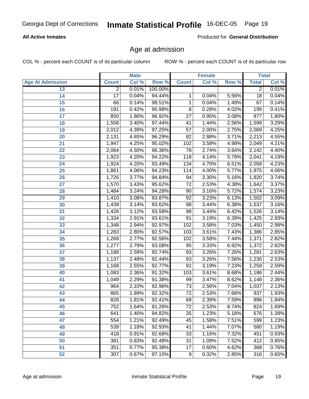### **All Active Inmates**

Produced for **General Distribution**

### Age at admission

|                         |                  | <b>Male</b> |         |                  | <b>Female</b> |       |                 | <b>Total</b> |
|-------------------------|------------------|-------------|---------|------------------|---------------|-------|-----------------|--------------|
| <b>Age At Admission</b> | <b>Count</b>     | Col %       | Row %   | <b>Count</b>     | Col %         | Row % | <b>Total</b>    | Col %        |
| 13                      | $\overline{2}$   | 0.01%       | 100.00% |                  |               |       | $\overline{2}$  | 0.01%        |
| $\overline{14}$         | 17               | 0.04%       | 94.44%  | 1                | 0.04%         | 5.56% | $\overline{18}$ | 0.04%        |
| 15                      | 66               | 0.14%       | 98.51%  | $\mathbf{1}$     | 0.04%         | 1.49% | 67              | 0.14%        |
| 16                      | 191              | 0.42%       | 95.98%  | $\overline{8}$   | 0.28%         | 4.02% | 199             | 0.41%        |
| $\overline{17}$         | 850              | 1.86%       | 96.92%  | $\overline{27}$  | 0.95%         | 3.08% | 877             | 1.80%        |
| 18                      | 1,558            | 3.40%       | 97.44%  | $\overline{41}$  | 1.44%         | 2.56% | 1,599           | 3.29%        |
| 19                      | 2,012            | 4.39%       | 97.25%  | $\overline{57}$  | 2.00%         | 2.75% | 2,069           | 4.25%        |
| 20                      | 2,131            | 4.65%       | 96.29%  | $\overline{82}$  | 2.88%         | 3.71% | 2,213           | 4.55%        |
| 21                      | 1,947            | 4.25%       | 95.02%  | 102              | 3.58%         | 4.98% | 2,049           | 4.21%        |
| $\overline{22}$         | 2,064            | 4.50%       | 96.36%  | 78               | 2.74%         | 3.64% | 2,142           | 4.40%        |
| 23                      | 1,923            | 4.20%       | 94.22%  | 118              | 4.14%         | 5.78% | 2,041           | 4.19%        |
| 24                      | 1,924            | 4.20%       | 93.49%  | $\overline{134}$ | 4.70%         | 6.51% | 2,058           | 4.23%        |
| $\overline{25}$         | 1,861            | 4.06%       | 94.23%  | 114              | 4.00%         | 5.77% | 1,975           | 4.06%        |
| 26                      | 1,726            | 3.77%       | 94.84%  | 94               | 3.30%         | 5.16% | 1,820           | 3.74%        |
| 27                      | 1,570            | 3.43%       | 95.62%  | $\overline{72}$  | 2.53%         | 4.38% | 1,642           | 3.37%        |
| 28                      | 1,484            | 3.24%       | 94.28%  | $\overline{90}$  | 3.16%         | 5.72% | 1,574           | 3.23%        |
| 29                      | 1,410            | 3.08%       | 93.87%  | $\overline{92}$  | 3.23%         | 6.13% | 1,502           | 3.09%        |
| 30                      | 1,439            | 3.14%       | 93.62%  | $\overline{98}$  | 3.44%         | 6.38% | 1,537           | 3.16%        |
| 31                      | 1,428            | 3.12%       | 93.58%  | 98               | 3.44%         | 6.42% | 1,526           | 3.14%        |
| 32                      | 1,334            | 2.91%       | 93.61%  | $\overline{91}$  | 3.19%         | 6.39% | 1,425           | 2.93%        |
| 33                      | 1,348            | 2.94%       | 92.97%  | 102              | 3.58%         | 7.03% | 1,450           | 2.98%        |
| 34                      | 1,283            | 2.80%       | 92.57%  | 103              | 3.61%         | 7.43% | 1,386           | 2.85%        |
| 35                      | 1,269            | 2.77%       | 92.56%  | 102              | 3.58%         | 7.44% | 1,371           | 2.82%        |
| 36                      | 1,277            | 2.79%       | 93.08%  | $\overline{95}$  | 3.33%         | 6.92% | 1,372           | 2.82%        |
| 37                      | 1,188            | 2.59%       | 92.74%  | 93               | 3.26%         | 7.26% | 1,281           | 2.63%        |
| 38                      | 1,137            | 2.48%       | 92.44%  | 93               | 3.26%         | 7.56% | 1,230           | 2.53%        |
| 39                      | 1,168            | 2.55%       | 92.77%  | $\overline{91}$  | 3.19%         | 7.23% | 1,259           | 2.59%        |
| 40                      | 1,083            | 2.36%       | 91.32%  | 103              | 3.61%         | 8.68% | 1,186           | 2.44%        |
| 41                      | 1,049            | 2.29%       | 91.38%  | 99               | 3.47%         | 8.62% | 1,148           | 2.36%        |
| 42                      | 964              | 2.10%       | 92.96%  | $\overline{73}$  | 2.56%         | 7.04% | 1,037           | 2.13%        |
| 43                      | 865              | 1.89%       | 92.32%  | $\overline{72}$  | 2.53%         | 7.68% | 937             | 1.93%        |
| 44                      | 828              | 1.81%       | 92.41%  | 68               | 2.39%         | 7.59% | 896             | 1.84%        |
| 45                      | 752              | 1.64%       | 91.26%  | $\overline{72}$  | 2.53%         | 8.74% | 824             | 1.69%        |
| 46                      | 641              | 1.40%       | 94.82%  | $\overline{35}$  | 1.23%         | 5.18% | 676             | 1.39%        |
| 47                      | 554              | 1.21%       | 92.49%  | 45               | 1.58%         | 7.51% | 599             | 1.23%        |
| 48                      | 539              | 1.18%       | 92.93%  | 41               | 1.44%         | 7.07% | 580             | 1.19%        |
| 49                      | 418              | 0.91%       | 92.68%  | 33               | 1.16%         | 7.32% | 451             | 0.93%        |
| 50                      | 381              | 0.83%       | 92.48%  | 31               | 1.09%         | 7.52% | 412             | 0.85%        |
| 51                      | 351              | 0.77%       | 95.38%  | 17               | 0.60%         | 4.62% | 368             | 0.76%        |
| 52                      | $\overline{307}$ | 0.67%       | 97.15%  | 9                | 0.32%         | 2.85% | 316             | 0.65%        |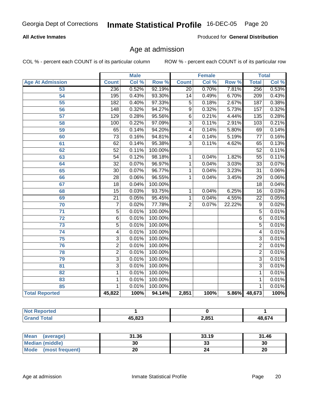#### **All Active Inmates**

Produced for **General Distribution**

### Age at admission

|                         | <b>Male</b>      |       | <b>Female</b> |                         |       | <b>Total</b> |                  |       |
|-------------------------|------------------|-------|---------------|-------------------------|-------|--------------|------------------|-------|
| <b>Age At Admission</b> | <b>Count</b>     | Col % | Row %         | <b>Count</b>            | Col % | Row %        | <b>Total</b>     | Col % |
| 53                      | 236              | 0.52% | 92.19%        | $\overline{20}$         | 0.70% | 7.81%        | 256              | 0.53% |
| $\overline{54}$         | 195              | 0.43% | 93.30%        | $\overline{14}$         | 0.49% | 6.70%        | $\overline{209}$ | 0.43% |
| 55                      | $\overline{182}$ | 0.40% | 97.33%        | $\overline{5}$          | 0.18% | 2.67%        | 187              | 0.38% |
| 56                      | 148              | 0.32% | 94.27%        | $\overline{9}$          | 0.32% | 5.73%        | 157              | 0.32% |
| $\overline{57}$         | 129              | 0.28% | 95.56%        | $\overline{6}$          | 0.21% | 4.44%        | $\overline{135}$ | 0.28% |
| 58                      | 100              | 0.22% | 97.09%        | $\overline{3}$          | 0.11% | 2.91%        | 103              | 0.21% |
| 59                      | 65               | 0.14% | 94.20%        | $\overline{\mathbf{4}}$ | 0.14% | 5.80%        | 69               | 0.14% |
| 60                      | $\overline{73}$  | 0.16% | 94.81%        | $\overline{\mathbf{4}}$ | 0.14% | 5.19%        | $\overline{77}$  | 0.16% |
| 61                      | 62               | 0.14% | 95.38%        | $\overline{3}$          | 0.11% | 4.62%        | 65               | 0.13% |
| 62                      | $\overline{52}$  | 0.11% | 100.00%       |                         |       |              | $\overline{52}$  | 0.11% |
| 63                      | $\overline{54}$  | 0.12% | 98.18%        | 1                       | 0.04% | 1.82%        | $\overline{55}$  | 0.11% |
| 64                      | $\overline{32}$  | 0.07% | 96.97%        | 1                       | 0.04% | 3.03%        | $\overline{33}$  | 0.07% |
| 65                      | $\overline{30}$  | 0.07% | 96.77%        | 1                       | 0.04% | 3.23%        | $\overline{31}$  | 0.06% |
| 66                      | $\overline{28}$  | 0.06% | 96.55%        | 1                       | 0.04% | 3.45%        | $\overline{29}$  | 0.06% |
| 67                      | 18               | 0.04% | 100.00%       |                         |       |              | 18               | 0.04% |
| 68                      | $\overline{15}$  | 0.03% | 93.75%        | 1                       | 0.04% | 6.25%        | $\overline{16}$  | 0.03% |
| 69                      | $\overline{21}$  | 0.05% | 95.45%        | $\overline{1}$          | 0.04% | 4.55%        | $\overline{22}$  | 0.05% |
| 70                      | $\overline{7}$   | 0.02% | 77.78%        | $\overline{2}$          | 0.07% | 22.22%       | $\overline{9}$   | 0.02% |
| $\overline{71}$         | $\overline{5}$   | 0.01% | 100.00%       |                         |       |              | $\overline{5}$   | 0.01% |
| $\overline{72}$         | $\overline{6}$   | 0.01% | 100.00%       |                         |       |              | $\overline{6}$   | 0.01% |
| $\overline{73}$         | $\overline{5}$   | 0.01% | 100.00%       |                         |       |              | $\overline{5}$   | 0.01% |
| 74                      | $\overline{4}$   | 0.01% | 100.00%       |                         |       |              | 4                | 0.01% |
| $\overline{75}$         | $\overline{3}$   | 0.01% | 100.00%       |                         |       |              | $\overline{3}$   | 0.01% |
| 76                      | $\overline{2}$   | 0.01% | 100.00%       |                         |       |              | $\overline{2}$   | 0.01% |
| 78                      | $\overline{2}$   | 0.01% | 100.00%       |                         |       |              | $\overline{2}$   | 0.01% |
| 79                      | $\overline{3}$   | 0.01% | 100.00%       |                         |       |              | $\overline{3}$   | 0.01% |
| $\overline{81}$         | $\overline{3}$   | 0.01% | 100.00%       |                         |       |              | $\overline{3}$   | 0.01% |
| $\overline{82}$         | $\mathbf{1}$     | 0.01% | 100.00%       |                         |       |              | 1                | 0.01% |
| 83                      | 1                | 0.01% | 100.00%       |                         |       |              | 1                | 0.01% |
| 85                      | 1                | 0.01% | 100.00%       |                         |       |              | 1                | 0.01% |
| <b>Total Reported</b>   | 45,822           | 100%  | 94.14%        | 2,851                   | 100%  |              | 5.86% 48,673     | 100%  |

| <b>Not Reported</b> |        |       |        |
|---------------------|--------|-------|--------|
| <b>Grand Total</b>  | 45,823 | 2,851 | 48,674 |

| <b>Mean</b><br>(average) | 31.36 | 33.19   | 31.46 |
|--------------------------|-------|---------|-------|
| <b>Median (middle)</b>   | 30    | ົ<br>აა | 30    |
| Mode<br>(most frequent)  | 20    |         | 20    |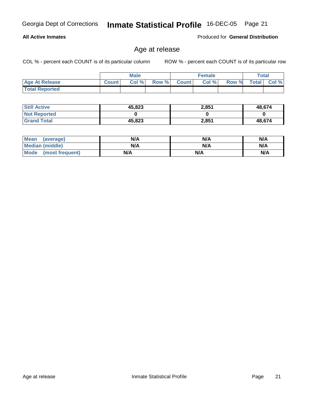**All Active Inmates**

Georgia Dept of Corrections **Inmate Statistical Profile** 16-DEC-05 Page 21

Produced for **General Distribution**

### Age at release

|                       | <b>Male</b>  |       |       | <b>Female</b> |       |       | Total        |          |
|-----------------------|--------------|-------|-------|---------------|-------|-------|--------------|----------|
| <b>Age At Release</b> | <b>Count</b> | Col % | Row % | <b>Count</b>  | Col % | Row % | <b>Total</b> | $Col \%$ |
| <b>Total Reported</b> |              |       |       |               |       |       |              |          |

| <b>Still Active</b> | 45,823 | 2,851 | 48,674 |
|---------------------|--------|-------|--------|
| <b>Not Reported</b> |        |       |        |
| <b>Grand Total</b>  | 45,823 | 2,851 | 48,674 |

| Mean (average)       | N/A | N/A | N/A |
|----------------------|-----|-----|-----|
| Median (middle)      | N/A | N/A | N/A |
| Mode (most frequent) | N/A | N/A | N/A |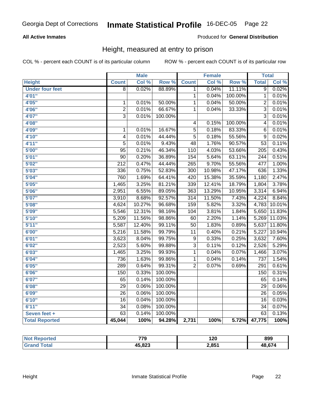### **All Active Inmates**

#### Produced for **General Distribution**

### Height, measured at entry to prison

|                        |                  | <b>Male</b> |         |                  | <b>Female</b> |         | <b>Total</b>     |        |
|------------------------|------------------|-------------|---------|------------------|---------------|---------|------------------|--------|
| <b>Height</b>          | <b>Count</b>     | Col %       | Row %   | <b>Count</b>     | Col %         | Row %   | <b>Total</b>     | Col %  |
| <b>Under four feet</b> | $\overline{8}$   | 0.02%       | 88.89%  | 1                | 0.04%         | 11.11%  | $\overline{9}$   | 0.02%  |
| 4'01''                 |                  |             |         | $\overline{1}$   | 0.04%         | 100.00% | $\mathbf 1$      | 0.01%  |
| 4'05"                  | $\mathbf 1$      | 0.01%       | 50.00%  | $\overline{1}$   | 0.04%         | 50.00%  | $\overline{2}$   | 0.01%  |
| 4'06"                  | $\overline{2}$   | 0.01%       | 66.67%  | $\mathbf{1}$     | 0.04%         | 33.33%  | $\overline{3}$   | 0.01%  |
| 4'07"                  | $\overline{3}$   | 0.01%       | 100.00% |                  |               |         | $\overline{3}$   | 0.01%  |
| 4'08"                  |                  |             |         | 4                | 0.15%         | 100.00% | $\overline{4}$   | 0.01%  |
| 4'09"                  | $\mathbf 1$      | 0.01%       | 16.67%  | $\overline{5}$   | 0.18%         | 83.33%  | $\overline{6}$   | 0.01%  |
| 4'10"                  | $\overline{4}$   | 0.01%       | 44.44%  | $\overline{5}$   | 0.18%         | 55.56%  | $\overline{9}$   | 0.02%  |
| 4'11''                 | $\overline{5}$   | 0.01%       | 9.43%   | $\overline{48}$  | 1.76%         | 90.57%  | $\overline{53}$  | 0.11%  |
| 5'00''                 | $\overline{95}$  | 0.21%       | 46.34%  | 110              | 4.03%         | 53.66%  | $\overline{205}$ | 0.43%  |
| 5'01''                 | $\overline{90}$  | 0.20%       | 36.89%  | 154              | 5.64%         | 63.11%  | $\overline{244}$ | 0.51%  |
| 5'02''                 | $\overline{212}$ | 0.47%       | 44.44%  | $\overline{265}$ | 9.70%         | 55.56%  | 477              | 1.00%  |
| 5'03''                 | 336              | 0.75%       | 52.83%  | $\overline{300}$ | 10.98%        | 47.17%  | 636              | 1.33%  |
| 5'04"                  | 760              | 1.69%       | 64.41%  | 420              | 15.38%        | 35.59%  | 1,180            | 2.47%  |
| 5'05"                  | 1,465            | 3.25%       | 81.21%  | 339              | 12.41%        | 18.79%  | 1,804            | 3.78%  |
| 5'06''                 | 2,951            | 6.55%       | 89.05%  | 363              | 13.29%        | 10.95%  | 3,314            | 6.94%  |
| 5'07''                 | 3,910            | 8.68%       | 92.57%  | $\overline{314}$ | 11.50%        | 7.43%   | 4,224            | 8.84%  |
| 5'08''                 | 4,624            | 10.27%      | 96.68%  | 159              | 5.82%         | 3.32%   | 4,783            | 10.01% |
| 5'09''                 | 5,546            | 12.31%      | 98.16%  | 104              | 3.81%         | 1.84%   | 5,650            | 11.83% |
| 5'10''                 | 5,209            | 11.56%      | 98.86%  | $\overline{60}$  | 2.20%         | 1.14%   | 5,269            | 11.03% |
| 5'11''                 | 5,587            | 12.40%      | 99.11%  | $\overline{50}$  | 1.83%         | 0.89%   | 5,637            | 11.80% |
| 6'00''                 | 5,216            | 11.58%      | 99.79%  | 11               | 0.40%         | 0.21%   | 5,227            | 10.94% |
| 6'01''                 | 3,623            | 8.04%       | 99.75%  | 9                | 0.33%         | 0.25%   | 3,632            | 7.60%  |
| 6'02''                 | 2,523            | 5.60%       | 99.88%  | $\overline{3}$   | 0.11%         | 0.12%   | 2,526            | 5.29%  |
| 6'03''                 | 1,465            | 3.25%       | 99.93%  | 1                | 0.04%         | 0.07%   | 1,466            | 3.07%  |
| 6'04"                  | 736              | 1.63%       | 99.86%  | 1                | 0.04%         | 0.14%   | $\overline{737}$ | 1.54%  |
| 6'05''                 | 289              | 0.64%       | 99.31%  | $\overline{2}$   | 0.07%         | 0.69%   | 291              | 0.61%  |
| 6'06''                 | 150              | 0.33%       | 100.00% |                  |               |         | 150              | 0.31%  |
| 6'07''                 | 65               | 0.14%       | 100.00% |                  |               |         | 65               | 0.14%  |
| 6'08''                 | $\overline{29}$  | 0.06%       | 100.00% |                  |               |         | $\overline{29}$  | 0.06%  |
| 6'09''                 | $\overline{26}$  | 0.06%       | 100.00% |                  |               |         | $\overline{26}$  | 0.05%  |
| 6'10''                 | $\overline{16}$  | 0.04%       | 100.00% |                  |               |         | $\overline{16}$  | 0.03%  |
| 6'11''                 | $\overline{34}$  | 0.08%       | 100.00% |                  |               |         | $\overline{34}$  | 0.07%  |
| Seven feet +           | $\overline{63}$  | 0.14%       | 100.00% |                  |               |         | $\overline{63}$  | 0.13%  |
| <b>Total Reported</b>  | 45,044           | 100%        | 94.28%  | 2,731            | 100%          | 5.72%   | 47,775           | 100%   |

| <b>rted</b><br>'NC | 779    | 120   | 899    |
|--------------------|--------|-------|--------|
| <b>otal</b>        | 45,823 | 2,851 | 48,674 |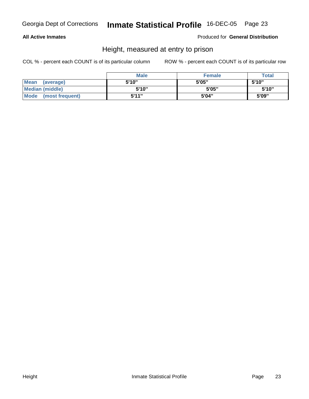#### **All Active Inmates**

#### Produced for **General Distribution**

### Height, measured at entry to prison

|                        | <b>Male</b> | <b>Female</b> | <b>Total</b> |
|------------------------|-------------|---------------|--------------|
| Mean (average)         | 5'10"       | 5'05"         | 5'10"        |
| <b>Median (middle)</b> | 5'10"       | 5'05"         | 5'10"        |
| Mode (most frequent)   | 5'11"       | 5'04"         | 5'09"        |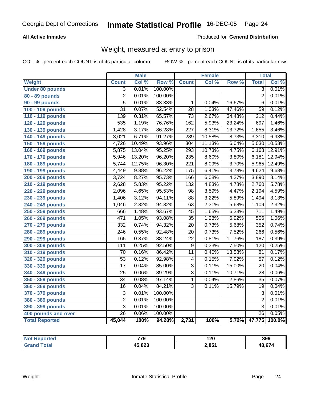### **All Active Inmates**

#### Produced for **General Distribution**

### Weight, measured at entry to prison

|                        |                  | <b>Male</b> |         |                  | Female |        | <b>Total</b>     |        |
|------------------------|------------------|-------------|---------|------------------|--------|--------|------------------|--------|
| Weight                 | <b>Count</b>     | Col %       | Row %   | <b>Count</b>     | Col %  | Row %  | <b>Total</b>     | Col %  |
| <b>Under 80 pounds</b> | $\overline{3}$   | 0.01%       | 100.00% |                  |        |        | $\overline{3}$   | 0.01%  |
| 80 - 89 pounds         | $\overline{2}$   | 0.01%       | 100.00% |                  |        |        | $\overline{2}$   | 0.01%  |
| 90 - 99 pounds         | $\overline{5}$   | 0.01%       | 83.33%  | 1                | 0.04%  | 16.67% | $\overline{6}$   | 0.01%  |
| 100 - 109 pounds       | $\overline{31}$  | 0.07%       | 52.54%  | $\overline{28}$  | 1.03%  | 47.46% | $\overline{59}$  | 0.12%  |
| 110 - 119 pounds       | 139              | 0.31%       | 65.57%  | $\overline{73}$  | 2.67%  | 34.43% | $\overline{212}$ | 0.44%  |
| 120 - 129 pounds       | 535              | 1.19%       | 76.76%  | 162              | 5.93%  | 23.24% | 697              | 1.46%  |
| 130 - 139 pounds       | 1,428            | 3.17%       | 86.28%  | $\overline{227}$ | 8.31%  | 13.72% | 1,655            | 3.46%  |
| 140 - 149 pounds       | 3,021            | 6.71%       | 91.27%  | 289              | 10.58% | 8.73%  | 3,310            | 6.93%  |
| 150 - 159 pounds       | 4,726            | 10.49%      | 93.96%  | 304              | 11.13% | 6.04%  | 5,030            | 10.53% |
| 160 - 169 pounds       | 5,875            | 13.04%      | 95.25%  | 293              | 10.73% | 4.75%  | 6,168            | 12.91% |
| 170 - 179 pounds       | 5,946            | 13.20%      | 96.20%  | 235              | 8.60%  | 3.80%  | 6,181            | 12.94% |
| 180 - 189 pounds       | 5,744            | 12.75%      | 96.30%  | $\overline{221}$ | 8.09%  | 3.70%  | 5,965            | 12.49% |
| 190 - 199 pounds       | 4,449            | 9.88%       | 96.22%  | 175              | 6.41%  | 3.78%  | 4,624            | 9.68%  |
| 200 - 209 pounds       | 3,724            | 8.27%       | 95.73%  | 166              | 6.08%  | 4.27%  | 3,890            | 8.14%  |
| 210 - 219 pounds       | 2,628            | 5.83%       | 95.22%  | 132              | 4.83%  | 4.78%  | 2,760            | 5.78%  |
| 220 - 229 pounds       | 2,096            | 4.65%       | 95.53%  | $\overline{98}$  | 3.59%  | 4.47%  | 2,194            | 4.59%  |
| 230 - 239 pounds       | 1,406            | 3.12%       | 94.11%  | $\overline{88}$  | 3.22%  | 5.89%  | 1,494            | 3.13%  |
| 240 - 249 pounds       | 1,046            | 2.32%       | 94.32%  | $\overline{63}$  | 2.31%  | 5.68%  | 1,109            | 2.32%  |
| 250 - 259 pounds       | 666              | 1.48%       | 93.67%  | $\overline{45}$  | 1.65%  | 6.33%  | $\overline{711}$ | 1.49%  |
| 260 - 269 pounds       | 471              | 1.05%       | 93.08%  | $\overline{35}$  | 1.28%  | 6.92%  | 506              | 1.06%  |
| 270 - 279 pounds       | 332              | 0.74%       | 94.32%  | $\overline{20}$  | 0.73%  | 5.68%  | 352              | 0.74%  |
| 280 - 289 pounds       | $\overline{246}$ | 0.55%       | 92.48%  | $\overline{20}$  | 0.73%  | 7.52%  | 266              | 0.56%  |
| 290 - 299 pounds       | 165              | 0.37%       | 88.24%  | $\overline{22}$  | 0.81%  | 11.76% | 187              | 0.39%  |
| 300 - 309 pounds       | 111              | 0.25%       | 92.50%  | $\overline{9}$   | 0.33%  | 7.50%  | 120              | 0.25%  |
| 310 - 319 pounds       | $\overline{70}$  | 0.16%       | 86.42%  | $\overline{11}$  | 0.40%  | 13.58% | $\overline{81}$  | 0.17%  |
| 320 - 329 pounds       | $\overline{53}$  | 0.12%       | 92.98%  | 4                | 0.15%  | 7.02%  | $\overline{57}$  | 0.12%  |
| 330 - 339 pounds       | 17               | 0.04%       | 85.00%  | 3                | 0.11%  | 15.00% | 20               | 0.04%  |
| 340 - 349 pounds       | 25               | 0.06%       | 89.29%  | 3                | 0.11%  | 10.71% | 28               | 0.06%  |
| 350 - 359 pounds       | $\overline{34}$  | 0.08%       | 97.14%  | 1                | 0.04%  | 2.86%  | $\overline{35}$  | 0.07%  |
| 360 - 369 pounds       | $\overline{16}$  | 0.04%       | 84.21%  | 3                | 0.11%  | 15.79% | 19               | 0.04%  |
| 370 - 379 pounds       | $\overline{3}$   | 0.01%       | 100.00% |                  |        |        | $\overline{3}$   | 0.01%  |
| 380 - 389 pounds       | $\overline{2}$   | 0.01%       | 100.00% |                  |        |        | $\overline{2}$   | 0.01%  |
| 390 - 399 pounds       | $\overline{3}$   | 0.01%       | 100.00% |                  |        |        | $\overline{3}$   | 0.01%  |
| 400 pounds and over    | $\overline{26}$  | 0.06%       | 100.00% |                  |        |        | $\overline{26}$  | 0.05%  |
| <b>Total Reported</b>  | 45,044           | 100%        | 94.28%  | 2,731            | 100%   | 5.72%  | 47,775           | 100.0% |

| <b>eported</b><br>NO. | 770<br>ು | 120   | 899    |
|-----------------------|----------|-------|--------|
| . Gr                  | 45,823   | 2,851 | 48.674 |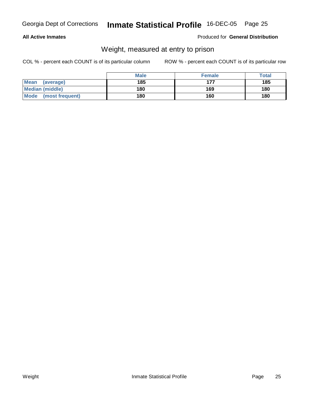#### **All Active Inmates**

#### Produced for **General Distribution**

### Weight, measured at entry to prison

|                         | <b>Male</b> | <b>Female</b> | <b>Total</b> |
|-------------------------|-------------|---------------|--------------|
| Mean<br>(average)       | 185         | 177           | 185          |
| <b>Median (middle)</b>  | 180         | 169           | 180          |
| Mode<br>(most frequent) | 180         | 160           | 180          |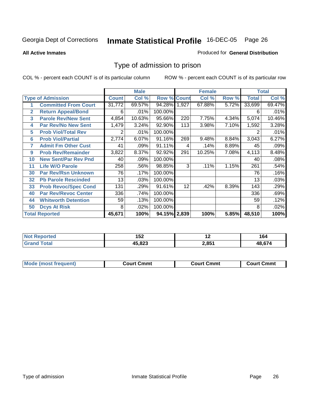**All Active Inmates**

#### Produced for **General Distribution**

### Type of admission to prison

|                          |                             |              | <b>Male</b> |                    | <b>Female</b> |        |       | <b>Total</b> |        |
|--------------------------|-----------------------------|--------------|-------------|--------------------|---------------|--------|-------|--------------|--------|
| <b>Type of Admission</b> |                             | <b>Count</b> | Col %       | <b>Row % Count</b> |               | Col %  | Row % | <b>Total</b> | Col %  |
|                          | <b>Committed From Court</b> | 31,772       | 69.57%      | 94.28% 1,927       |               | 67.88% | 5.72% | 33,699       | 69.47% |
| $\overline{\mathbf{2}}$  | <b>Return Appeal/Bond</b>   | 6            | .01%        | 100.00%            |               |        |       | 6            | .01%   |
| 3                        | <b>Parole Rev/New Sent</b>  | 4,854        | 10.63%      | 95.66%             | 220           | 7.75%  | 4.34% | 5,074        | 10.46% |
| 4                        | <b>Par Rev/No New Sent</b>  | 1,479        | 3.24%       | 92.90%             | 113           | 3.98%  | 7.10% | 1,592        | 3.28%  |
| 5                        | <b>Prob Viol/Total Rev</b>  | 2            | .01%        | 100.00%            |               |        |       | 2            | .01%   |
| 6                        | <b>Prob Viol/Partial</b>    | 2,774        | 6.07%       | 91.16%             | 269           | 9.48%  | 8.84% | 3,043        | 6.27%  |
| 7                        | <b>Admit Fm Other Cust</b>  | 41           | .09%        | 91.11%             | 4             | .14%   | 8.89% | 45           | .09%   |
| 9                        | <b>Prob Rev/Remainder</b>   | 3,822        | 8.37%       | 92.92%             | 291           | 10.25% | 7.08% | 4,113        | 8.48%  |
| 10                       | <b>New Sent/Par Rev Pnd</b> | 40           | .09%        | 100.00%            |               |        |       | 40           | .08%   |
| 11                       | <b>Life W/O Parole</b>      | 258          | .56%        | 98.85%             | 3             | .11%   | 1.15% | 261          | .54%   |
| 30                       | <b>Par Rev/Rsn Unknown</b>  | 76           | .17%        | 100.00%            |               |        |       | 76           | .16%   |
| 32                       | <b>Pb Parole Rescinded</b>  | 13           | .03%        | 100.00%            |               |        |       | 13           | .03%   |
| 33                       | <b>Prob Revoc/Spec Cond</b> | 131          | .29%        | 91.61%             | 12            | .42%   | 8.39% | 143          | .29%   |
| 40                       | <b>Par Rev/Revoc Center</b> | 336          | .74%        | 100.00%            |               |        |       | 336          | .69%   |
| 44                       | <b>Whitworth Detention</b>  | 59           | .13%        | 100.00%            |               |        |       | 59           | .12%   |
| 50                       | <b>Dcys At Risk</b>         | 8            | .02%        | 100.00%            |               |        |       | 8            | .02%   |
|                          | <b>Total Reported</b>       | 45,671       | 100%        | 94.15% 2,839       |               | 100%   | 5.85% | 48,510       | 100%   |

| <b>Not</b> | ^ ר    | . .   | £     |
|------------|--------|-------|-------|
| Reported   | 19Z    |       | 1 ס4  |
| <b>ota</b> | ההה זו | 2,851 | , , , |

| Mode<br>frequent)<br>Cmmt<br>Court Cmmt<br>: Cmmt<br>∴ourt<br>. .ourt<br><b>THIANT</b> |  |  |
|----------------------------------------------------------------------------------------|--|--|
|                                                                                        |  |  |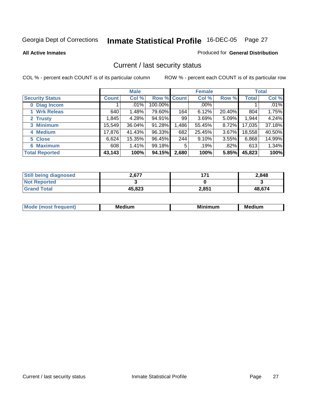**All Active Inmates**

#### Produced for **General Distribution**

### Current / last security status

|                        | <b>Male</b>  |        |             | <b>Female</b> |        |          | <b>Total</b> |         |
|------------------------|--------------|--------|-------------|---------------|--------|----------|--------------|---------|
| <b>Security Status</b> | <b>Count</b> | Col %  | Row % Count |               | Col %  | Row %    | Total        | Col %   |
| 0 Diag Incom           |              | .01%   | 100.00%     |               | .00%   |          |              | $.01\%$ |
| <b>Wrk Releas</b>      | 640          | 1.48%  | 79.60%      | 164           | 6.12%  | 20.40%   | 804          | 1.75%   |
| 2 Trusty               | 1,845        | 4.28%  | 94.91%      | 99            | 3.69%  | 5.09%    | 1,944        | 4.24%   |
| 3 Minimum              | 15,549       | 36.04% | 91.28%      | ∣486. ا       | 55.45% | 8.72%    | 17,035       | 37.18%  |
| 4 Medium               | 17,876       | 41.43% | 96.33%      | 682           | 25.45% | $3.67\%$ | 18,558       | 40.50%  |
| 5 Close                | 6,624        | 15.35% | 96.45%      | 244           | 9.10%  | $3.55\%$ | 6,868        | 14.99%  |
| <b>6 Maximum</b>       | 608          | 1.41%  | 99.18%      | 5             | .19%   | .82%     | 613          | 1.34%   |
| <b>Total Reported</b>  | 43,143       | 100%   | 94.15%      | 2,680         | 100%   | 5.85%    | 45,823       | 100%    |

| <b>Still being diagnosed</b> | 2.677  | 174   | 2,848  |
|------------------------------|--------|-------|--------|
| <b>Not Reported</b>          |        |       |        |
| <b>Grand Total</b>           | 45,823 | 2,851 | 48.674 |

| <b>Mode</b><br><u>ANIIANT</u> | Mer<br>dium | <b>Minimum</b> | Medium |
|-------------------------------|-------------|----------------|--------|
|                               |             |                |        |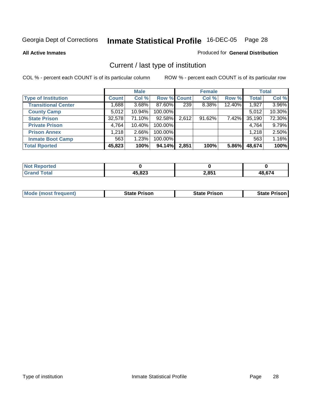**All Active Inmates**

#### Produced for **General Distribution**

### Current / last type of institution

|                            | <b>Male</b>  |          |             | <b>Female</b> |        |        | <b>Total</b> |        |
|----------------------------|--------------|----------|-------------|---------------|--------|--------|--------------|--------|
| <b>Type of Institution</b> | <b>Count</b> | Col %    | Row % Count |               | Col %  | Row %  | <b>Total</b> | Col %  |
| <b>Transitional Center</b> | ا 688.1      | $3.68\%$ | 87.60%      | 239           | 8.38%  | 12.40% | 1,927        | 3.96%  |
| <b>County Camp</b>         | 5,012        | 10.94%   | 100.00%     |               |        |        | 5,012        | 10.30% |
| <b>State Prison</b>        | 32,578       | 71.10%   | 92.58%      | 2,612         | 91.62% | 7.42%  | 35,190       | 72.30% |
| <b>Private Prison</b>      | 4,764        | 10.40%   | 100.00%     |               |        |        | 4,764        | 9.79%  |
| <b>Prison Annex</b>        | 1,218        | $2.66\%$ | 100.00%     |               |        |        | 1,218        | 2.50%  |
| <b>Inmate Boot Camp</b>    | 563          | 1.23%    | 100.00%     |               |        |        | 563          | 1.16%  |
| <b>Total Rported</b>       | 45,823       | 100%     | 94.14%      | 2,851         | 100%   | 5.86%  | 48,674       | 100%   |

| eported<br>. |             |       |        |
|--------------|-------------|-------|--------|
| _____        | 45,823<br>. | 2,851 | גדה הו |

|  | <b>Mode (most frequent)</b> | <b>State Prison</b> | <b>State Prison</b> | <b>State Prison</b> |
|--|-----------------------------|---------------------|---------------------|---------------------|
|--|-----------------------------|---------------------|---------------------|---------------------|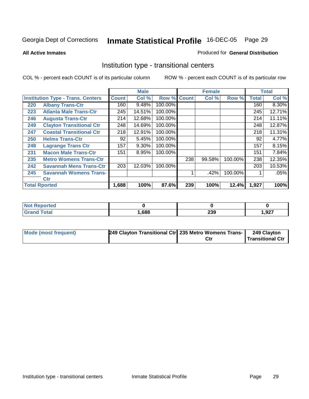**All Active Inmates**

#### Produced for **General Distribution**

### Institution type - transitional centers

|     |                                          |              | <b>Male</b> |             |     | <b>Female</b> |         |              | <b>Total</b> |
|-----|------------------------------------------|--------------|-------------|-------------|-----|---------------|---------|--------------|--------------|
|     | <b>Institution Type - Trans. Centers</b> | <b>Count</b> | Col %       | Row % Count |     | Col %         | Row %   | <b>Total</b> | Col %        |
| 220 | <b>Albany Trans-Ctr</b>                  | 160          | 9.48%       | 100.00%     |     |               |         | 160          | $8.30\%$     |
| 223 | <b>Atlanta Male Trans-Ctr</b>            | 245          | 14.51%      | 100.00%     |     |               |         | 245          | 12.71%       |
| 246 | <b>Augusta Trans-Ctr</b>                 | 214          | 12.68%      | 100.00%     |     |               |         | 214          | 11.11%       |
| 249 | <b>Clayton Transitional Ctr</b>          | 248          | 14.69%      | 100.00%     |     |               |         | 248          | 12.87%       |
| 247 | <b>Coastal Transitional Ctr</b>          | 218          | 12.91%      | 100.00%     |     |               |         | 218          | 11.31%       |
| 250 | <b>Helms Trans-Ctr</b>                   | 92           | 5.45%       | 100.00%     |     |               |         | 92           | 4.77%        |
| 248 | <b>Lagrange Trans Ctr</b>                | 157          | 9.30%       | 100.00%     |     |               |         | 157          | 8.15%        |
| 231 | <b>Macon Male Trans-Ctr</b>              | 151          | 8.95%       | 100.00%     |     |               |         | 151          | 7.84%        |
| 235 | <b>Metro Womens Trans-Ctr</b>            |              |             |             | 238 | 99.58%        | 100.00% | 238          | 12.35%       |
| 242 | <b>Savannah Mens Trans-Ctr</b>           | 203          | 12.03%      | 100.00%     |     |               |         | 203          | 10.53%       |
| 245 | <b>Savannah Womens Trans-</b>            |              |             |             |     | .42%          | 100.00% |              | .05%         |
|     | <b>Ctr</b>                               |              |             |             |     |               |         |              |              |
|     | <b>Total Rported</b>                     | 1,688        | 100%        | 87.6%       | 239 | 100%          | 12.4%   | 1,927        | 100%         |

| prteg<br>. |      |     |      |
|------------|------|-----|------|
|            | ,688 | 239 | ,927 |

| Mode (most frequent) | 249 Clayton Transitional Ctr 235 Metro Womens Trans- |     | 249 Clayton      |
|----------------------|------------------------------------------------------|-----|------------------|
|                      |                                                      | Ctr | Transitional Ctr |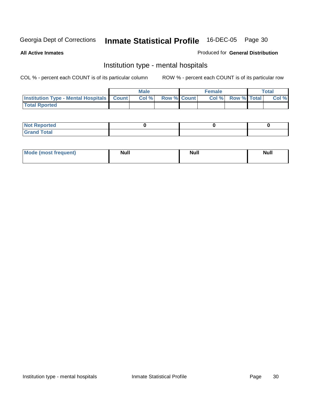**All Active Inmates**

#### Produced for **General Distribution**

### Institution type - mental hospitals

|                                                  | <b>Male</b> |                    | <b>Female</b> |                   | Total |
|--------------------------------------------------|-------------|--------------------|---------------|-------------------|-------|
| <b>Institution Type - Mental Hospitals Count</b> | Col %       | <b>Row % Count</b> |               | Col % Row % Total | Col % |
| <b>Total Rported</b>                             |             |                    |               |                   |       |

| <b>Not Reported</b> |  |  |
|---------------------|--|--|
| <b>Total</b><br>r.  |  |  |

| Mode (most frequent) | <b>Null</b> | <b>Null</b> | <b>Null</b> |
|----------------------|-------------|-------------|-------------|
|                      |             |             |             |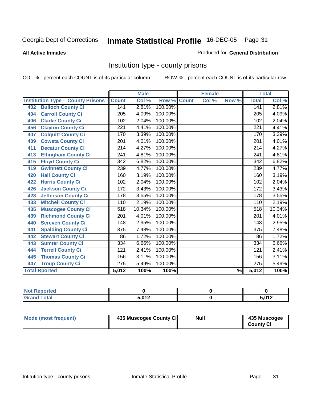#### **All Active Inmates**

#### Produced for **General Distribution**

### Institution type - county prisons

|                                          |                  | <b>Male</b> |         |              | <b>Female</b>             |       |                  | <b>Total</b> |
|------------------------------------------|------------------|-------------|---------|--------------|---------------------------|-------|------------------|--------------|
| <b>Institution Type - County Prisons</b> | <b>Count</b>     | Col %       | Row %   | <b>Count</b> | $\overline{\text{Col}}$ % | Row % | <b>Total</b>     | Col %        |
| <b>Bulloch County Ci</b><br>402          | 141              | 2.81%       | 100.00% |              |                           |       | 141              | 2.81%        |
| <b>Carroll County Ci</b><br>404          | $\overline{205}$ | 4.09%       | 100.00% |              |                           |       | $\overline{205}$ | 4.09%        |
| <b>Clarke County Ci</b><br>406           | 102              | 2.04%       | 100.00% |              |                           |       | 102              | 2.04%        |
| <b>Clayton County Ci</b><br>456          | 221              | 4.41%       | 100.00% |              |                           |       | 221              | 4.41%        |
| <b>Colquitt County Ci</b><br>407         | 170              | 3.39%       | 100.00% |              |                           |       | 170              | 3.39%        |
| <b>Coweta County Ci</b><br>409           | 201              | 4.01%       | 100.00% |              |                           |       | $\overline{201}$ | 4.01%        |
| <b>Decatur County Ci</b><br>411          | 214              | 4.27%       | 100.00% |              |                           |       | $\overline{2}14$ | 4.27%        |
| <b>Effingham County Ci</b><br>413        | 241              | 4.81%       | 100.00% |              |                           |       | 241              | 4.81%        |
| <b>Floyd County Ci</b><br>415            | 342              | 6.82%       | 100.00% |              |                           |       | 342              | 6.82%        |
| <b>Gwinnett County Ci</b><br>419         | 239              | 4.77%       | 100.00% |              |                           |       | 239              | 4.77%        |
| <b>Hall County Ci</b><br>420             | 160              | 3.19%       | 100.00% |              |                           |       | 160              | 3.19%        |
| <b>Harris County Ci</b><br>422           | 102              | 2.04%       | 100.00% |              |                           |       | 102              | 2.04%        |
| <b>Jackson County Ci</b><br>426          | 172              | 3.43%       | 100.00% |              |                           |       | $\overline{172}$ | 3.43%        |
| <b>Jefferson County Ci</b><br>428        | 178              | 3.55%       | 100.00% |              |                           |       | $\overline{178}$ | 3.55%        |
| <b>Mitchell County Ci</b><br>433         | 110              | 2.19%       | 100.00% |              |                           |       | 110              | 2.19%        |
| <b>Muscogee County Ci</b><br>435         | 518              | 10.34%      | 100.00% |              |                           |       | $\overline{518}$ | 10.34%       |
| <b>Richmond County Ci</b><br>439         | $\overline{201}$ | 4.01%       | 100.00% |              |                           |       | $\overline{201}$ | 4.01%        |
| <b>Screven County Ci</b><br>440          | $\overline{148}$ | 2.95%       | 100.00% |              |                           |       | 148              | 2.95%        |
| <b>Spalding County Ci</b><br>441         | $\overline{375}$ | 7.48%       | 100.00% |              |                           |       | $\overline{375}$ | 7.48%        |
| <b>Stewart County Ci</b><br>442          | 86               | 1.72%       | 100.00% |              |                           |       | 86               | 1.72%        |
| <b>Sumter County Ci</b><br>443           | 334              | 6.66%       | 100.00% |              |                           |       | 334              | 6.66%        |
| <b>Terrell County Ci</b><br>444          | 121              | 2.41%       | 100.00% |              |                           |       | 121              | 2.41%        |
| <b>Thomas County Ci</b><br>445           | 156              | 3.11%       | 100.00% |              |                           |       | 156              | 3.11%        |
| <b>Troup County Ci</b><br>447            | $\overline{275}$ | 5.49%       | 100.00% |              |                           |       | $\overline{275}$ | 5.49%        |
| <b>Total Rported</b>                     | 5,012            | 100%        | 100%    |              |                           | $\%$  | 5,012            | 100%         |

| E 040 | E 040<br>$\cdot$ |
|-------|------------------|

| Mode (most frequent) | 435 Muscogee County Ci | Null | 435 Muscogee     |
|----------------------|------------------------|------|------------------|
|                      |                        |      | <b>County Ci</b> |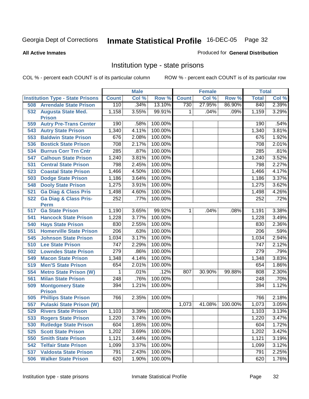#### **All Active Inmates**

#### Produced for **General Distribution**

### Institution type - state prisons

|     |                                                 |                  | <b>Male</b> |         |              | <b>Female</b> |         | <b>Total</b>     |       |
|-----|-------------------------------------------------|------------------|-------------|---------|--------------|---------------|---------|------------------|-------|
|     | <b>Institution Type - State Prisons</b>         | <b>Count</b>     | Col %       | Row %   | <b>Count</b> | Col %         | Row %   | <b>Total</b>     | Col % |
| 508 | <b>Arrendale State Prison</b>                   | 110              | .34%        | 13.10%  | 730          | 27.95%        | 86.90%  | 840              | 2.39% |
| 532 | <b>Augusta State Med.</b><br><b>Prison</b>      | 1,158            | 3.55%       | 99.91%  | $\mathbf 1$  | .04%          | .09%    | 1,159            | 3.29% |
| 559 | <b>Autry Pre-Trans Center</b>                   | 190              | .58%        | 100.00% |              |               |         | 190              | .54%  |
| 543 | <b>Autry State Prison</b>                       | 1,340            | 4.11%       | 100.00% |              |               |         | 1,340            | 3.81% |
| 553 | <b>Baldwin State Prison</b>                     | 676              | 2.08%       | 100.00% |              |               |         | 676              | 1.92% |
| 536 | <b>Bostick State Prison</b>                     | 708              | 2.17%       | 100.00% |              |               |         | 708              | 2.01% |
| 534 | <b>Burrus Corr Trn Cntr</b>                     | 285              | .87%        | 100.00% |              |               |         | 285              | .81%  |
| 547 | <b>Calhoun State Prison</b>                     | 1,240            | 3.81%       | 100.00% |              |               |         | 1,240            | 3.52% |
| 531 | <b>Central State Prison</b>                     | 798              | 2.45%       | 100.00% |              |               |         | 798              | 2.27% |
| 523 | <b>Coastal State Prison</b>                     | 1,466            | 4.50%       | 100.00% |              |               |         | 1,466            | 4.17% |
| 503 | <b>Dodge State Prison</b>                       | 1,186            | 3.64%       | 100.00% |              |               |         | 1,186            | 3.37% |
| 548 | <b>Dooly State Prison</b>                       | 1,275            | 3.91%       | 100.00% |              |               |         | 1,275            | 3.62% |
| 521 | <b>Ga Diag &amp; Class Pris</b>                 | 1,498            | 4.60%       | 100.00% |              |               |         | 1,498            | 4.26% |
| 522 | <b>Ga Diag &amp; Class Pris-</b><br><b>Perm</b> | 252              | .77%        | 100.00% |              |               |         | 252              | .72%  |
| 517 | <b>Ga State Prison</b>                          | 1,190            | 3.65%       | 99.92%  | $\mathbf{1}$ | .04%          | .08%    | 1,191            | 3.38% |
| 541 | <b>Hancock State Prison</b>                     | 1,228            | 3.77%       | 100.00% |              |               |         | 1,228            | 3.49% |
| 540 | <b>Hays State Prison</b>                        | 830              | 2.55%       | 100.00% |              |               |         | 830              | 2.36% |
| 551 | <b>Homerville State Prison</b>                  | $\overline{206}$ | .63%        | 100.00% |              |               |         | 206              | .59%  |
| 545 | <b>Johnson State Prison</b>                     | 1,034            | 3.17%       | 100.00% |              |               |         | 1,034            | 2.94% |
| 510 | <b>Lee State Prison</b>                         | $\overline{747}$ | 2.29%       | 100.00% |              |               |         | $\overline{747}$ | 2.12% |
| 502 | <b>Lowndes State Prison</b>                     | 279              | .86%        | 100.00% |              |               |         | 279              | .79%  |
| 549 | <b>Macon State Prison</b>                       | 1,348            | 4.14%       | 100.00% |              |               |         | 1,348            | 3.83% |
| 519 | <b>Men'S State Prison</b>                       | 654              | 2.01%       | 100.00% |              |               |         | 654              | 1.86% |
| 554 | <b>Metro State Prison (W)</b>                   | 1                | .01%        | .12%    | 807          | 30.90%        | 99.88%  | 808              | 2.30% |
| 561 | <b>Milan State Prison</b>                       | 248              | .76%        | 100.00% |              |               |         | 248              | .70%  |
| 509 | <b>Montgomery State</b><br><b>Prison</b>        | 394              | 1.21%       | 100.00% |              |               |         | 394              | 1.12% |
| 505 | <b>Phillips State Prison</b>                    | 766              | 2.35%       | 100.00% |              |               |         | 766              | 2.18% |
| 557 | <b>Pulaski State Prison (W)</b>                 |                  |             |         | 1,073        | 41.08%        | 100.00% | 1,073            | 3.05% |
| 529 | <b>Rivers State Prison</b>                      | 1,103            | 3.39%       | 100.00% |              |               |         | 1,103            | 3.13% |
| 533 | <b>Rogers State Prison</b>                      | 1,220            | 3.74%       | 100.00% |              |               |         | 1,220            | 3.47% |
| 530 | <b>Rutledge State Prison</b>                    | 604              | 1.85%       | 100.00% |              |               |         | 604              | 1.72% |
| 525 | <b>Scott State Prison</b>                       | 1,202            | 3.69%       | 100.00% |              |               |         | 1,202            | 3.42% |
| 550 | <b>Smith State Prison</b>                       | 1,121            | 3.44%       | 100.00% |              |               |         | 1,121            | 3.19% |
| 542 | <b>Telfair State Prison</b>                     | 1,099            | 3.37%       | 100.00% |              |               |         | 1,099            | 3.12% |
| 537 | <b>Valdosta State Prison</b>                    | 791              | 2.43%       | 100.00% |              |               |         | 791              | 2.25% |
| 506 | <b>Walker State Prison</b>                      | 620              | 1.90%       | 100.00% |              |               |         | 620              | 1.76% |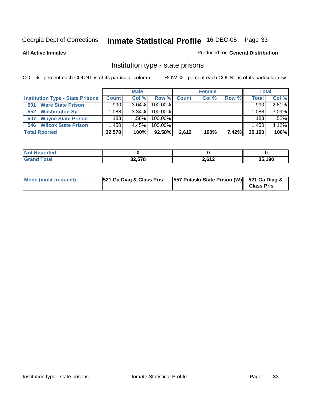**All Active Inmates**

#### Produced for **General Distribution**

### Institution type - state prisons

|                                         |                   | <b>Male</b> |            |              | <b>Female</b> |       | <b>Total</b> |       |
|-----------------------------------------|-------------------|-------------|------------|--------------|---------------|-------|--------------|-------|
| <b>Institution Type - State Prisons</b> | <b>Count</b>      | Col %       | Row %      | <b>Count</b> | Col %         | Row % | <b>Total</b> | Col % |
| <b>Ware State Prison</b><br>501         | 990               | $3.04\%$    | 100.00%    |              |               |       | 990          | 2.81% |
| <b>Washington Sp</b><br>552             | .088              | $3.34\%$    | $100.00\%$ |              |               |       | 1.088        | 3.09% |
| <b>Wayne State Prison</b><br>507        | 183               | $.56\%$     | $100.00\%$ |              |               |       | 183          | .52%  |
| <b>546 Wilcox State Prison</b>          | .450 <sup>°</sup> | 4.45%       | $100.00\%$ |              |               |       | 1.450        | 4.12% |
| <b>Total Rported</b>                    | 32,578            | 100%        | 92.58%     | 2,612        | 100%          | 7.42% | 35,190       | 100%  |

| <b>Not</b><br><b>Reported</b> |        |       |        |
|-------------------------------|--------|-------|--------|
| <b>otal</b>                   | 32,578 | 2,612 | 35,190 |

| Mode (most frequent) | 521 Ga Diag & Class Pris | [557 Pulaski State Prison (W)] 521 Ga Diag & | <b>Class Pris</b> |
|----------------------|--------------------------|----------------------------------------------|-------------------|
|----------------------|--------------------------|----------------------------------------------|-------------------|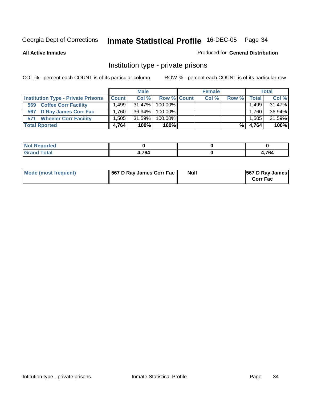**All Active Inmates**

### Produced for **General Distribution**

### Institution type - private prisons

|                                           |              | <b>Male</b> |             | <b>Female</b> |       |          | <b>Total</b> |
|-------------------------------------------|--------------|-------------|-------------|---------------|-------|----------|--------------|
| <b>Institution Type - Private Prisons</b> | <b>Count</b> | Col %       | Row % Count | Col %         | Row % | Total I  | Col %        |
| <b>Coffee Corr Facility</b><br>569        | ا 499. ،     | 31.47%      | $100.00\%$  |               |       | .499     | 31.47%       |
| <b>D Ray James Corr Fac</b><br>567        | 1.760        | $36.94\%$   | $100.00\%$  |               |       | 1.760    | 36.94%       |
| <b>Wheeler Corr Facility</b><br>571       | 1.505        | 31.59%      | 100.00%     |               |       | $.505^+$ | 31.59%       |
| <b>Total Rported</b>                      | 4,764        | 100%        | $100\%$     |               | %     | 4,764    | 100%         |

| المستقلة والمستحدث<br><b>Reported</b><br>' NOT |      |       |
|------------------------------------------------|------|-------|
| <b>otal</b>                                    | .7c/ | 701   |
| -                                              | -04  | 4,704 |

| <b>Mode (most frequent)</b> | 567 D Ray James Corr Fac | Null | <b>567 D Ray James</b><br><b>Corr Fac</b> |
|-----------------------------|--------------------------|------|-------------------------------------------|
|-----------------------------|--------------------------|------|-------------------------------------------|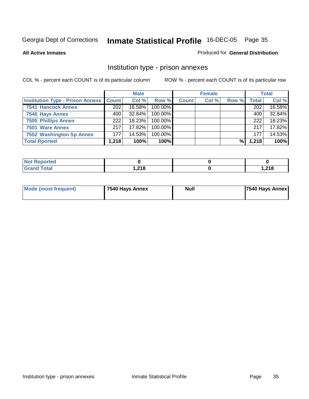#### **All Active Inmates**

#### Produced for **General Distribution**

### Institution type - prison annexes

|                                                   |                  | <b>Male</b> |            |              | <b>Female</b> |       |              | <b>Total</b> |
|---------------------------------------------------|------------------|-------------|------------|--------------|---------------|-------|--------------|--------------|
| <b>Institution Type - Prison Annexe   Count  </b> |                  | Col %       | Row %      | <b>Count</b> | Col %         | Row % | <b>Total</b> | Col %        |
| 7541 Hancock Annex                                | $\overline{202}$ | 16.58%      | 100.00%    |              |               |       | 202          | 16.58%       |
| 7540 Hays Annex                                   | 400              | 32.84%      | $100.00\%$ |              |               |       | 400          | 32.84%       |
| <b>7505 Phillips Annex</b>                        | 222              | 18.23%      | $100.00\%$ |              |               |       | 222          | 18.23%       |
| 7501 Ware Annex                                   | 217              | 17.82%      | $100.00\%$ |              |               |       | 217          | 17.82%       |
| 7552 Washington Sp Annex                          | 177              | 14.53%      | 100.00%    |              |               |       | 177          | 14.53%       |
| <b>Total Rported</b>                              | 1,218            | 100%        | 100%       |              |               | %     | 1,218        | 100%         |

| <b>Reported</b>             |        |               |
|-----------------------------|--------|---------------|
| <b>Total</b><br><b>Grar</b> | 218. ا | .210<br>1,410 |

| Mode (most frequent) | 7540 Hays Annex | Null | 7540 Hays Annex |
|----------------------|-----------------|------|-----------------|
|                      |                 |      |                 |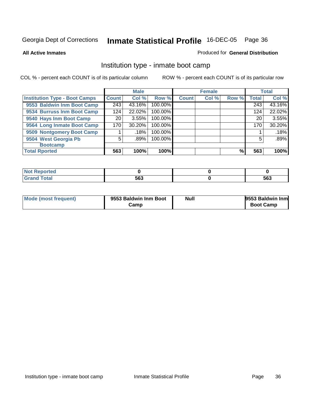**All Active Inmates**

#### Produced for **General Distribution**

### Institution type - inmate boot camp

|                                      |              | <b>Male</b> |         |              | <b>Female</b> |       |       | <b>Total</b> |
|--------------------------------------|--------------|-------------|---------|--------------|---------------|-------|-------|--------------|
| <b>Institution Type - Boot Camps</b> | <b>Count</b> | Col %       | Row %   | <b>Count</b> | Col %         | Row % | Total | Col %        |
| 9553 Baldwin Inm Boot Camp           | 243          | 43.16%      | 100.00% |              |               |       | 243   | 43.16%       |
| 9534 Burruss Inm Boot Camp           | 124          | 22.02%      | 100.00% |              |               |       | 124   | 22.02%       |
| 9540 Hays Inm Boot Camp              | 20           | 3.55%       | 100.00% |              |               |       | 20    | 3.55%        |
| 9564 Long Inmate Boot Camp           | 170          | 30.20%      | 100.00% |              |               |       | 170   | 30.20%       |
| 9509 Nontgomery Boot Camp            |              | .18%        | 100.00% |              |               |       |       | .18%         |
| 9504 West Georgia Pb                 | 5            | .89%        | 100.00% |              |               |       | 5     | .89%         |
| <b>Bootcamp</b>                      |              |             |         |              |               |       |       |              |
| <b>Total Rported</b>                 | 563          | 100%        | 100%    |              |               | %     | 563   | 100%         |

| <b>Peported</b><br>. |     |     |
|----------------------|-----|-----|
| _______              | 563 | 563 |

| Mode (most frequent) | 9553 Baldwin Inm Boot | Null | 9553 Baldwin Inm |
|----------------------|-----------------------|------|------------------|
|                      | Camp                  |      | <b>Boot Camp</b> |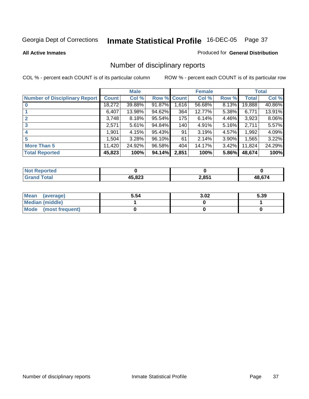### **All Active Inmates**

### Produced for **General Distribution**

## Number of disciplinary reports

|                                      |              | <b>Male</b> |             |       | <b>Female</b> |          |              | <b>Total</b> |
|--------------------------------------|--------------|-------------|-------------|-------|---------------|----------|--------------|--------------|
| <b>Number of Disciplinary Report</b> | <b>Count</b> | Col %       | Row % Count |       | Col %         | Row %    | <b>Total</b> | Col %        |
|                                      | 18,272       | 39.88%      | 91.87%      | 1,616 | 56.68%        | 8.13%    | 19,888       | 40.86%       |
|                                      | 6,407        | 13.98%      | 94.62%      | 364   | 12.77%        | $5.38\%$ | 6,771        | 13.91%       |
|                                      | 3,748        | 8.18%       | 95.54%      | 175   | 6.14%         | 4.46%    | 3,923        | 8.06%        |
| 3                                    | 2,571        | 5.61%       | 94.84%      | 140   | 4.91%         | $5.16\%$ | 2,711        | 5.57%        |
| 4                                    | 1,901        | 4.15%       | 95.43%      | 91    | 3.19%         | 4.57%    | 1,992        | 4.09%        |
| 5                                    | 1,504        | 3.28%       | 96.10%      | 61    | 2.14%         | 3.90%    | 1,565        | 3.22%        |
| <b>More Than 5</b>                   | 11,420       | 24.92%      | 96.58%      | 404   | 14.17%        | $3.42\%$ | 11,824       | 24.29%       |
| <b>Total Reported</b>                | 45,823       | 100%        | 94.14%      | 2,851 | 100%          | 5.86%    | 48,674       | 100%         |

| TA 0<br>N |               |       |                      |
|-----------|---------------|-------|----------------------|
| ______    | <b>AE 000</b> | 2,851 | $\sim$ $\sim$ $\sim$ |

| Mean (average)       | 5.54 | 3.02 | 5.39 |
|----------------------|------|------|------|
| Median (middle)      |      |      |      |
| Mode (most frequent) |      |      |      |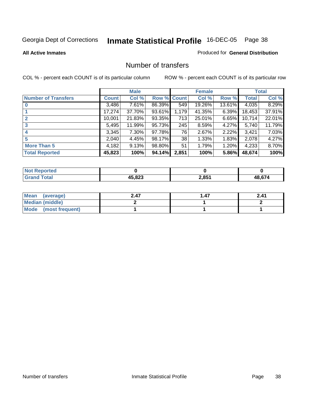### **All Active Inmates**

### Produced for **General Distribution**

## Number of transfers

|                            |        | <b>Male</b> |             |       | <b>Female</b> |          |              | <b>Total</b> |
|----------------------------|--------|-------------|-------------|-------|---------------|----------|--------------|--------------|
| <b>Number of Transfers</b> | Count  | Col %       | Row % Count |       | Col %         | Row %    | <b>Total</b> | Col %        |
|                            | 3,486  | $7.61\%$    | 86.39%      | 549   | 19.26%        | 13.61%   | 4,035        | 8.29%        |
|                            | 17,274 | 37.70%      | 93.61%      | 1,179 | 41.35%        | 6.39%    | 18,453       | 37.91%       |
| $\mathbf{2}$               | 10,001 | 21.83%      | 93.35%      | 713   | 25.01%        | 6.65%    | 10,714       | 22.01%       |
| 3                          | 5,495  | 11.99%      | 95.73%      | 245   | 8.59%         | $4.27\%$ | 5,740        | 11.79%       |
|                            | 3,345  | $7.30\%$    | 97.78%      | 76    | 2.67%         | 2.22%    | 3,421        | 7.03%        |
| 5                          | 2,040  | 4.45%       | 98.17%      | 38    | 1.33%         | $1.83\%$ | 2,078        | 4.27%        |
| <b>More Than 5</b>         | 4,182  | 9.13%       | 98.80%      | 51    | 1.79%         | $1.20\%$ | 4,233        | 8.70%        |
| <b>Total Reported</b>      | 45,823 | 100%        | 94.14%      | 2,851 | 100%          | 5.86%    | 48,674       | 100%         |

| TA 0<br>N |               |       |                      |
|-----------|---------------|-------|----------------------|
| ______    | <b>AE 000</b> | 2,851 | $\sim$ $\sim$ $\sim$ |

| Mean (average)       | 2.47 | 47. ا | 2.41 |
|----------------------|------|-------|------|
| Median (middle)      |      |       |      |
| Mode (most frequent) |      |       |      |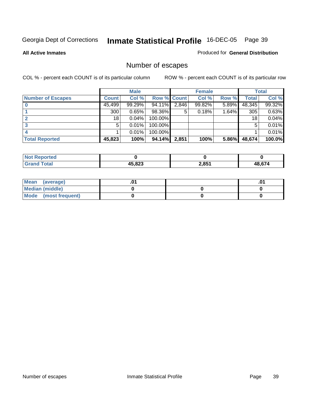**All Active Inmates**

### Produced for **General Distribution**

## Number of escapes

|                          |              | <b>Male</b> |                    |       | <b>Female</b> |          |        | <b>Total</b> |
|--------------------------|--------------|-------------|--------------------|-------|---------------|----------|--------|--------------|
| <b>Number of Escapes</b> | <b>Count</b> | Col %       | <b>Row % Count</b> |       | Col %         | Row %    | Total  | Col %        |
|                          | 45,499       | 99.29%      | 94.11%             | 2,846 | 99.82%        | $5.89\%$ | 48,345 | 99.32%       |
|                          | 300          | 0.65%       | 98.36%             | 5     | 0.18%         | 1.64%    | 305    | 0.63%        |
|                          | 18           | 0.04%       | 100.00%            |       |               |          | 18     | 0.04%        |
|                          | 5            | $0.01\%$    | 100.00%            |       |               |          | 5      | 0.01%        |
|                          |              | $0.01\%$    | 100.00%            |       |               |          |        | 0.01%        |
| <b>Total Reported</b>    | 45,823       | 100%        | 94.14%             | 2,851 | 100%          | 5.86%    | 48,674 | 100.0%       |

| enorted |        |       |        |
|---------|--------|-------|--------|
| Total   | AE 072 | 2,851 | LR 674 |

| Mean<br>(average)       |  | .01 |
|-------------------------|--|-----|
| Median (middle)         |  |     |
| Mode<br>(most frequent) |  |     |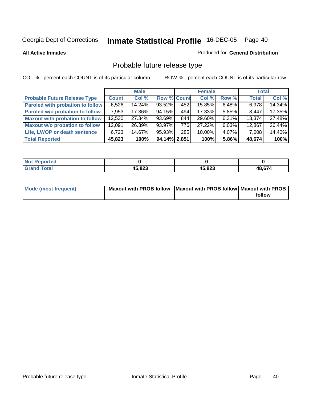**All Active Inmates**

### Produced for **General Distribution**

# Probable future release type

|                                         |        | <b>Male</b> |                    |     | <b>Female</b> |          | <b>Total</b> |        |
|-----------------------------------------|--------|-------------|--------------------|-----|---------------|----------|--------------|--------|
| <b>Probable Future Release Type</b>     | Count  | Col %       | <b>Row % Count</b> |     | Col %         | Row %    | <b>Total</b> | Col %  |
| <b>Paroled with probation to follow</b> | 6,526  | $14.24\%$   | 93.52%             | 452 | 15.85%        | 6.48%    | 6,978        | 14.34% |
| Paroled w/o probation to follow         | 7,953  | 17.36%      | 94.15%             | 494 | 17.33%        | $5.85\%$ | 8.447        | 17.35% |
| Maxout with probation to follow         | 12,530 | 27.34%      | 93.69%             | 844 | 29.60%        | $6.31\%$ | 13,374       | 27.48% |
| <b>Maxout w/o probation to follow</b>   | 12,091 | 26.39%      | 93.97%             | 776 | 27.22%        | 6.03%    | 12,867       | 26.44% |
| Life, LWOP or death sentence            | 6.723  | 14.67%      | 95.93%             | 285 | 10.00%        | $4.07\%$ | 7,008        | 14.40% |
| <b>Total Reported</b>                   | 45,823 | 100%        | 94.14% 2.851       |     | 100%          | 5.86%    | 48,674       | 100%   |

| $^{\dagger}$ Not $\cdot$<br><b>oorted</b> |        |        |        |
|-------------------------------------------|--------|--------|--------|
| <b>fotal</b><br>. Grar                    | 45,823 | 45,823 | 48,674 |

| <b>Mode (most frequent)</b> | Maxout with PROB follow Maxout with PROB follow Maxout with PROB |        |
|-----------------------------|------------------------------------------------------------------|--------|
|                             |                                                                  | follow |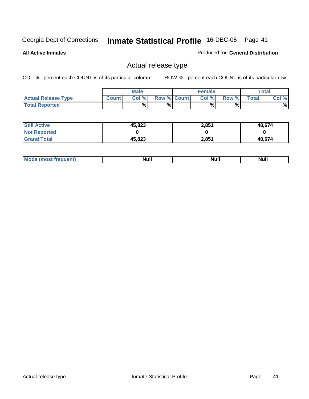**All Active Inmates**

### Produced for **General Distribution**

## Actual release type

|                            |              | <b>Male</b> |                    | <b>Female</b> |       |        | $\tau$ otal |
|----------------------------|--------------|-------------|--------------------|---------------|-------|--------|-------------|
| <b>Actual Release Type</b> | <b>Count</b> | Col %       | <b>Row % Count</b> | Col %         | Row % | Total, | Col %       |
| <b>Total Reported</b>      |              | %           | %                  | %             | %     |        | %           |

| <b>Still Active</b> | 45,823 | 2,851 | 48,674 |
|---------------------|--------|-------|--------|
| <b>Not Reported</b> |        |       |        |
| <b>Grand Total</b>  | 45,823 | 2,851 | 48.674 |

| M<br><b>Null</b><br>Null<br>11WH |  |  |
|----------------------------------|--|--|
|                                  |  |  |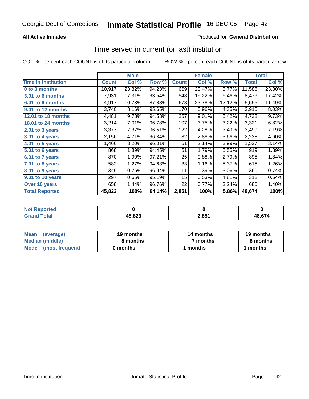## **All Active Inmates**

## Produced for **General Distribution**

## Time served in current (or last) institution

|                              |              | <b>Male</b> |        |              | <b>Female</b> |        |              | Total  |
|------------------------------|--------------|-------------|--------|--------------|---------------|--------|--------------|--------|
| <b>Time In Institution</b>   | <b>Count</b> | Col %       | Row %  | <b>Count</b> | Col %         | Row %  | <b>Total</b> | Col %  |
| 0 to 3 months                | 10,917       | 23.82%      | 94.23% | 669          | 23.47%        | 5.77%  | 11,586       | 23.80% |
| <b>3.01 to 6 months</b>      | 7,931        | 17.31%      | 93.54% | 548          | 19.22%        | 6.46%  | 8,479        | 17.42% |
| 6.01 to 9 months             | 4,917        | 10.73%      | 87.88% | 678          | 23.78%        | 12.12% | 5,595        | 11.49% |
| 9.01 to 12 months            | 3,740        | 8.16%       | 95.65% | 170          | 5.96%         | 4.35%  | 3,910        | 8.03%  |
| 12.01 to 18 months           | 4,481        | 9.78%       | 94.58% | 257          | 9.01%         | 5.42%  | 4,738        | 9.73%  |
| 18.01 to 24 months           | 3,214        | 7.01%       | 96.78% | 107          | 3.75%         | 3.22%  | 3,321        | 6.82%  |
| 2.01 to 3 years              | 3,377        | 7.37%       | 96.51% | 122          | 4.28%         | 3.49%  | 3,499        | 7.19%  |
| 3.01 to 4 years              | 2,156        | 4.71%       | 96.34% | 82           | 2.88%         | 3.66%  | 2,238        | 4.60%  |
| $\overline{4.01}$ to 5 years | 1,466        | 3.20%       | 96.01% | 61           | 2.14%         | 3.99%  | 1,527        | 3.14%  |
| 5.01 to 6 years              | 868          | 1.89%       | 94.45% | 51           | 1.79%         | 5.55%  | 919          | 1.89%  |
| 6.01 to 7 years              | 870          | 1.90%       | 97.21% | 25           | 0.88%         | 2.79%  | 895          | 1.84%  |
| 7.01 to 8 years              | 582          | 1.27%       | 94.63% | 33           | 1.16%         | 5.37%  | 615          | 1.26%  |
| 8.01 to 9 years              | 349          | 0.76%       | 96.94% | 11           | 0.39%         | 3.06%  | 360          | 0.74%  |
| 9.01 to 10 years             | 297          | 0.65%       | 95.19% | 15           | 0.53%         | 4.81%  | 312          | 0.64%  |
| Over 10 years                | 658          | 1.44%       | 96.76% | 22           | 0.77%         | 3.24%  | 680          | 1.40%  |
| <b>Total Reported</b>        | 45,823       | 100%        | 94.14% | 2,851        | 100%          | 5.86%  | 48,674       | 100%   |

| Not R<br><b>Reported</b> |        |          |        |
|--------------------------|--------|----------|--------|
| <b>ofa</b>               | 45,823 | $2,85^*$ | 48 674 |

| Mean<br>(average)    | 19 months | 14 months | 19 months |  |
|----------------------|-----------|-----------|-----------|--|
| Median (middle)      | 8 months  | 7 months  | 8 months  |  |
| Mode (most frequent) | 0 months  | 1 months  | 1 months  |  |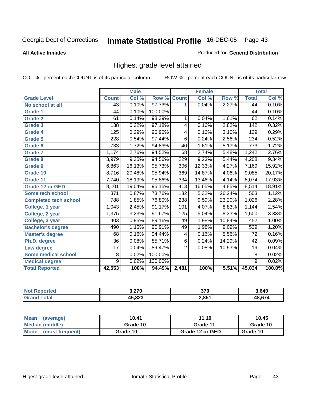### **All Active Inmates**

### Produced for **General Distribution**

## Highest grade level attained

|                              |                  | <b>Male</b> |         |                  | <b>Female</b> |        |                 | <b>Total</b> |
|------------------------------|------------------|-------------|---------|------------------|---------------|--------|-----------------|--------------|
| <b>Grade Level</b>           | <b>Count</b>     | Col %       | Row %   | <b>Count</b>     | Col %         | Row %  | <b>Total</b>    | Col %        |
| No school at all             | 43               | 0.10%       | 97.73%  | 1                | 0.04%         | 2.27%  | 44              | 0.10%        |
| <b>Grade 1</b>               | $\overline{44}$  | 0.10%       | 100.00% |                  |               |        | 44              | 0.10%        |
| <b>Grade 2</b>               | 61               | 0.14%       | 98.39%  | 1                | 0.04%         | 1.61%  | 62              | 0.14%        |
| <b>Grade 3</b>               | 138              | 0.32%       | 97.18%  | 4                | 0.16%         | 2.82%  | 142             | 0.32%        |
| Grade 4                      | 125              | 0.29%       | 96.90%  | 4                | 0.16%         | 3.10%  | 129             | 0.29%        |
| Grade 5                      | 228              | 0.54%       | 97.44%  | $\overline{6}$   | 0.24%         | 2.56%  | 234             | 0.52%        |
| Grade 6                      | 733              | 1.72%       | 94.83%  | 40               | 1.61%         | 5.17%  | 773             | 1.72%        |
| <b>Grade 7</b>               | 1,174            | 2.76%       | 94.52%  | 68               | 2.74%         | 5.48%  | 1,242           | 2.76%        |
| <b>Grade 8</b>               | 3,979            | 9.35%       | 94.56%  | 229              | 9.23%         | 5.44%  | 4,208           | 9.34%        |
| <b>Grade 9</b>               | 6,863            | 16.13%      | 95.73%  | 306              | 12.33%        | 4.27%  | 7,169           | 15.92%       |
| Grade 10                     | 8,716            | 20.48%      | 95.94%  | 369              | 14.87%        | 4.06%  | 9,085           | 20.17%       |
| Grade 11                     | 7,740            | 18.19%      | 95.86%  | 334              | 13.46%        | 4.14%  | 8,074           | 17.93%       |
| <b>Grade 12 or GED</b>       | 8,101            | 19.04%      | 95.15%  | 413              | 16.65%        | 4.85%  | 8,514           | 18.91%       |
| Some tech school             | $\overline{371}$ | 0.87%       | 73.76%  | 132              | 5.32%         | 26.24% | 503             | 1.12%        |
| <b>Completed tech school</b> | 788              | 1.85%       | 76.80%  | 238              | 9.59%         | 23.20% | 1,026           | 2.28%        |
| College, 1 year              | 1,043            | 2.45%       | 91.17%  | 101              | 4.07%         | 8.83%  | 1,144           | 2.54%        |
| College, 2 year              | 1,375            | 3.23%       | 91.67%  | $\overline{125}$ | 5.04%         | 8.33%  | 1,500           | 3.33%        |
| College, 3 year              | 403              | 0.95%       | 89.16%  | 49               | 1.98%         | 10.84% | 452             | 1.00%        |
| <b>Bachelor's degree</b>     | 490              | 1.15%       | 90.91%  | 49               | 1.98%         | 9.09%  | 539             | 1.20%        |
| <b>Master's degree</b>       | 68               | 0.16%       | 94.44%  | 4                | 0.16%         | 5.56%  | 72              | 0.16%        |
| Ph.D. degree                 | $\overline{36}$  | 0.08%       | 85.71%  | $\overline{6}$   | 0.24%         | 14.29% | $\overline{42}$ | 0.09%        |
| Law degree                   | $\overline{17}$  | 0.04%       | 89.47%  | $\overline{2}$   | 0.08%         | 10.53% | $\overline{19}$ | 0.04%        |
| <b>Some medical school</b>   | 8                | 0.02%       | 100.00% |                  |               |        | 8               | 0.02%        |
| <b>Medical degree</b>        | $\overline{9}$   | 0.02%       | 100.00% |                  |               |        | $\overline{9}$  | 0.02%        |
| <b>Total Reported</b>        | 42,553           | 100%        | 94.49%  | 2,481            | 100%          | 5.51%  | 45,034          | 100.0%       |

| מדה ה  | 270<br>vı u  | 8.640                       |
|--------|--------------|-----------------------------|
| 15 000 | 2.851<br>∠,∪ | $\sim$ $\sim$ $\sim$ $\sim$ |

| Mean<br>(average)       | 10.41    | 11.10           | 10.45    |
|-------------------------|----------|-----------------|----------|
| Median (middle)         | Grade 10 | Grade 11        | Grade 10 |
| Mode<br>(most frequent) | Grade 10 | Grade 12 or GED | Grade 10 |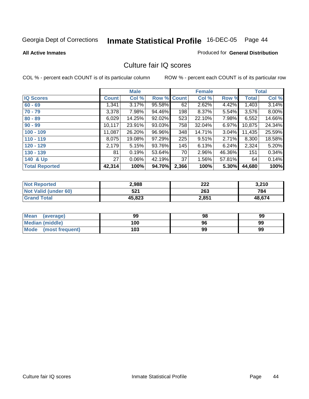### **All Active Inmates**

### Produced for **General Distribution**

## Culture fair IQ scores

|                       |              | <b>Male</b> |        |              | <b>Female</b> |          |              | <b>Total</b> |
|-----------------------|--------------|-------------|--------|--------------|---------------|----------|--------------|--------------|
| <b>IQ Scores</b>      | <b>Count</b> | Col %       | Row %  | <b>Count</b> | Col %         | Row %    | <b>Total</b> | Col %        |
| $60 - 69$             | 1,341        | 3.17%       | 95.58% | 62           | 2.62%         | 4.42%    | 1,403        | 3.14%        |
| $70 - 79$             | 3,378        | 7.98%       | 94.46% | 198          | 8.37%         | 5.54%    | 3,576        | 8.00%        |
| $80 - 89$             | 6,029        | 14.25%      | 92.02% | 523          | 22.10%        | 7.98%    | 6,552        | 14.66%       |
| $90 - 99$             | 10,117       | 23.91%      | 93.03% | 758          | 32.04%        | $6.97\%$ | 10,875       | 24.34%       |
| $100 - 109$           | 11,087       | 26.20%      | 96.96% | 348          | 14.71%        | $3.04\%$ | 11,435       | 25.59%       |
| $110 - 119$           | 8,075        | 19.08%      | 97.29% | 225          | 9.51%         | 2.71%    | 8,300        | 18.58%       |
| $120 - 129$           | 2,179        | 5.15%       | 93.76% | 145          | 6.13%         | $6.24\%$ | 2,324        | 5.20%        |
| $130 - 139$           | 81           | 0.19%       | 53.64% | 70           | 2.96%         | 46.36%   | 151          | 0.34%        |
| 140 & Up              | 27           | 0.06%       | 42.19% | 37           | 1.56%         | 57.81%   | 64           | 0.14%        |
| <b>Total Reported</b> | 42,314       | 100%        | 94.70% | 2,366        | 100%          | 5.30%    | 44,680       | 100%         |

| <b>Not Reported</b>  | 2,988  | 222   | 3,210  |
|----------------------|--------|-------|--------|
| Not Valid (under 60) | 521    | 263   | 784    |
| <b>Grand Total</b>   | 45,823 | 2,851 | 48.674 |

| Mean<br>(average)       | 99  | 98 | 99 |
|-------------------------|-----|----|----|
| Median (middle)         | 100 | 96 | 99 |
| Mode<br>(most frequent) | 103 | 99 | 99 |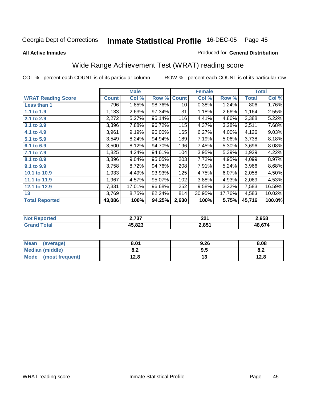### **All Active Inmates**

### Produced for **General Distribution**

## Wide Range Achievement Test (WRAT) reading score

|                           |              | <b>Male</b> |        |              | <b>Female</b> |        |              | <b>Total</b> |
|---------------------------|--------------|-------------|--------|--------------|---------------|--------|--------------|--------------|
| <b>WRAT Reading Score</b> | <b>Count</b> | Col %       | Row %  | <b>Count</b> | Col %         | Row %  | <b>Total</b> | Col %        |
| Less than 1               | 796          | 1.85%       | 98.76% | 10           | 0.38%         | 1.24%  | 806          | 1.76%        |
| 1.1 to 1.9                | 1,133        | 2.63%       | 97.34% | 31           | 1.18%         | 2.66%  | 1,164        | 2.55%        |
| 2.1 to 2.9                | 2,272        | 5.27%       | 95.14% | 116          | 4.41%         | 4.86%  | 2,388        | 5.22%        |
| 3.1 to 3.9                | 3,396        | 7.88%       | 96.72% | 115          | 4.37%         | 3.28%  | 3,511        | 7.68%        |
| 4.1 to 4.9                | 3,961        | 9.19%       | 96.00% | 165          | 6.27%         | 4.00%  | 4,126        | 9.03%        |
| 5.1 to 5.9                | 3,549        | 8.24%       | 94.94% | 189          | 7.19%         | 5.06%  | 3,738        | 8.18%        |
| 6.1 to 6.9                | 3,500        | 8.12%       | 94.70% | 196          | 7.45%         | 5.30%  | 3,696        | 8.08%        |
| 7.1 to 7.9                | 1,825        | 4.24%       | 94.61% | 104          | 3.95%         | 5.39%  | 1,929        | 4.22%        |
| 8.1 to 8.9                | 3,896        | 9.04%       | 95.05% | 203          | 7.72%         | 4.95%  | 4,099        | 8.97%        |
| 9.1 to 9.9                | 3,758        | 8.72%       | 94.76% | 208          | 7.91%         | 5.24%  | 3,966        | 8.68%        |
| 10.1 to 10.9              | 1,933        | 4.49%       | 93.93% | 125          | 4.75%         | 6.07%  | 2,058        | 4.50%        |
| 11.1 to 11.9              | 1,967        | 4.57%       | 95.07% | 102          | 3.88%         | 4.93%  | 2,069        | 4.53%        |
| 12.1 to 12.9              | 7,331        | 17.01%      | 96.68% | 252          | 9.58%         | 3.32%  | 7,583        | 16.59%       |
| 13                        | 3,769        | 8.75%       | 82.24% | 814          | 30.95%        | 17.76% | 4,583        | 10.02%       |
| <b>Total Reported</b>     | 43,086       | 100%        | 94.25% | 2,630        | 100%          | 5.75%  | 45,716       | 100.0%       |

| orted<br>NΩ | דמד מ<br>.J 1   | າາາ<br>ZZ I | 2,958  |
|-------------|-----------------|-------------|--------|
| $-1$        | E 000<br>נ∡ס.כו | 2,851       | 48.674 |

| <b>Mean</b><br>(average) | 8.01       | 9.26 | 8.08 |
|--------------------------|------------|------|------|
| <b>Median (middle)</b>   | י ה<br>0.Z | 9.5  | o.z  |
| Mode<br>(most frequent)  | 12.8       | . .  | 12.8 |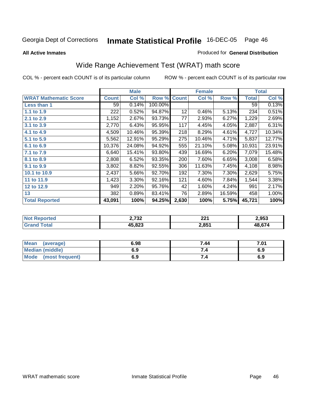**All Active Inmates**

### Produced for **General Distribution**

## Wide Range Achievement Test (WRAT) math score

|                              |              | <b>Male</b> |         |                 | <b>Female</b> |        |              | <b>Total</b> |
|------------------------------|--------------|-------------|---------|-----------------|---------------|--------|--------------|--------------|
| <b>WRAT Mathematic Score</b> | <b>Count</b> | Col %       | Row %   | <b>Count</b>    | Col %         | Row %  | <b>Total</b> | Col %        |
| <b>Less than 1</b>           | 59           | 0.14%       | 100.00% |                 |               |        | 59           | 0.13%        |
| 1.1 to 1.9                   | 222          | 0.52%       | 94.87%  | 12 <sub>2</sub> | 0.46%         | 5.13%  | 234          | 0.51%        |
| 2.1 to 2.9                   | 1,152        | 2.67%       | 93.73%  | 77              | 2.93%         | 6.27%  | 1,229        | 2.69%        |
| 3.1 to 3.9                   | 2,770        | 6.43%       | 95.95%  | 117             | 4.45%         | 4.05%  | 2,887        | 6.31%        |
| 4.1 to 4.9                   | 4,509        | 10.46%      | 95.39%  | 218             | 8.29%         | 4.61%  | 4,727        | 10.34%       |
| 5.1 to 5.9                   | 5,562        | 12.91%      | 95.29%  | 275             | 10.46%        | 4.71%  | 5,837        | 12.77%       |
| 6.1 to 6.9                   | 10,376       | 24.08%      | 94.92%  | 555             | 21.10%        | 5.08%  | 10,931       | 23.91%       |
| 7.1 to 7.9                   | 6,640        | 15.41%      | 93.80%  | 439             | 16.69%        | 6.20%  | 7,079        | 15.48%       |
| 8.1 to 8.9                   | 2,808        | 6.52%       | 93.35%  | 200             | 7.60%         | 6.65%  | 3,008        | 6.58%        |
| 9.1 to 9.9                   | 3,802        | 8.82%       | 92.55%  | 306             | 11.63%        | 7.45%  | 4,108        | 8.98%        |
| 10.1 to 10.9                 | 2,437        | 5.66%       | 92.70%  | 192             | 7.30%         | 7.30%  | 2,629        | 5.75%        |
| 11 to 11.9                   | 1,423        | 3.30%       | 92.16%  | 121             | 4.60%         | 7.84%  | 1,544        | 3.38%        |
| 12 to 12.9                   | 949          | 2.20%       | 95.76%  | 42              | 1.60%         | 4.24%  | 991          | 2.17%        |
| 13                           | 382          | 0.89%       | 83.41%  | 76              | 2.89%         | 16.59% | 458          | 1.00%        |
| <b>Total Reported</b>        | 43,091       | 100%        | 94.25%  | 2,630           | 100%          | 5.75%  | 45,721       | 100%         |

| <b>2.722</b><br>94      | ົາາາ<br>ZZ I      | 2.953  |
|-------------------------|-------------------|--------|
| $\epsilon$ 000<br>د ے . | 2,85 <sup>4</sup> | 48 674 |

| <b>Mean</b><br>(average) | 6.98 | 7.44 | 7.01 |
|--------------------------|------|------|------|
| <b>Median (middle)</b>   | 6.9  |      | 6.9  |
| Mode<br>(most frequent)  | 6.9  | 7.4  | 6.9  |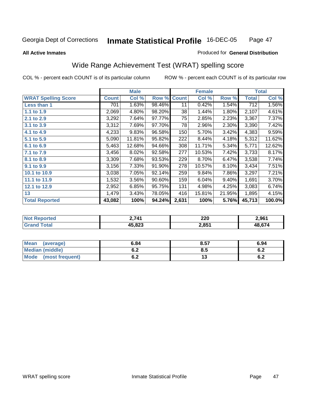### **All Active Inmates**

### Produced for **General Distribution**

## Wide Range Achievement Test (WRAT) spelling score

|                            |              | <b>Male</b> |        |              | <b>Female</b> |          |              | <b>Total</b> |
|----------------------------|--------------|-------------|--------|--------------|---------------|----------|--------------|--------------|
| <b>WRAT Spelling Score</b> | <b>Count</b> | Col %       | Row %  | <b>Count</b> | Col %         | Row %    | <b>Total</b> | Col %        |
| Less than 1                | 701          | 1.63%       | 98.46% | 11           | 0.42%         | 1.54%    | 712          | 1.56%        |
| 1.1 to 1.9                 | 2,069        | 4.80%       | 98.20% | 38           | 1.44%         | 1.80%    | 2,107        | 4.61%        |
| 2.1 to 2.9                 | 3,292        | 7.64%       | 97.77% | 75           | 2.85%         | 2.23%    | 3,367        | 7.37%        |
| 3.1 to 3.9                 | 3,312        | 7.69%       | 97.70% | 78           | 2.96%         | 2.30%    | 3,390        | 7.42%        |
| 4.1 to 4.9                 | 4,233        | 9.83%       | 96.58% | 150          | 5.70%         | 3.42%    | 4,383        | 9.59%        |
| 5.1 to 5.9                 | 5,090        | 11.81%      | 95.82% | 222          | 8.44%         | 4.18%    | 5,312        | 11.62%       |
| 6.1 to 6.9                 | 5,463        | 12.68%      | 94.66% | 308          | 11.71%        | 5.34%    | 5,771        | 12.62%       |
| 7.1 to 7.9                 | 3,456        | 8.02%       | 92.58% | 277          | 10.53%        | 7.42%    | 3,733        | 8.17%        |
| 8.1 to 8.9                 | 3,309        | 7.68%       | 93.53% | 229          | 8.70%         | 6.47%    | 3,538        | 7.74%        |
| 9.1 to 9.9                 | 3,156        | 7.33%       | 91.90% | 278          | 10.57%        | 8.10%    | 3,434        | 7.51%        |
| 10.1 to 10.9               | 3,038        | 7.05%       | 92.14% | 259          | 9.84%         | 7.86%    | 3,297        | 7.21%        |
| 11.1 to 11.9               | 1,532        | 3.56%       | 90.60% | 159          | 6.04%         | $9.40\%$ | 1,691        | 3.70%        |
| 12.1 to 12.9               | 2,952        | 6.85%       | 95.75% | 131          | 4.98%         | 4.25%    | 3,083        | 6.74%        |
| 13                         | 1,479        | 3.43%       | 78.05% | 416          | 15.81%        | 21.95%   | 1,895        | 4.15%        |
| <b>Total Reported</b>      | 43,082       | 100%        | 94.24% | 2,631        | 100%          | 5.76%    | 45,713       | 100.0%       |

| orted<br><b>NO</b> | 711 (             | 220<br>_____ | 2.961  |
|--------------------|-------------------|--------------|--------|
| $\sim$             | ההה זו<br>.כ∡ס, כ | 2,851        | 10 C71 |

| <b>Mean</b><br>(average) | 6.84               | 8.57 | 6.94       |
|--------------------------|--------------------|------|------------|
| <b>Median (middle)</b>   | . .<br>$v_{\cdot}$ | 8.5  | 0.Z        |
| Mode<br>(most frequent)  | v.z                | ט ו  | e o<br>0.4 |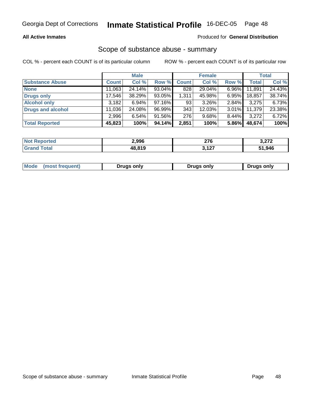### **All Active Inmates**

### Produced for **General Distribution**

## Scope of substance abuse - summary

|                          |              | <b>Male</b> |        |              | <b>Female</b> |       |              | <b>Total</b> |
|--------------------------|--------------|-------------|--------|--------------|---------------|-------|--------------|--------------|
| <b>Substance Abuse</b>   | <b>Count</b> | Col %       | Row %  | <b>Count</b> | Col %         | Row % | <b>Total</b> | Col %        |
| <b>None</b>              | 11,063       | 24.14%      | 93.04% | 828          | 29.04%        | 6.96% | 11,891       | 24.43%       |
| <b>Drugs only</b>        | 17,546       | 38.29%      | 93.05% | 1,311        | 45.98%        | 6.95% | 18,857       | 38.74%       |
| <b>Alcohol only</b>      | 3,182        | 6.94%       | 97.16% | 93           | 3.26%         | 2.84% | 3,275        | 6.73%        |
| <b>Drugs and alcohol</b> | 11,036       | 24.08%      | 96.99% | 343          | 12.03%        | 3.01% | 11,379       | 23.38%       |
|                          | 2,996        | 6.54%       | 91.56% | 276          | 9.68%         | 8.44% | 3,272        | 6.72%        |
| <b>Total Reported</b>    | 45,823       | 100%        | 94.14% | 2,851        | 100%          | 5.86% | 48,674       | 100%         |

| 2.996  | 276<br>__                       | <b>2.222</b><br>J. <i>ll L</i> |
|--------|---------------------------------|--------------------------------|
| 48 810 | <b>2427</b><br><br>. <i>.</i> . | 1,946<br>E4                    |

| Mode | INDST | Druas onlv | Druas onlv | Druas onlv |
|------|-------|------------|------------|------------|
|      |       |            |            |            |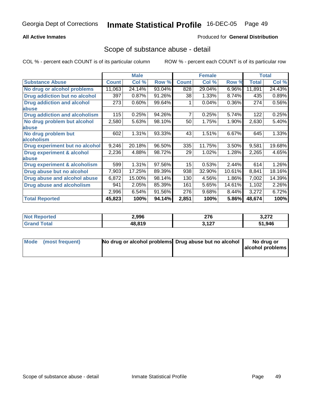### **All Active Inmates**

### Produced for **General Distribution**

## Scope of substance abuse - detail

|                                      |              | <b>Male</b> |        |                  | <b>Female</b> |          |              | <b>Total</b> |
|--------------------------------------|--------------|-------------|--------|------------------|---------------|----------|--------------|--------------|
| <b>Substance Abuse</b>               | <b>Count</b> | Col %       | Row %  | <b>Count</b>     | Col %         | Row %    | <b>Total</b> | Col %        |
| No drug or alcohol problems          | 11,063       | 24.14%      | 93.04% | 828              | 29.04%        | 6.96%    | 11,891       | 24.43%       |
| Drug addiction but no alcohol        | 397          | 0.87%       | 91.26% | 38               | 1.33%         | 8.74%    | 435          | 0.89%        |
| <b>Drug addiction and alcohol</b>    | 273          | 0.60%       | 99.64% |                  | 0.04%         | $0.36\%$ | 274          | 0.56%        |
| abuse                                |              |             |        |                  |               |          |              |              |
| <b>Drug addiction and alcoholism</b> | 115          | 0.25%       | 94.26% | 7                | 0.25%         | 5.74%    | 122          | 0.25%        |
| No drug problem but alcohol          | 2,580        | 5.63%       | 98.10% | 50               | 1.75%         | 1.90%    | 2,630        | 5.40%        |
| abuse                                |              |             |        |                  |               |          |              |              |
| No drug problem but                  | 602          | 1.31%       | 93.33% | 43               | 1.51%         | 6.67%    | 645          | 1.33%        |
| alcoholism                           |              |             |        |                  |               |          |              |              |
| Drug experiment but no alcohol       | 9,246        | 20.18%      | 96.50% | 335              | 11.75%        | 3.50%    | 9,581        | 19.68%       |
| <b>Drug experiment &amp; alcohol</b> | 2,236        | 4.88%       | 98.72% | 29               | 1.02%         | 1.28%    | 2,265        | 4.65%        |
| <b>labuse</b>                        |              |             |        |                  |               |          |              |              |
| Drug experiment & alcoholism         | 599          | 1.31%       | 97.56% | 15 <sub>15</sub> | 0.53%         | 2.44%    | 614          | 1.26%        |
| Drug abuse but no alcohol            | 7,903        | 17.25%      | 89.39% | 938              | 32.90%        | 10.61%   | 8,841        | 18.16%       |
| Drug abuse and alcohol abuse         | 6,872        | 15.00%      | 98.14% | 130              | 4.56%         | $1.86\%$ | 7,002        | 14.39%       |
| Drug abuse and alcoholism            | 941          | 2.05%       | 85.39% | 161              | 5.65%         | 14.61%   | 1,102        | 2.26%        |
|                                      | 2,996        | 6.54%       | 91.56% | 276              | 9.68%         | 8.44%    | 3,272        | 6.72%        |
| <b>Total Reported</b>                | 45,823       | 100%        | 94.14% | 2,851            | 100%          | 5.86%    | 48,674       | 100%         |

| <u>nteo</u><br>N | 2,996  | <b>270</b><br>21 V<br>$\sim$ $\sim$ | יים ה  |
|------------------|--------|-------------------------------------|--------|
|                  | 48.819 | רמו<br><b>V.IL.</b>                 | 51,946 |

| Mode (most frequent) | No drug or alcohol problems Drug abuse but no alcohol | No drug or       |
|----------------------|-------------------------------------------------------|------------------|
|                      |                                                       | alcohol problems |
|                      |                                                       |                  |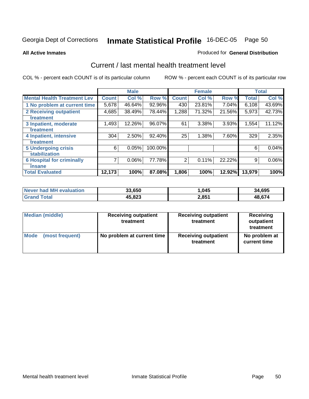**All Active Inmates**

### Produced for **General Distribution**

## Current / last mental health treatment level

|                                    |              | <b>Male</b> |           |              | <b>Female</b> |          |              | <b>Total</b> |
|------------------------------------|--------------|-------------|-----------|--------------|---------------|----------|--------------|--------------|
| <b>Mental Health Treatment Lev</b> | <b>Count</b> | Col %       | Row %     | <b>Count</b> | Col %         | Row %    | <b>Total</b> | Col %        |
| 1 No problem at current time       | 5,678        | 46.64%      | 92.96%    | 430          | 23.81%        | $7.04\%$ | 6,108        | 43.69%       |
| <b>2 Receiving outpatient</b>      | 4,685        | 38.49%      | 78.44%    | 1,288        | 71.32%        | 21.56%   | 5,973        | 42.73%       |
| treatment                          |              |             |           |              |               |          |              |              |
| 3 Inpatient, moderate              | 1,493        | 12.26%      | 96.07%    | 61           | 3.38%         | 3.93%    | 1,554        | 11.12%       |
| treatment                          |              |             |           |              |               |          |              |              |
| 4 Inpatient, intensive             | 304          | 2.50%       | $92.40\%$ | 25           | 1.38%         | 7.60%    | 329          | 2.35%        |
| treatment                          |              |             |           |              |               |          |              |              |
| <b>5 Undergoing crisis</b>         | 6            | 0.05%       | 100.00%   |              |               |          | 6            | 0.04%        |
| stabilization                      |              |             |           |              |               |          |              |              |
| <b>6 Hospital for criminally</b>   | 7            | 0.06%       | 77.78%    | 2            | 0.11%         | 22.22%   | 9            | 0.06%        |
| insane                             |              |             |           |              |               |          |              |              |
| <b>Total Evaluated</b>             | 12,173       | 100%        | 87.08%    | 1,806        | 100%          | 12.92%   | 13,979       | 100%         |

| Never had MH evaluation | 33,650 | ,045  | 34,695       |
|-------------------------|--------|-------|--------------|
| ™otal                   | 45,823 | 2,851 | <b>48674</b> |

| <b>Median (middle)</b> | <b>Receiving outpatient</b><br>treatment | <b>Receiving outpatient</b><br>treatment | Receiving<br>outpatient<br>treatment |
|------------------------|------------------------------------------|------------------------------------------|--------------------------------------|
| Mode                   | No problem at current time               | <b>Receiving outpatient</b>              | No problem at                        |
| (most frequent)        |                                          | treatment                                | current time                         |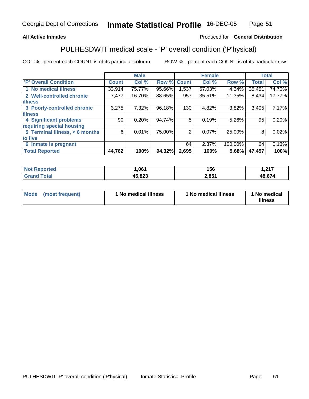### **All Active Inmates**

## Produced for **General Distribution**

# PULHESDWIT medical scale - 'P' overall condition ('P'hysical)

|                                |                 | <b>Male</b> |             |       | <b>Female</b> |         |              | <b>Total</b> |
|--------------------------------|-----------------|-------------|-------------|-------|---------------|---------|--------------|--------------|
| 'P' Overall Condition          | Count           | Col %       | Row % Count |       | Col %         | Row %   | <b>Total</b> | Col %        |
| 1 No medical illness           | 33,914          | 75.77%      | 95.66%      | .537  | 57.03%        | 4.34%   | 35,451       | 74.70%       |
| 2 Well-controlled chronic      | 7,477           | 16.70%      | 88.65%      | 957   | 35.51%        | 11.35%  | 8,434        | 17.77%       |
| <b>illness</b>                 |                 |             |             |       |               |         |              |              |
| 3 Poorly-controlled chronic    | 3,275           | 7.32%       | 96.18%      | 130   | 4.82%         | 3.82%   | 3,405        | 7.17%        |
| <b>illness</b>                 |                 |             |             |       |               |         |              |              |
| <b>4 Significant problems</b>  | 90 <sub>1</sub> | 0.20%       | 94.74%      | 5     | 0.19%         | 5.26%   | 95           | 0.20%        |
| requiring special housing      |                 |             |             |       |               |         |              |              |
| 5 Terminal illness, < 6 months | 6               | 0.01%       | 75.00%      | 2     | 0.07%         | 25.00%  | 8            | 0.02%        |
| to live                        |                 |             |             |       |               |         |              |              |
| 6 Inmate is pregnant           |                 |             |             | 64    | 2.37%         | 100.00% | 64           | 0.13%        |
| <b>Total Reported</b>          | 44,762          | 100%        | 94.32%      | 2,695 | 100%          | 5.68%   | 47,457       | 100%         |

| orted<br>'N (      | ,061           | 156   | 247    |
|--------------------|----------------|-------|--------|
| <b>cotal</b><br>Gr | AE 099<br>,040 | 2,851 | 48 674 |

| <b>Mode</b> | (most frequent) | 1 No medical illness | 1 No medical illness | 1 No medical<br>illness |
|-------------|-----------------|----------------------|----------------------|-------------------------|
|-------------|-----------------|----------------------|----------------------|-------------------------|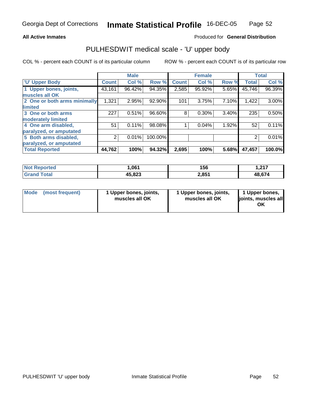### **All Active Inmates**

## Produced for **General Distribution**

## PULHESDWIT medical scale - 'U' upper body

|                              |              | <b>Male</b> |         |              | <b>Female</b> |       |              | <b>Total</b> |
|------------------------------|--------------|-------------|---------|--------------|---------------|-------|--------------|--------------|
| <b>U' Upper Body</b>         | <b>Count</b> | Col %       | Row %   | <b>Count</b> | Col %         | Row % | <b>Total</b> | Col %        |
| 1 Upper bones, joints,       | 43,161       | 96.42%      | 94.35%  | 2,585        | 95.92%        | 5.65% | 45,746       | 96.39%       |
| muscles all OK               |              |             |         |              |               |       |              |              |
| 2 One or both arms minimally | 1,321        | 2.95%       | 92.90%  | 101          | 3.75%         | 7.10% | 1,422        | 3.00%        |
| <b>limited</b>               |              |             |         |              |               |       |              |              |
| 3 One or both arms           | 227          | 0.51%       | 96.60%  | 8            | 0.30%         | 3.40% | 235          | 0.50%        |
| moderately limited           |              |             |         |              |               |       |              |              |
| 4 One arm disabled,          | 51           | 0.11%       | 98.08%  |              | 0.04%         | 1.92% | 52           | 0.11%        |
| paralyzed, or amputated      |              |             |         |              |               |       |              |              |
| 5 Both arms disabled,        | 2            | 0.01%       | 100.00% |              |               |       | 2            | 0.01%        |
| paralyzed, or amputated      |              |             |         |              |               |       |              |              |
| <b>Total Reported</b>        | 44,762       | 100%        | 94.32%  | 2,695        | 100%          | 5.68% | 47,457       | 100.0%       |

| <b>Not Reported</b>    | 1,061  | 156   | 0.27<br>I .Z I 1 |
|------------------------|--------|-------|------------------|
| $\tau$ otal<br>l Grand | 45,823 | 2,851 | 48,674           |

| <b>Mode</b> | (most frequent) | 1 Upper bones, joints,<br>muscles all OK | 1 Upper bones, joints,<br>muscles all OK | 1 Upper bones,<br>joints, muscles all<br>OK |
|-------------|-----------------|------------------------------------------|------------------------------------------|---------------------------------------------|
|-------------|-----------------|------------------------------------------|------------------------------------------|---------------------------------------------|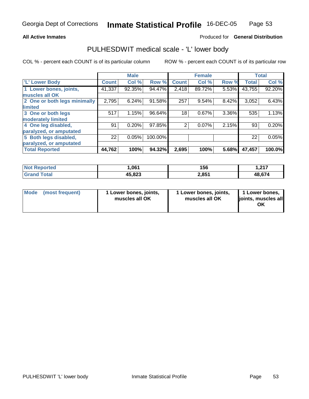### **All Active Inmates**

## Produced for **General Distribution**

## PULHESDWIT medical scale - 'L' lower body

|                              |              | <b>Male</b> |         |              | <b>Female</b> |       |              | <b>Total</b> |
|------------------------------|--------------|-------------|---------|--------------|---------------|-------|--------------|--------------|
| 'L' Lower Body               | <b>Count</b> | Col %       | Row %   | <b>Count</b> | Col %         | Row % | <b>Total</b> | Col %        |
| 1 Lower bones, joints,       | 41,337       | 92.35%      | 94.47%  | 2,418        | 89.72%        | 5.53% | 43,755       | 92.20%       |
| muscles all OK               |              |             |         |              |               |       |              |              |
| 2 One or both legs minimally | 2,795        | 6.24%       | 91.58%  | 257          | 9.54%         | 8.42% | 3,052        | 6.43%        |
| limited                      |              |             |         |              |               |       |              |              |
| 3 One or both legs           | 517          | 1.15%       | 96.64%  | 18           | 0.67%         | 3.36% | 535          | 1.13%        |
| moderately limited           |              |             |         |              |               |       |              |              |
| 4 One leg disabled,          | 91           | 0.20%       | 97.85%  | 2            | 0.07%         | 2.15% | 93           | 0.20%        |
| paralyzed, or amputated      |              |             |         |              |               |       |              |              |
| 5 Both legs disabled,        | 22           | 0.05%       | 100.00% |              |               |       | 22           | 0.05%        |
| paralyzed, or amputated      |              |             |         |              |               |       |              |              |
| <b>Total Reported</b>        | 44,762       | 100%        | 94.32%  | 2,695        | 100%          | 5.68% | 47,457       | 100.0%       |

| <b>orted</b><br>NO.   | 061,ا  | 156   | l 947<br>. |
|-----------------------|--------|-------|------------|
| <b>Total</b><br>. Gre | 45,823 | 2,851 | 48.674     |

| Mode | (most frequent) | 1 Lower bones, joints,<br>muscles all OK | 1 Lower bones, joints,<br>muscles all OK | 1 Lower bones,<br>ljoints, muscles all<br>OK |
|------|-----------------|------------------------------------------|------------------------------------------|----------------------------------------------|
|------|-----------------|------------------------------------------|------------------------------------------|----------------------------------------------|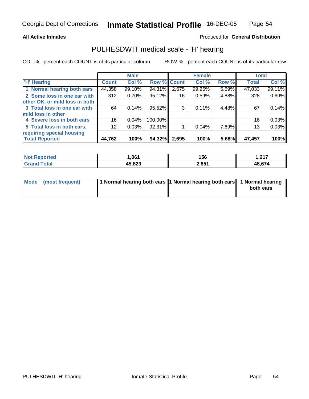### **All Active Inmates**

## Produced for **General Distribution**

## PULHESDWIT medical scale - 'H' hearing

|                                |              | <b>Male</b> |             |       | <b>Female</b> |       | <b>Total</b> |        |
|--------------------------------|--------------|-------------|-------------|-------|---------------|-------|--------------|--------|
| <b>H'</b> Hearing              | <b>Count</b> | Col %       | Row % Count |       | Col %         | Row % | <b>Total</b> | Col %  |
| 1 Normal hearing both ears     | 44,358       | 99.10%      | 94.31%      | 2,675 | 99.26%        | 5.69% | 47,033       | 99.11% |
| 2 Some loss in one ear with    | 312          | 0.70%       | 95.12%      | 16    | 0.59%         | 4.88% | 328          | 0.69%  |
| other OK, or mild loss in both |              |             |             |       |               |       |              |        |
| 3 Total loss in one ear with   | 64           | 0.14%       | 95.52%      | 3     | 0.11%         | 4.48% | 67           | 0.14%  |
| mild loss in other             |              |             |             |       |               |       |              |        |
| 4 Severe loss in both ears     | 16           | 0.04%       | 100.00%     |       |               |       | 16           | 0.03%  |
| 5 Total loss in both ears,     | 12           | 0.03%       | 92.31%      |       | 0.04%         | 7.69% | 13           | 0.03%  |
| requiring special housing      |              |             |             |       |               |       |              |        |
| <b>Total Reported</b>          | 44,762       | 100%        | 94.32%      | 2,695 | 100%          | 5.68% | 47,457       | 100%   |

| ted.<br>N | ne <sub>1</sub> | 156   | .247   |
|-----------|-----------------|-------|--------|
|           | 45.823          | 2,851 | 48.674 |

| Mode (most frequent) | 1 Normal hearing both ears 1 Normal hearing both ears 1 Normal hearing |           |
|----------------------|------------------------------------------------------------------------|-----------|
|                      |                                                                        | both ears |
|                      |                                                                        |           |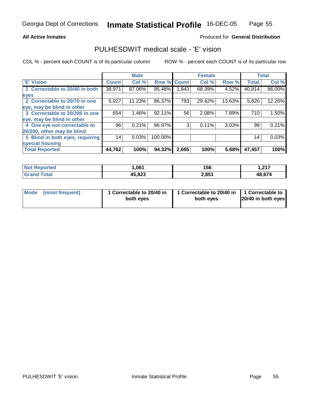### **All Active Inmates**

## Produced for **General Distribution**

## PULHESDWIT medical scale - 'E' vision

|                                 |              | <b>Male</b> |                    |       | <b>Female</b> |          |              | <b>Total</b> |
|---------------------------------|--------------|-------------|--------------------|-------|---------------|----------|--------------|--------------|
| <b>E' Vision</b>                | <b>Count</b> | Col %       | <b>Row % Count</b> |       | Col %         | Row %    | <b>Total</b> | Col %        |
| 1 Correctable to 20/40 in both  | 38,971       | 87.06%      | 95.48%             | 1,843 | 68.39%        | $4.52\%$ | 40,814       | 86.00%       |
| eyes                            |              |             |                    |       |               |          |              |              |
| 2 Correctable to 20/70 in one   | 5,027        | 11.23%      | 86.37%             | 793   | 29.42%        | 13.63%   | 5,820        | 12.26%       |
| eye, may be blind in other      |              |             |                    |       |               |          |              |              |
| 3 Correctable to 20/200 in one  | 654          | $1.46\%$    | 92.11%             | 56    | 2.08%         | 7.89%    | 710          | 1.50%        |
| eye, may be blind in other      |              |             |                    |       |               |          |              |              |
| 4 One eye not correctable to    | 96           | 0.21%       | 96.97%             | 3     | 0.11%         | 3.03%    | 99           | 0.21%        |
| 20/200, other may be blind      |              |             |                    |       |               |          |              |              |
| 5 Blind in both eyes, requiring | 14           | 0.03%       | 100.00%            |       |               |          | 14           | 0.03%        |
| special housing                 |              |             |                    |       |               |          |              |              |
| <b>Total Reported</b>           | 44,762       | 100%        | 94.32%             | 2,695 | 100%          | 5.68%    | 47,457       | 100%         |

| <b>Not Reported</b> | 061. ا | 156   | l 947<br>1.Z I I |
|---------------------|--------|-------|------------------|
| Total<br>Grand      | 45,823 | 2,851 | 48,674           |

| Mode            | 1 Correctable to 20/40 in | 1 Correctable to 20/40 in   1 Correctable to | 20/40 in both eyes |
|-----------------|---------------------------|----------------------------------------------|--------------------|
| (most frequent) | both eyes                 | both eyes                                    |                    |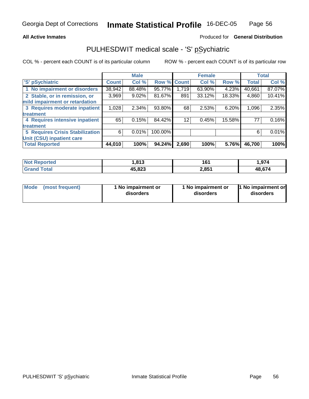### **All Active Inmates**

### Produced for **General Distribution**

## PULHESDWIT medical scale - 'S' pSychiatric

|                                        |              | <b>Male</b> |         |              | <b>Female</b> |        |              | <b>Total</b> |
|----------------------------------------|--------------|-------------|---------|--------------|---------------|--------|--------------|--------------|
| 'S' pSychiatric                        | <b>Count</b> | Col %       | Row %   | <b>Count</b> | Col%          | Row %  | <b>Total</b> | Col %        |
| 1 No impairment or disorders           | 38,942       | 88.48%      | 95.77%  | 1.719        | 63.90%        | 4.23%  | 40,661       | 87.07%       |
| 2 Stable, or in remission, or          | 3,969        | $9.02\%$    | 81.67%  | 891          | 33.12%        | 18.33% | 4,860        | 10.41%       |
| mild impairment or retardation         |              |             |         |              |               |        |              |              |
| 3 Requires moderate inpatient          | 1,028        | $2.34\%$    | 93.80%  | 68           | 2.53%         | 6.20%  | 1,096        | 2.35%        |
| treatment                              |              |             |         |              |               |        |              |              |
| 4 Requires intensive inpatient         | 65           | 0.15%       | 84.42%  | 12           | 0.45%         | 15.58% | 77           | 0.16%        |
| treatment                              |              |             |         |              |               |        |              |              |
| <b>5 Requires Crisis Stabilization</b> | 6            | 0.01%       | 100.00% |              |               |        | 6            | 0.01%        |
| Unit (CSU) inpatient care              |              |             |         |              |               |        |              |              |
| <b>Total Reported</b>                  | 44,010       | 100%        | 94.24%  | 2,690        | 100%          | 5.76%  | 46,700       | 100%         |

| <b>Not</b><br><b>Anorted</b> | ,813   | 1C<br>וטו | 1,974  |
|------------------------------|--------|-----------|--------|
| <b>Total</b><br>$C$ ron      | 45,823 | 2,851     | 48,674 |

| Mode | (most frequent) | 1 No impairment or<br>disorders | 1 No impairment or<br>disorders | 1 No impairment or<br>disorders |
|------|-----------------|---------------------------------|---------------------------------|---------------------------------|
|------|-----------------|---------------------------------|---------------------------------|---------------------------------|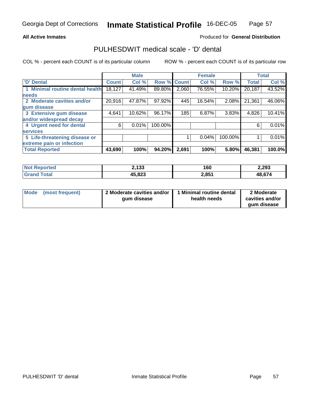### **All Active Inmates**

## Produced for **General Distribution**

## PULHESDWIT medical scale - 'D' dental

|                                 |              | <b>Male</b> |                    |       | <b>Female</b> |         |              | <b>Total</b> |
|---------------------------------|--------------|-------------|--------------------|-------|---------------|---------|--------------|--------------|
| <b>D' Dental</b>                | <b>Count</b> | Col %       | <b>Row % Count</b> |       | Col %         | Row %   | <b>Total</b> | Col %        |
| 1 Minimal routine dental health | 18,127       | 41.49%      | 89.80%             | 2,060 | 76.55%        | 10.20%  | 20,187       | 43.52%       |
| <b>needs</b>                    |              |             |                    |       |               |         |              |              |
| 2 Moderate cavities and/or      | 20,916       | 47.87%      | 97.92%             | 445   | 16.54%        | 2.08%   | 21,361       | 46.06%       |
| gum disease                     |              |             |                    |       |               |         |              |              |
| 3 Extensive gum disease         | 4,641        | 10.62%      | 96.17%             | 185   | 6.87%         | 3.83%   | 4,826        | 10.41%       |
| and/or widespread decay         |              |             |                    |       |               |         |              |              |
| 4 Urgent need for dental        | 6            | 0.01%       | 100.00%            |       |               |         | 6            | 0.01%        |
| <b>services</b>                 |              |             |                    |       |               |         |              |              |
| 5 Life-threatening disease or   |              |             |                    |       | 0.04%         | 100.00% |              | 0.01%        |
| extreme pain or infection       |              |             |                    |       |               |         |              |              |
| <b>Total Reported</b>           | 43,690       | 100%        | 94.20%             | 2,691 | 100%          | 5.80%   | 46,381       | 100.0%       |

| <b>Not</b><br>Reported | 2,133  | 160   | 2,293  |
|------------------------|--------|-------|--------|
| ™otaì<br><b>Gran</b>   | 45,823 | 2,851 | 48,674 |

| Mode | (most frequent) | 2 Moderate cavities and/or  <br>gum disease | 1 Minimal routine dental<br>health needs | 2 Moderate<br>cavities and/or |
|------|-----------------|---------------------------------------------|------------------------------------------|-------------------------------|
|      |                 |                                             |                                          | gum disease                   |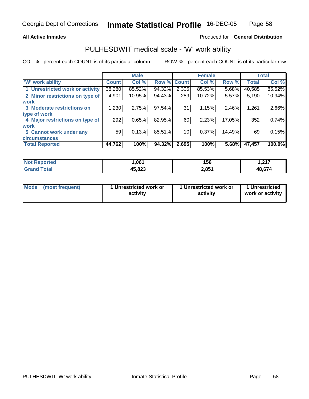### **All Active Inmates**

### Produced for **General Distribution**

## PULHESDWIT medical scale - 'W' work ability

|                                 |              | <b>Male</b> |             |       | <b>Female</b> |        |              | <b>Total</b> |
|---------------------------------|--------------|-------------|-------------|-------|---------------|--------|--------------|--------------|
| <b>W' work ability</b>          | <b>Count</b> | Col %       | Row % Count |       | Col%          | Row %  | <b>Total</b> | Col %        |
| 1 Unrestricted work or activity | 38,280       | 85.52%      | 94.32%      | 2,305 | 85.53%        | 5.68%  | 40,585       | 85.52%       |
| 2 Minor restrictions on type of | 4,901        | 10.95%      | 94.43%      | 289   | 10.72%        | 5.57%  | 5,190        | 10.94%       |
| <b>work</b>                     |              |             |             |       |               |        |              |              |
| 3 Moderate restrictions on      | 1,230        | 2.75%       | 97.54%      | 31    | 1.15%         | 2.46%  | 1,261        | 2.66%        |
| type of work                    |              |             |             |       |               |        |              |              |
| 4 Major restrictions on type of | 292          | 0.65%       | 82.95%      | 60    | 2.23%         | 17.05% | 352          | 0.74%        |
| work                            |              |             |             |       |               |        |              |              |
| 5 Cannot work under any         | 59           | 0.13%       | 85.51%      | 10    | 0.37%         | 14.49% | 69           | 0.15%        |
| <b>circumstances</b>            |              |             |             |       |               |        |              |              |
| <b>Total Reported</b>           | 44,762       | 100%        | 94.32%      | 2,695 | 100%          | 5.68%  | 47,457       | 100.0%       |

| <b>Not Reported</b> | 061,ا  | 156   | <b>1947</b><br>I . <i>l</i> I <i>I</i> |
|---------------------|--------|-------|----------------------------------------|
| Total<br>'Grand     | 45,823 | 2,851 | 48,674                                 |

| Mode | (most frequent) | 1 Unrestricted work or<br>activity | 1 Unrestricted work or<br>activity | 1 Unrestricted<br>work or activity |
|------|-----------------|------------------------------------|------------------------------------|------------------------------------|
|------|-----------------|------------------------------------|------------------------------------|------------------------------------|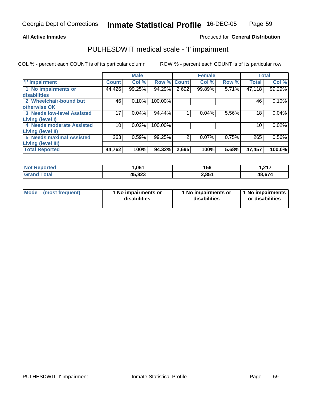### **All Active Inmates**

## Produced for **General Distribution**

## PULHESDWIT medical scale - 'I' impairment

|                                   |              | <b>Male</b> |             |       | <b>Female</b> |       | <b>Total</b> |        |
|-----------------------------------|--------------|-------------|-------------|-------|---------------|-------|--------------|--------|
| 'l' Impairment                    | <b>Count</b> | Col %       | Row % Count |       | Col %         | Row % | <b>Total</b> | Col %  |
| 1 No impairments or               | 44,426       | 99.25%      | 94.29%      | 2,692 | 99.89%        | 5.71% | 47,118       | 99.29% |
| disabilities                      |              |             |             |       |               |       |              |        |
| 2 Wheelchair-bound but            | 46           | 0.10%       | 100.00%     |       |               |       | 46           | 0.10%  |
| otherwise OK                      |              |             |             |       |               |       |              |        |
| <b>3 Needs low-level Assisted</b> | 17           | $0.04\%$    | 94.44%      |       | 0.04%         | 5.56% | 18           | 0.04%  |
| <b>Living (level I)</b>           |              |             |             |       |               |       |              |        |
| 4 Needs moderate Assisted         | 10           | 0.02%       | 100.00%     |       |               |       | 10           | 0.02%  |
| <b>Living (level II)</b>          |              |             |             |       |               |       |              |        |
| <b>5 Needs maximal Assisted</b>   | 263          | 0.59%       | 99.25%      | 2     | 0.07%         | 0.75% | 265          | 0.56%  |
| <b>Living (level III)</b>         |              |             |             |       |               |       |              |        |
| <b>Total Reported</b>             | 44,762       | 100%        | 94.32%      | 2,695 | 100%          | 5.68% | 47,457       | 100.0% |

| <b>Not Reported</b> | ,061   | 156   | - 217<br>I . <i>l</i> I <i>I</i> |
|---------------------|--------|-------|----------------------------------|
| <b>Grand Total</b>  | 45,823 | 2,851 | 48,674                           |

|  | Mode (most frequent) | 1 No impairments or<br>disabilities | 1 No impairments or<br>disabilities | 1 No impairments  <br>or disabilities |
|--|----------------------|-------------------------------------|-------------------------------------|---------------------------------------|
|--|----------------------|-------------------------------------|-------------------------------------|---------------------------------------|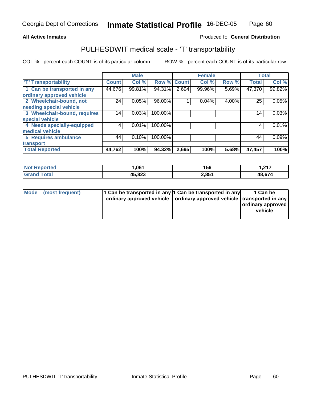#### **Inmate Statistical Profile** 16-DEC-05 Page Page 60

### **All Active Inmates Allowski** Produced fo **General Distribution**

## PULHESDWIT medical scale - 'T' transportability

|                              |              | <b>Male</b> |                    |       | <b>Female</b> |       | <b>Total</b> |        |
|------------------------------|--------------|-------------|--------------------|-------|---------------|-------|--------------|--------|
| <b>T' Transportability</b>   | <b>Count</b> | Col %       | <b>Row % Count</b> |       | Col %         | Row % | <b>Total</b> | Col %  |
| 1 Can be transported in any  | 44,676       | 99.81%      | 94.31%             | 2,694 | 99.96%        | 5.69% | 47,370       | 99.82% |
| ordinary approved vehicle    |              |             |                    |       |               |       |              |        |
| 2 Wheelchair-bound, not      | 24           | 0.05%       | 96.00%             |       | 0.04%         | 4.00% | 25           | 0.05%  |
| needing special vehicle      |              |             |                    |       |               |       |              |        |
| 3 Wheelchair-bound, requires | 14           | 0.03%       | 100.00%            |       |               |       | 14           | 0.03%  |
| special vehicle              |              |             |                    |       |               |       |              |        |
| 4 Needs specially-equipped   |              | 0.01%       | 100.00%            |       |               |       | 4            | 0.01%  |
| medical vehicle              |              |             |                    |       |               |       |              |        |
| 5 Requires ambulance         | 44           | 0.10%       | 100.00%            |       |               |       | 44           | 0.09%  |
| transport                    |              |             |                    |       |               |       |              |        |
| <b>Total Reported</b>        | 44,762       | 100%        | 94.32%             | 2,695 | 100%          | 5.68% | 47,457       | 100%   |

| <b>Not</b><br>Reported      | 061. ا | 156   | 217<br>، ، ۲ , ۱ |
|-----------------------------|--------|-------|------------------|
| <sup>-</sup> otal<br>'Grano | 45,823 | 2,851 | 48.674           |

| Mode (most frequent) | 1 Can be transported in any 1 Can be transported in any<br>ordinary approved vehicle   ordinary approved vehicle   transported in any | 1 Can be<br>ordinary approved<br>vehicle |
|----------------------|---------------------------------------------------------------------------------------------------------------------------------------|------------------------------------------|
|                      |                                                                                                                                       |                                          |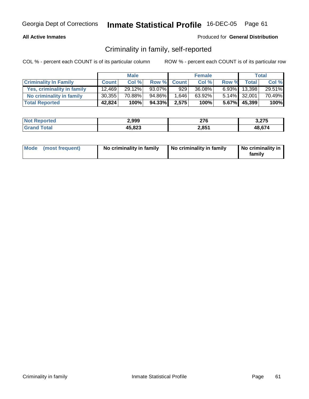### **All Active Inmates**

### Produced for **General Distribution**

## Criminality in family, self-reported

|                              |              | <b>Male</b> |        |             | <b>Female</b> |          |              | Total  |
|------------------------------|--------------|-------------|--------|-------------|---------------|----------|--------------|--------|
| <b>Criminality In Family</b> | <b>Count</b> | Col %       |        | Row % Count | Col %         | Row %    | Total i      | Col %  |
| Yes, criminality in family   | 12.469       | 29.12%      | 93.07% | 929         | 36.08%        | $6.93\%$ | 13,398       | 29.51% |
| No criminality in family     | 30,355       | 70.88%      | 94.86% | 1.646       | 63.92%        |          | 5.14% 32,001 | 70.49% |
| <b>Total Reported</b>        | 42,824       | 100%        | 94.33% | 2,575       | 100%          |          | 5.67% 45,399 | 100%   |

| <b>Not Reported</b> | 2,999  | 276   | 3,275  |
|---------------------|--------|-------|--------|
| Total               | 45,823 | 2,851 | 48.674 |

| Mode (most frequent) | No criminality in family | No criminality in family | No criminality in<br>family |
|----------------------|--------------------------|--------------------------|-----------------------------|
|----------------------|--------------------------|--------------------------|-----------------------------|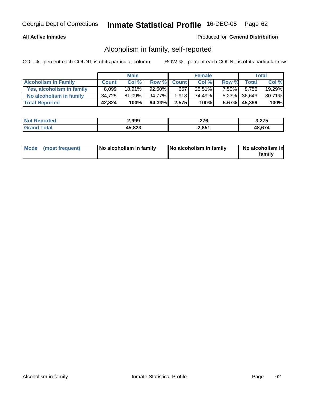### **All Active Inmates**

## Produced for **General Distribution**

## Alcoholism in family, self-reported

|                             |              | <b>Male</b> |         |             | <b>Female</b> |          |              | Total  |
|-----------------------------|--------------|-------------|---------|-------------|---------------|----------|--------------|--------|
| <b>Alcoholism In Family</b> | <b>Count</b> | Col %       |         | Row % Count | Col %         | Row %    | <b>Total</b> | Col %  |
| Yes, alcoholism in family   | 8.099        | $18.91\%$   | 92.50%  | 657         | 25.51%        | $7.50\%$ | 8.756        | 19.29% |
| No alcoholism in family     | 34,725       | $81.09\%$   | 94.77%I | 1,918       | 74.49%        |          | 5.23% 36,643 | 80.71% |
| <b>Total Reported</b>       | 42,824       | 100%        | 94.33%  | 2,575       | 100%          |          | 5.67% 45,399 | 100%   |

| <b>Not Reported</b> | 2,999  | 276   | 3,275  |
|---------------------|--------|-------|--------|
| Total               | 45,823 | 2,851 | 48.674 |

| Mode (most frequent) | No alcoholism in family | No alcoholism in family | No alcoholism in<br>familv |
|----------------------|-------------------------|-------------------------|----------------------------|
|----------------------|-------------------------|-------------------------|----------------------------|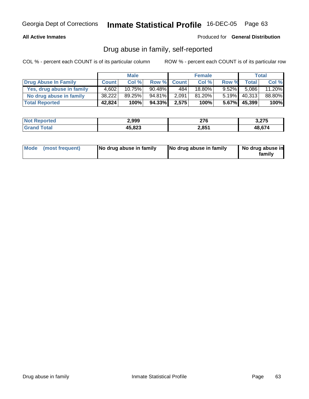### **All Active Inmates**

Produced for **General Distribution**

## Drug abuse in family, self-reported

|                           |              | <b>Male</b> |           |             | <b>Female</b> |          |              | Total  |
|---------------------------|--------------|-------------|-----------|-------------|---------------|----------|--------------|--------|
| Drug Abuse In Family      | <b>Count</b> | Col %       |           | Row % Count | Col %         | Row %    | <b>Total</b> | Col %  |
| Yes, drug abuse in family | 4.602        | $10.75\%$   | $90.48\%$ | 484'        | 18.80%        | $9.52\%$ | 5.086        | 11.20% |
| No drug abuse in family   | 38,222       | 89.25%      | 94.81%    | 2,091       | 81.20%        | $5.19\%$ | 40,313       | 88.80% |
| <b>Total Reported</b>     | 42,824       | 100%        | 94.33%    | 2,575       | 100%          |          | 5.67% 45,399 | 100%   |

| <b>Not Reported</b>          | 2,999  | 276   | 3,275  |
|------------------------------|--------|-------|--------|
| <b>Total</b><br><b>Grand</b> | 45,823 | 2,851 | 48.674 |

| Mode (most frequent) |  | No drug abuse in family | No drug abuse in family | No drug abuse in<br>familv |
|----------------------|--|-------------------------|-------------------------|----------------------------|
|----------------------|--|-------------------------|-------------------------|----------------------------|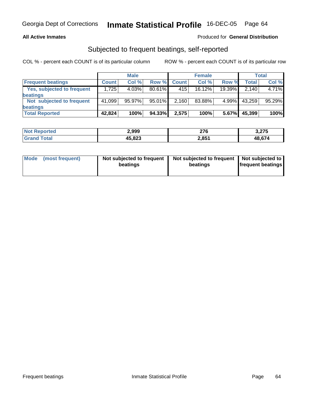## **All Active Inmates**

### Produced for **General Distribution**

## Subjected to frequent beatings, self-reported

|                                   |              | <b>Male</b> |        |              | <b>Female</b> |        |        | Total  |
|-----------------------------------|--------------|-------------|--------|--------------|---------------|--------|--------|--------|
| <b>Frequent beatings</b>          | <b>Count</b> | Col %       | Row %  | <b>Count</b> | Col%          | Row %  | Total, | Col %  |
| <b>Yes, subjected to frequent</b> | 1.725        | 4.03%       | 80.61% | 415          | 16.12%        | 19.39% | 2,140  | 4.71%  |
| <b>beatings</b>                   |              |             |        |              |               |        |        |        |
| Not subjected to frequent         | 41,099       | 95.97%      | 95.01% | 2,160        | 83.88%        | 4.99%  | 43,259 | 95.29% |
| beatings                          |              |             |        |              |               |        |        |        |
| <b>Total Reported</b>             | 42,824       | 100%        | 94.33% | 2,575        | 100%          | 5.67%  | 45,399 | 100%   |

| <b>Not Reported</b>           | 2,999  | 276   | 3,275  |
|-------------------------------|--------|-------|--------|
| <b>Total</b><br><b>⊥Grano</b> | 45,823 | 2,851 | 48,674 |

| Mode            | Not subjected to frequent | Not subjected to frequent | Not subjected to         |
|-----------------|---------------------------|---------------------------|--------------------------|
| (most frequent) | beatings                  | beatings                  | <b>frequent beatings</b> |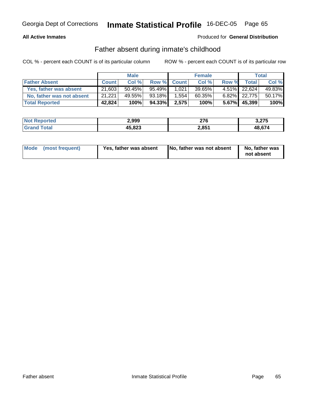## **All Active Inmates**

### Produced for **General Distribution**

## Father absent during inmate's childhood

|                           |              | <b>Male</b> |        |             | <b>Female</b> |       |                 | Total  |
|---------------------------|--------------|-------------|--------|-------------|---------------|-------|-----------------|--------|
| <b>Father Absent</b>      | <b>Count</b> | Col %       |        | Row % Count | Col %         | Row % | <b>Total</b>    | Col %  |
| Yes, father was absent    | 21,603       | $50.45\%$   | 95.49% | 1,021       | 39.65%        |       | 4.51% 22,624    | 49.83% |
| No, father was not absent | 21,221       | 49.55%      | 93.18% | 1,554       | 60.35%        |       | $6.82\%$ 22,775 | 50.17% |
| <b>Total Reported</b>     | 42,824       | 100%        | 94.33% | 2,575       | 100%          |       | 5.67% 45,399    | 100%   |

| <b>Not Reported</b> | 2,999  | 276   | 3,275  |
|---------------------|--------|-------|--------|
| Total               | 45,823 | 2,851 | 48.674 |

| Mode (most frequent)<br>Yes, father was absent | No, father was not absent | No, father was<br>not absent |
|------------------------------------------------|---------------------------|------------------------------|
|------------------------------------------------|---------------------------|------------------------------|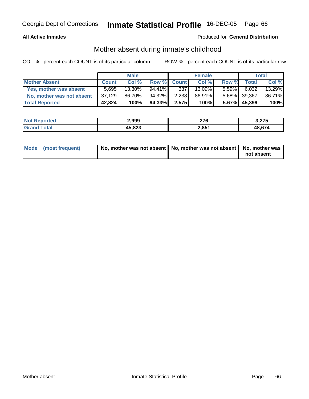### **All Active Inmates**

## Produced for **General Distribution**

## Mother absent during inmate's childhood

|                           |              | <b>Male</b> |        |             | <b>Female</b> |          |              | Total  |
|---------------------------|--------------|-------------|--------|-------------|---------------|----------|--------------|--------|
| <b>Mother Absent</b>      | <b>Count</b> | Col %       |        | Row % Count | Col %         | Row %    | <b>Total</b> | Col %  |
| Yes, mother was absent    | 5.695        | $13.30\%$   | 94.41% | 337         | $13.09\%$     | $5.59\%$ | 6,032        | 13.29% |
| No, mother was not absent | 37,129       | 86.70%      | 94.32% | 2.238       | 86.91%        |          | 5.68% 39,367 | 86.71% |
| <b>Total Reported</b>     | 42,824       | 100%        | 94.33% | 2,575       | 100%          |          | 5.67% 45,399 | 100%   |

| <b>Not Reported</b>   | 2,999  | 276   | 3,275  |
|-----------------------|--------|-------|--------|
| <b>c</b> otal<br>Gran | 45,823 | 2,851 | 48.674 |

| Mode (most frequent) | No, mother was not absent   No, mother was not absent   No, mother was |            |
|----------------------|------------------------------------------------------------------------|------------|
|                      |                                                                        | not absent |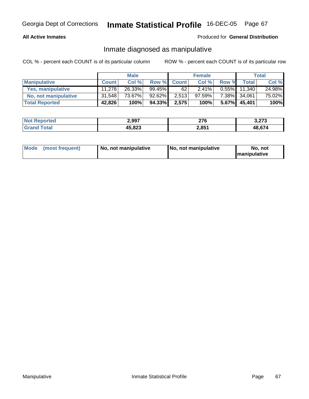### **All Active Inmates**

## Produced for **General Distribution**

## Inmate diagnosed as manipulative

|                          |              | <b>Male</b> |           |             | <b>Female</b> |          |        | Total  |
|--------------------------|--------------|-------------|-----------|-------------|---------------|----------|--------|--------|
| <b>Manipulative</b>      | <b>Count</b> | Col %       |           | Row % Count | Col %         | Row %    | Total  | Col %  |
| <b>Yes, manipulative</b> | 11,278       | 26.33%      | $99.45\%$ | 62 '        | 2.41%         | $0.55\%$ | 11.340 | 24.98% |
| No, not manipulative     | 31,548       | 73.67%      | 92.62%    | 2,513       | 97.59%        | 7.38%    | 34,061 | 75.02% |
| <b>Total Reported</b>    | 42,826       | 100%        | 94.33%    | 2,575       | 100%          | $5.67\%$ | 45,401 | 100%   |

| <b>Not Reported</b>   | 2,997  | 270<br>21 Q | <b>2.272</b><br>J.ZI J |
|-----------------------|--------|-------------|------------------------|
| <b>Cotal</b><br>Grand | 45,823 | 2,851       | 48 674                 |

| Mode | (most frequent) | No. not manipulative | <b>I</b> No. not manipulative | not<br>No<br><b>Imanipulative</b> |
|------|-----------------|----------------------|-------------------------------|-----------------------------------|
|------|-----------------|----------------------|-------------------------------|-----------------------------------|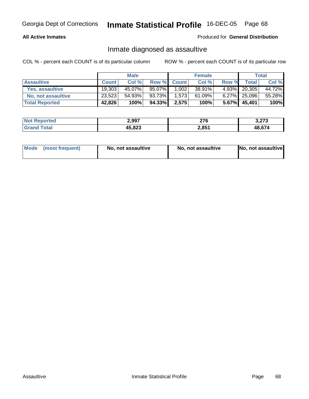## **All Active Inmates**

### Produced for **General Distribution**

## Inmate diagnosed as assaultive

|                       |              | <b>Male</b> |        |             | <b>Female</b> |          |              | Total  |
|-----------------------|--------------|-------------|--------|-------------|---------------|----------|--------------|--------|
| <b>Assaultive</b>     | <b>Count</b> | Col %       |        | Row % Count | Col %         | Row %    | Total        | Col %  |
| Yes, assaultive       | 19,303       | 45.07%      | 95.07% | 1,002       | 38.91%        |          | 4.93% 20,305 | 44.72% |
| No, not assaultive    | 23,523       | 54.93%      | 93.73% | 1,573       | 61.09%        |          | 6.27% 25,096 | 55.28% |
| <b>Total Reported</b> | 42,826       | 100%        | 94.33% | 2,575       | 100%          | $5.67\%$ | 45,401       | 100%   |

| <b>Not Reported</b> | 2,997  | 276   | מדה ה<br>3.ZI 3 |
|---------------------|--------|-------|-----------------|
| <b>Srand Total</b>  | 45,823 | 2,851 | 48.674          |

| Mode (most frequent) | No, not assaultive | No, not assaultive | No, not assaultive |
|----------------------|--------------------|--------------------|--------------------|
|----------------------|--------------------|--------------------|--------------------|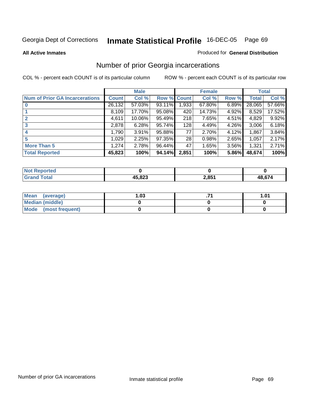**All Active Inmates**

### Produced for **General Distribution**

## Number of prior Georgia incarcerations

|                                       |                | <b>Male</b> |                    |       | <b>Female</b> |       |        | <b>Total</b> |
|---------------------------------------|----------------|-------------|--------------------|-------|---------------|-------|--------|--------------|
| <b>Num of Prior GA Incarcerations</b> | <b>Count</b> l | Col %       | <b>Row % Count</b> |       | Col %         | Row % | Total  | Col %        |
|                                       | 26,132         | 57.03%      | 93.11%             | 1,933 | 67.80%        | 6.89% | 28,065 | 57.66%       |
|                                       | 8,109          | 17.70%      | 95.08%             | 420   | 14.73%        | 4.92% | 8,529  | 17.52%       |
|                                       | 4,611          | 10.06%      | 95.49%             | 218   | 7.65%         | 4.51% | 4,829  | 9.92%        |
| 3                                     | 2,878          | 6.28%       | 95.74%             | 128   | 4.49%         | 4.26% | 3,006  | 6.18%        |
| $\boldsymbol{4}$                      | 1,790          | 3.91%       | 95.88%             | 77    | 2.70%         | 4.12% | 1,867  | 3.84%        |
| 5                                     | 1,029          | 2.25%       | 97.35%             | 28    | 0.98%         | 2.65% | 1,057  | 2.17%        |
| <b>More Than 5</b>                    | 1,274          | 2.78%       | 96.44%             | 47    | 1.65%         | 3.56% | 1,321  | 2.71%        |
| <b>Total Reported</b>                 | 45,823         | 100%        | 94.14%             | 2,851 | 100%          | 5.86% | 48,674 | 100%         |

| m.             |         |                   |            |
|----------------|---------|-------------------|------------|
| . CP.<br>_____ | $E$ 000 | 2.85 <sub>1</sub> | $AB$ $67/$ |

| Mean (average)       | l.O3 | 1.01 |
|----------------------|------|------|
| Median (middle)      |      |      |
| Mode (most frequent) |      |      |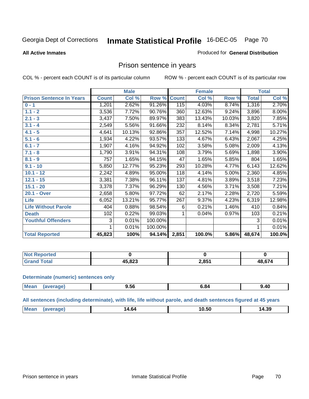**All Active Inmates**

### Produced for **General Distribution**

## Prison sentence in years

COL % - percent each COUNT is of its particular column ROW % - percent each COUNT is of its particular row

|                                 |              | <b>Male</b> |         |              | <b>Female</b> |        |              | <b>Total</b> |
|---------------------------------|--------------|-------------|---------|--------------|---------------|--------|--------------|--------------|
| <b>Prison Sentence In Years</b> | <b>Count</b> | Col %       | Row %   | <b>Count</b> | Col %         | Row %  | <b>Total</b> | Col %        |
| $0 - 1$                         | 1,201        | 2.62%       | 91.26%  | 115          | 4.03%         | 8.74%  | 1,316        | 2.70%        |
| $1.1 - 2$                       | 3,536        | 7.72%       | 90.76%  | 360          | 12.63%        | 9.24%  | 3,896        | 8.00%        |
| $2.1 - 3$                       | 3,437        | 7.50%       | 89.97%  | 383          | 13.43%        | 10.03% | 3,820        | 7.85%        |
| $3.1 - 4$                       | 2,549        | 5.56%       | 91.66%  | 232          | 8.14%         | 8.34%  | 2,781        | 5.71%        |
| $4.1 - 5$                       | 4,641        | 10.13%      | 92.86%  | 357          | 12.52%        | 7.14%  | 4,998        | 10.27%       |
| $5.1 - 6$                       | 1,934        | 4.22%       | 93.57%  | 133          | 4.67%         | 6.43%  | 2,067        | 4.25%        |
| $6.1 - 7$                       | 1,907        | 4.16%       | 94.92%  | 102          | 3.58%         | 5.08%  | 2,009        | 4.13%        |
| $7.1 - 8$                       | 1,790        | 3.91%       | 94.31%  | 108          | 3.79%         | 5.69%  | 1,898        | 3.90%        |
| $8.1 - 9$                       | 757          | 1.65%       | 94.15%  | 47           | 1.65%         | 5.85%  | 804          | 1.65%        |
| $9.1 - 10$                      | 5,850        | 12.77%      | 95.23%  | 293          | 10.28%        | 4.77%  | 6,143        | 12.62%       |
| $10.1 - 12$                     | 2,242        | 4.89%       | 95.00%  | 118          | 4.14%         | 5.00%  | 2,360        | 4.85%        |
| $12.1 - 15$                     | 3,381        | 7.38%       | 96.11%  | 137          | 4.81%         | 3.89%  | 3,518        | 7.23%        |
| $15.1 - 20$                     | 3,378        | 7.37%       | 96.29%  | 130          | 4.56%         | 3.71%  | 3,508        | 7.21%        |
| 20.1 - Over                     | 2,658        | 5.80%       | 97.72%  | 62           | 2.17%         | 2.28%  | 2,720        | 5.59%        |
| Life                            | 6,052        | 13.21%      | 95.77%  | 267          | 9.37%         | 4.23%  | 6,319        | 12.98%       |
| <b>Life Without Parole</b>      | 404          | 0.88%       | 98.54%  | 6            | 0.21%         | 1.46%  | 410          | 0.84%        |
| <b>Death</b>                    | 102          | 0.22%       | 99.03%  |              | 0.04%         | 0.97%  | 103          | 0.21%        |
| <b>Youthful Offenders</b>       | 3            | 0.01%       | 100.00% |              |               |        | 3            | 0.01%        |
|                                 | 1            | 0.01%       | 100.00% |              |               |        | 1            | 0.01%        |
| <b>Total Reported</b>           | 45,823       | 100%        | 94.14%  | 2,851        | 100.0%        | 5.86%  | 48,674       | 100.0%       |

| enorted<br><b>NOT</b> |                 |       |        |
|-----------------------|-----------------|-------|--------|
| <b>otal</b>           | AE OOO<br>3.8∠3 | 2,851 | 18 674 |

### **Determinate (numeric) sentences only**

| <b>Mea</b><br><b>Prane</b> | --<br>ิ 9.ว6<br>$  -$ | ״ס.כ<br>$  -$ | 9.40 |
|----------------------------|-----------------------|---------------|------|

### **All sentences (including determinate), with life, life without parole, and death sentences figured at 45 years**

| n M<br>$. + .0''$<br>_______ | --<br>ື ∪.ບ⊂<br>____ | 39<br>ıZL<br>___ |
|------------------------------|----------------------|------------------|
|------------------------------|----------------------|------------------|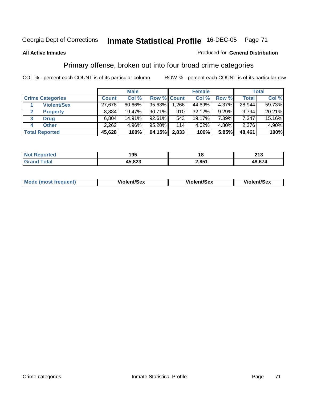### **All Active Inmates**

### Produced for **General Distribution**

## Primary offense, broken out into four broad crime categories

|                         | <b>Male</b>  |        |             |                  | <b>Female</b> |       |        | <b>Total</b> |  |
|-------------------------|--------------|--------|-------------|------------------|---------------|-------|--------|--------------|--|
| <b>Crime Categories</b> | <b>Count</b> | Col %  | Row % Count |                  | Col %         | Row % | Total  | Col %        |  |
| <b>Violent/Sex</b>      | 27,678       | 60.66% | $95.63\%$   | 1,266            | 44.69%        | 4.37% | 28,944 | 59.73%       |  |
| <b>Property</b>         | 8,884        | 19.47% | 90.71%      | 910              | 32.12%        | 9.29% | 9,794  | 20.21%       |  |
| 3<br><b>Drug</b>        | 6,804        | 14.91% | 92.61%      | 543              | 19.17%        | 7.39% | 7,347  | 15.16%       |  |
| <b>Other</b><br>4       | 2,262        | 4.96%  | 95.20%      | 114 <sub>1</sub> | 4.02%         | 4.80% | 2,376  | 4.90%        |  |
| <b>Total Reported</b>   | 45,628       | 100%   | 94.15%      | 2,833            | 100%          | 5.85% | 48,461 | 100%         |  |

| $'$ Not $\cdot$<br>Reported | 195    |       | 242<br>∠ I J |
|-----------------------------|--------|-------|--------------|
| Total                       | 45,823 | 2,851 | 48,674       |

|  | Mode<br>frequent) | lent/Sex<br>.<br>. | ent/Sex<br>$M_{\rm BH}$ | <b>it/Sex</b><br>$\sim$ and<br>.<br>$ -$ |
|--|-------------------|--------------------|-------------------------|------------------------------------------|
|--|-------------------|--------------------|-------------------------|------------------------------------------|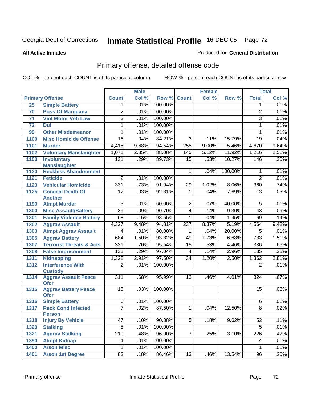### **All Active Inmates**

### Produced for **General Distribution**

## Primary offense, detailed offense code

|      |                                               | <b>Male</b>      |       |         | <b>Female</b>   | <b>Total</b> |         |                 |       |
|------|-----------------------------------------------|------------------|-------|---------|-----------------|--------------|---------|-----------------|-------|
|      | <b>Primary Offense</b>                        | <b>Count</b>     | Col % | Row %   | <b>Count</b>    | Col %        | Row %   | <b>Total</b>    | Col % |
| 25   | <b>Simple Battery</b>                         | 1                | .01%  | 100.00% |                 |              |         | 1               | .01%  |
| 70   | <b>Poss Of Marijuana</b>                      | $\overline{2}$   | .01%  | 100.00% |                 |              |         | $\overline{2}$  | .01%  |
| 71   | <b>Viol Motor Veh Law</b>                     | $\overline{3}$   | .01%  | 100.00% |                 |              |         | $\overline{3}$  | .01%  |
| 72   | <b>Dui</b>                                    | 1                | .01%  | 100.00% |                 |              |         | 1               | .01%  |
| 99   | <b>Other Misdemeanor</b>                      | 1                | .01%  | 100.00% |                 |              |         | 1               | .01%  |
| 1100 | <b>Misc Homicide Offense</b>                  | 16               | .04%  | 84.21%  | $\overline{3}$  | .11%         | 15.79%  | $\overline{19}$ | .04%  |
| 1101 | <b>Murder</b>                                 | 4,415            | 9.68% | 94.54%  | 255             | 9.00%        | 5.46%   | 4,670           | 9.64% |
| 1102 | <b>Voluntary Manslaughter</b>                 | 1,071            | 2.35% | 88.08%  | 145             | 5.12%        | 11.92%  | 1,216           | 2.51% |
| 1103 | <b>Involuntary</b>                            | 131              | .29%  | 89.73%  | $\overline{15}$ | .53%         | 10.27%  | 146             | .30%  |
|      | <b>Manslaughter</b>                           |                  |       |         |                 |              |         |                 |       |
| 1120 | <b>Reckless Abandonment</b>                   |                  |       |         | 1               | .04%         | 100.00% | 1               | .01%  |
| 1121 | <b>Feticide</b>                               | $\overline{2}$   | .01%  | 100.00% |                 |              |         | $\overline{2}$  | .01%  |
| 1123 | <b>Vehicular Homicide</b>                     | 331              | .73%  | 91.94%  | 29              | 1.02%        | 8.06%   | 360             | .74%  |
| 1125 | <b>Conceal Death Of</b>                       | $\overline{12}$  | .03%  | 92.31%  | $\mathbf 1$     | .04%         | 7.69%   | $\overline{13}$ | .03%  |
|      | <b>Another</b>                                |                  |       |         |                 |              |         |                 |       |
| 1190 | <b>Atmpt Murder</b>                           | $\overline{3}$   | .01%  | 60.00%  | $\overline{2}$  | .07%         | 40.00%  | 5               | .01%  |
| 1300 | <b>Misc Assault/Battery</b>                   | 39               | .09%  | 90.70%  | $\overline{4}$  | .14%         | 9.30%   | $\overline{43}$ | .09%  |
| 1301 | <b>Family Violence Battery</b>                | 68               | .15%  | 98.55%  | 1               | .04%         | 1.45%   | 69              | .14%  |
| 1302 | <b>Aggrav Assault</b>                         | 4,327            | 9.48% | 94.81%  | 237             | 8.37%        | 5.19%   | 4,564           | 9.42% |
| 1303 | <b>Atmpt Aggrav Assault</b>                   | 4                | .01%  | 80.00%  | 1               | .04%         | 20.00%  | 5               | .01%  |
| 1305 | <b>Aggrav Battery</b>                         | 684              | 1.50% | 93.32%  | 49              | 1.73%        | 6.68%   | 733             | 1.51% |
| 1307 | <b>Terrorist Threats &amp; Acts</b>           | 321              | .70%  | 95.54%  | $\overline{15}$ | .53%         | 4.46%   | 336             | .69%  |
| 1308 | <b>False Imprisonment</b>                     | 131              | .29%  | 97.04%  | 4               | .14%         | 2.96%   | 135             | .28%  |
| 1311 | <b>Kidnapping</b>                             | 1,328            | 2.91% | 97.50%  | $\overline{34}$ | 1.20%        | 2.50%   | 1,362           | 2.81% |
| 1312 | <b>Interference With</b>                      | $\overline{2}$   | .01%  | 100.00% |                 |              |         | $\overline{2}$  | .01%  |
| 1314 | <b>Custody</b><br><b>Aggrav Assault Peace</b> | $\overline{311}$ | .68%  | 95.99%  | $\overline{13}$ | .46%         | 4.01%   | 324             | .67%  |
|      | <b>Ofcr</b>                                   |                  |       |         |                 |              |         |                 |       |
| 1315 | <b>Aggrav Battery Peace</b>                   | $\overline{15}$  | .03%  | 100.00% |                 |              |         | $\overline{15}$ | .03%  |
|      | <b>Ofcr</b>                                   |                  |       |         |                 |              |         |                 |       |
| 1316 | <b>Simple Battery</b>                         | 6                | .01%  | 100.00% |                 |              |         | 6               | .01%  |
| 1317 | <b>Reck Cond Infected</b>                     | 7                | .02%  | 87.50%  | 1               | .04%         | 12.50%  | $\overline{8}$  | .02%  |
|      | <b>Person</b>                                 |                  |       |         |                 |              |         |                 |       |
| 1318 | <b>Injury By Vehicle</b>                      | 47               | .10%  | 90.38%  | $\overline{5}$  | .18%         | 9.62%   | 52              | .11%  |
| 1320 | <b>Stalking</b>                               | 5                | .01%  | 100.00% |                 |              |         | $\overline{5}$  | .01%  |
| 1321 | <b>Aggrav Stalking</b>                        | 219              | .48%  | 96.90%  | $\overline{7}$  | .25%         | 3.10%   | 226             | .47%  |
| 1390 | <b>Atmpt Kidnap</b>                           | 4                | .01%  | 100.00% |                 |              |         | 4               | .01%  |
| 1400 | <b>Arson Misc</b>                             | 1                | .01%  | 100.00% |                 |              |         | 1               | .01%  |
| 1401 | <b>Arson 1st Degree</b>                       | 83               | .18%  | 86.46%  | 13              | .46%         | 13.54%  | 96              | .20%  |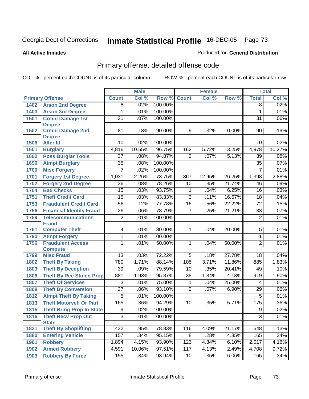#### **All Active Inmates**

#### Produced for **General Distribution**

# Primary offense, detailed offense code

|      |                                             |                 | <b>Male</b> |         |                 | <b>Female</b> |        |                  | <b>Total</b> |
|------|---------------------------------------------|-----------------|-------------|---------|-----------------|---------------|--------|------------------|--------------|
|      | <b>Primary Offense</b>                      | <b>Count</b>    | Col %       | Row %   | <b>Count</b>    | Col %         | Row %  | <b>Total</b>     | Col %        |
| 1402 | <b>Arson 2nd Degree</b>                     | $\overline{8}$  | .02%        | 100.00% |                 |               |        | $\overline{8}$   | .02%         |
| 1403 | <b>Arson 3rd Degree</b>                     | 1               | .01%        | 100.00% |                 |               |        | 1                | .01%         |
| 1501 | <b>Crmnl Damage 1st</b>                     | $\overline{31}$ | .07%        | 100.00% |                 |               |        | $\overline{31}$  | .06%         |
|      | <b>Degree</b>                               |                 |             |         |                 |               |        |                  |              |
| 1502 | <b>Crmnl Damage 2nd</b>                     | 81              | .18%        | 90.00%  | 9               | .32%          | 10.00% | 90               | .19%         |
|      | <b>Degree</b>                               |                 |             |         |                 |               |        |                  |              |
| 1506 | <b>Alter Id</b>                             | 10              | .02%        | 100.00% |                 |               |        | 10               | .02%         |
| 1601 | <b>Burglary</b>                             | 4,816           | 10.55%      | 96.75%  | 162             | 5.72%         | 3.25%  | 4,978            | 10.27%       |
| 1602 | <b>Poss Burglar Tools</b>                   | $\overline{37}$ | .08%        | 94.87%  | $\overline{2}$  | .07%          | 5.13%  | $\overline{39}$  | .08%         |
| 1690 | <b>Atmpt Burglary</b>                       | $\overline{35}$ | .08%        | 100.00% |                 |               |        | $\overline{35}$  | .07%         |
| 1700 | <b>Misc Forgery</b>                         | 7               | .02%        | 100.00% |                 |               |        | $\overline{7}$   | .01%         |
| 1701 | <b>Forgery 1st Degree</b>                   | 1,031           | 2.26%       | 73.75%  | 367             | 12.95%        | 26.25% | 1,398            | 2.88%        |
| 1702 | <b>Forgery 2nd Degree</b>                   | $\overline{36}$ | .08%        | 78.26%  | 10              | .35%          | 21.74% | 46               | .09%         |
| 1704 | <b>Bad Checks</b>                           | $\overline{15}$ | .03%        | 93.75%  | 1               | .04%          | 6.25%  | 16               | .03%         |
| 1751 | <b>Theft Credit Card</b>                    | 15              | .03%        | 83.33%  | $\overline{3}$  | .11%          | 16.67% | 18               | .04%         |
| 1753 | <b>Fraudulent Credit Card</b>               | $\overline{56}$ | .12%        | 77.78%  | 16              | .56%          | 22.22% | $\overline{72}$  | .15%         |
| 1756 | <b>Financial Identity Fraud</b>             | $\overline{26}$ | .06%        | 78.79%  | $\overline{7}$  | .25%          | 21.21% | $\overline{33}$  | .07%         |
| 1759 | <b>Telecommunications</b>                   | 2               | .01%        | 100.00% |                 |               |        | $\overline{2}$   | .01%         |
|      | <b>Fraud</b>                                |                 |             |         |                 |               |        |                  |              |
| 1761 | <b>Computer Theft</b>                       | 4               | .01%        | 80.00%  | $\mathbf{1}$    | .04%          | 20.00% | $\overline{5}$   | .01%         |
| 1790 | <b>Atmpt Forgery</b>                        | 1               | .01%        | 100.00% |                 |               |        | 1                | .01%         |
| 1796 | <b>Fraudulent Access</b>                    | 1               | .01%        | 50.00%  | 1.              | .04%          | 50.00% | $\overline{2}$   | .01%         |
| 1799 | <b>Compute</b><br><b>Misc Fraud</b>         | $\overline{13}$ | .03%        | 72.22%  | $\overline{5}$  | .18%          | 27.78% | 18               | .04%         |
|      |                                             | 780             | 1.71%       | 88.14%  | 105             | 3.71%         | 11.86% | 885              | 1.83%        |
| 1802 | <b>Theft By Taking</b>                      |                 |             |         |                 |               |        |                  |              |
| 1803 | <b>Theft By Deception</b>                   | $\overline{39}$ | .09%        | 79.59%  | 10              | .35%          | 20.41% | 49               | .10%         |
| 1806 | <b>Theft By Rec Stolen Prop</b>             | 881             | 1.93%       | 95.87%  | $\overline{38}$ | 1.34%         | 4.13%  | $\overline{919}$ | 1.90%        |
| 1807 | <b>Theft Of Services</b>                    | $\overline{3}$  | .01%        | 75.00%  | 1               | .04%          | 25.00% | 4                | .01%         |
| 1808 | <b>Theft By Conversion</b>                  | $\overline{27}$ | .06%        | 93.10%  | $\overline{2}$  | .07%          | 6.90%  | $\overline{29}$  | .06%         |
| 1812 | <b>Atmpt Theft By Taking</b>                | $\overline{5}$  | .01%        | 100.00% |                 |               |        | $\overline{5}$   | .01%         |
| 1813 | <b>Theft Motorveh Or Part</b>               | 165             | .36%        | 94.29%  | 10              | .35%          | 5.71%  | 175              | .36%         |
| 1815 | <b>Theft Bring Prop In State</b>            | $\overline{9}$  | .02%        | 100.00% |                 |               |        | $\overline{9}$   | .02%         |
| 1816 | <b>Theft Recv Prop Out</b>                  | $\overline{3}$  | .01%        | 100.00% |                 |               |        | 3                | .01%         |
|      | <b>State</b><br><b>Theft By Shoplifting</b> | 432             | .95%        | 78.83%  | 116             | 4.09%         | 21.17% | 548              | 1.13%        |
| 1821 |                                             | 157             | .34%        | 95.15%  | 8               | .28%          | 4.85%  | 165              | .34%         |
| 1880 | <b>Entering Vehicle</b>                     |                 | 4.15%       | 93.90%  | 123             |               | 6.10%  |                  | 4.16%        |
| 1901 | <b>Robbery</b>                              | 1,894           |             |         |                 | 4.34%         |        | 2,017            |              |
| 1902 | <b>Armed Robbery</b>                        | 4,591           | 10.06%      | 97.51%  | 117             | 4.13%         | 2.49%  | 4,708            | 9.72%        |
| 1903 | <b>Robbery By Force</b>                     | 155             | .34%        | 93.94%  | 10              | .35%          | 6.06%  | 165              | .34%         |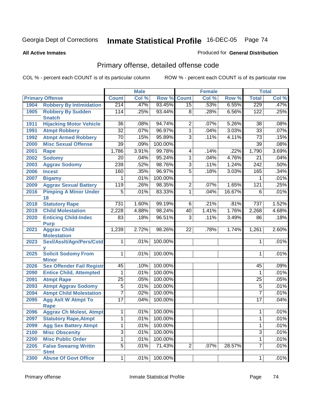#### **All Active Inmates**

#### Produced for **General Distribution**

# Primary offense, detailed offense code

|      |                                            |                  | <b>Male</b> |              |                         | <b>Female</b> |        |                  | <b>Total</b> |
|------|--------------------------------------------|------------------|-------------|--------------|-------------------------|---------------|--------|------------------|--------------|
|      | <b>Primary Offense</b>                     | <b>Count</b>     | Col %       | Row %        | <b>Count</b>            | Col %         | Row %  | <b>Total</b>     | Col %        |
| 1904 | <b>Robbery By Intimidation</b>             | 214              | .47%        | 93.45%       | 15                      | .53%          | 6.55%  | 229              | .47%         |
| 1905 | <b>Robbery By Sudden</b><br><b>Snatch</b>  | 114              | .25%        | 93.44%       | 8                       | .28%          | 6.56%  | 122              | .25%         |
| 1911 | <b>Hijacking Motor Vehicle</b>             | $\overline{36}$  | .08%        | 94.74%       | $\overline{2}$          | .07%          | 5.26%  | 38               | .08%         |
| 1991 | <b>Atmpt Robbery</b>                       | $\overline{32}$  | .07%        | 96.97%       | 1                       | .04%          | 3.03%  | $\overline{33}$  | .07%         |
| 1992 | <b>Atmpt Armed Robbery</b>                 | $\overline{70}$  | .15%        | 95.89%       | $\overline{3}$          | .11%          | 4.11%  | $\overline{73}$  | .15%         |
| 2000 | <b>Misc Sexual Offense</b>                 | $\overline{39}$  | .09%        | 100.00%      |                         |               |        | $\overline{39}$  | .08%         |
| 2001 | <b>Rape</b>                                | 1,786            | 3.91%       | 99.78%       | $\overline{\mathbf{4}}$ | .14%          | .22%   | 1,790            | 3.69%        |
| 2002 | <b>Sodomy</b>                              | 20               | .04%        | 95.24%       | 1                       | .04%          | 4.76%  | 21               | .04%         |
| 2003 | <b>Aggrav Sodomy</b>                       | 239              | .52%        | 98.76%       | $\overline{3}$          | .11%          | 1.24%  | 242              | .50%         |
| 2006 | <b>Incest</b>                              | 160              | .35%        | 96.97%       | 5                       | .18%          | 3.03%  | 165              | .34%         |
| 2007 | <b>Bigamy</b>                              |                  | .01%        | 100.00%      |                         |               |        | 1                | .01%         |
| 2009 | <b>Aggrav Sexual Battery</b>               | 119              | .26%        | 98.35%       | $\overline{c}$          | .07%          | 1.65%  | $\overline{121}$ | .25%         |
| 2016 | <b>Pimping A Minor Under</b><br>18         | $\overline{5}$   | .01%        | 83.33%       | 1                       | .04%          | 16.67% | $\overline{6}$   | .01%         |
| 2018 | <b>Statutory Rape</b>                      | $\overline{731}$ | 1.60%       | 99.19%       | $\overline{6}$          | .21%          | .81%   | $\overline{737}$ | 1.52%        |
| 2019 | <b>Child Molestation</b>                   | 2,228            | 4.88%       | 98.24%       | $\overline{40}$         | 1.41%         | 1.76%  | 2,268            | 4.68%        |
| 2020 | <b>Enticing Child-Indec</b><br><b>Purp</b> | 83               | .18%        | 96.51%       | $\overline{3}$          | .11%          | 3.49%  | 86               | .18%         |
| 2021 | <b>Aggrav Child</b><br><b>Molestation</b>  | 1,239            | 2.72%       | 98.26%       | 22                      | .78%          | 1.74%  | 1,261            | 2.60%        |
| 2023 | Sexl/AssIt/Agn/Pers/Cstd                   | 1                | .01%        | 100.00%      |                         |               |        | 1                | .01%         |
| 2025 | <b>Solicit Sodomy From</b><br><b>Minor</b> | 1                | .01%        | 100.00%      |                         |               |        | 1                | .01%         |
| 2026 | <b>Sex Offender Fail Registr</b>           | 45               | .10%        | 100.00%      |                         |               |        | 45               | .09%         |
| 2090 | <b>Entice Child, Attempted</b>             | 1                | .01%        | 100.00%      |                         |               |        | 1                | .01%         |
| 2091 | <b>Atmpt Rape</b>                          | $\overline{25}$  | .05%        | 100.00%      |                         |               |        | 25               | .05%         |
| 2093 | <b>Atmpt Aggrav Sodomy</b>                 | 5                | .01%        | 100.00%      |                         |               |        | $\overline{5}$   | .01%         |
| 2094 | <b>Atmpt Child Molestation</b>             | $\overline{7}$   | .02%        | 100.00%      |                         |               |        | $\overline{7}$   | .01%         |
| 2095 | <b>Agg Aslt W Atmpt To</b><br><b>Rape</b>  | 17               | .04%        | 100.00%      |                         |               |        | 17               | .04%         |
| 2096 | <b>Aggrav Ch Molest, Atmpt</b>             | $\mathbf 1$      |             | .01% 100.00% |                         |               |        | $\mathbf{1}$     | .01%         |
| 2097 | <b>Statutory Rape, Atmpt</b>               | 1                | .01%        | 100.00%      |                         |               |        | 1                | .01%         |
| 2099 | <b>Agg Sex Battery Atmpt</b>               | 1                | .01%        | 100.00%      |                         |               |        | $\mathbf{1}$     | .01%         |
| 2100 | <b>Misc Obscenity</b>                      | $\overline{3}$   | .01%        | 100.00%      |                         |               |        | $\overline{3}$   | .01%         |
| 2200 | <b>Misc Public Order</b>                   | $\mathbf 1$      | .01%        | 100.00%      |                         |               |        | $\overline{1}$   | .01%         |
| 2205 | <b>False Swearng Writtn</b><br><b>Stmt</b> | $\overline{5}$   | .01%        | 71.43%       | $\overline{2}$          | .07%          | 28.57% | $\overline{7}$   | .01%         |
| 2300 | <b>Abuse Of Govt Office</b>                | $\mathbf{1}$     | .01%        | 100.00%      |                         |               |        | $\mathbf{1}$     | .01%         |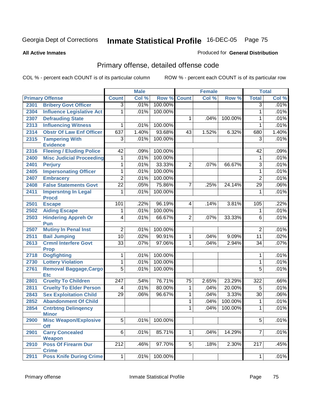#### **All Active Inmates**

### Produced for **General Distribution**

# Primary offense, detailed offense code

|      |                                         |                 | <b>Male</b> |                    |                | <b>Female</b> |         |                  | <b>Total</b> |
|------|-----------------------------------------|-----------------|-------------|--------------------|----------------|---------------|---------|------------------|--------------|
|      | <b>Primary Offense</b>                  | <b>Count</b>    | Col %       | <b>Row % Count</b> |                | Col %         | Row %   | <b>Total</b>     | Col %        |
| 2301 | <b>Bribery Govt Officer</b>             | $\overline{3}$  | .01%        | 100.00%            |                |               |         | $\overline{3}$   | .01%         |
| 2304 | <b>Influence Legislative Act</b>        | 1               | .01%        | 100.00%            |                |               |         | 1                | .01%         |
| 2307 | <b>Defrauding State</b>                 |                 |             |                    | 1              | .04%          | 100.00% | 1                | .01%         |
| 2313 | <b>Influencing Witness</b>              | 1               | .01%        | 100.00%            |                |               |         | 1                | .01%         |
| 2314 | <b>Obstr Of Law Enf Officer</b>         | 637             | 1.40%       | 93.68%             | 43             | 1.52%         | 6.32%   | 680              | 1.40%        |
| 2315 | <b>Tampering With</b>                   | 3               | .01%        | 100.00%            |                |               |         | 3                | .01%         |
|      | <b>Evidence</b>                         |                 |             |                    |                |               |         |                  |              |
| 2316 | <b>Fleeing / Eluding Police</b>         | $\overline{42}$ | .09%        | 100.00%            |                |               |         | 42               | .09%         |
| 2400 | <b>Misc Judicial Proceeding</b>         | 1               | .01%        | 100.00%            |                |               |         | 1                | .01%         |
| 2401 | <b>Perjury</b>                          | 1               | .01%        | 33.33%             | $\overline{2}$ | .07%          | 66.67%  | $\overline{3}$   | .01%         |
| 2405 | <b>Impersonating Officer</b>            | 1               | .01%        | 100.00%            |                |               |         | 1                | .01%         |
| 2407 | <b>Embracery</b>                        | $\overline{2}$  | .01%        | 100.00%            |                |               |         | $\overline{2}$   | .01%         |
| 2408 | <b>False Statements Govt</b>            | $\overline{22}$ | .05%        | 75.86%             | $\overline{7}$ | .25%          | 24.14%  | $\overline{29}$  | .06%         |
| 2411 | <b>Impersntng In Legal</b>              | 1               | .01%        | 100.00%            |                |               |         | 1                | .01%         |
|      | <b>Procd</b>                            |                 |             |                    |                |               |         |                  |              |
| 2501 | <b>Escape</b>                           | 101             | .22%        | 96.19%             | 4              | .14%          | 3.81%   | 105              | .22%         |
| 2502 | <b>Aiding Escape</b>                    | 1               | .01%        | 100.00%            |                |               |         | 1                | .01%         |
| 2503 | <b>Hindering Appreh Or</b><br>Pun       | $\overline{4}$  | .01%        | 66.67%             | $\overline{2}$ | $.07\%$       | 33.33%  | 6                | .01%         |
| 2507 | <b>Mutiny In Penal Inst</b>             | $\overline{2}$  | .01%        | 100.00%            |                |               |         | $\overline{2}$   | .01%         |
| 2511 | <b>Bail Jumping</b>                     | 10              | .02%        | 90.91%             | 1              | .04%          | 9.09%   | $\overline{11}$  | .02%         |
| 2613 | <b>Crmnl Interfere Govt</b>             | $\overline{33}$ | .07%        | 97.06%             | $\mathbf 1$    | .04%          | 2.94%   | $\overline{34}$  | .07%         |
|      | <b>Prop</b>                             |                 |             |                    |                |               |         |                  |              |
| 2718 | <b>Dogfighting</b>                      | 1               | .01%        | 100.00%            |                |               |         | 1                | .01%         |
| 2730 | <b>Lottery Violation</b>                | 1               | .01%        | 100.00%            |                |               |         | 1                | .01%         |
| 2761 | Removal Baggage, Cargo                  | $\overline{5}$  | .01%        | 100.00%            |                |               |         | 5                | .01%         |
|      | <b>Etc</b>                              |                 |             |                    |                |               |         |                  |              |
| 2801 | <b>Cruelty To Children</b>              | 247             | .54%        | 76.71%             | 75             | 2.65%         | 23.29%  | 322              | .66%         |
| 2811 | <b>Cruelty To Elder Person</b>          | 4               | .01%        | 80.00%             | 1              | .04%          | 20.00%  | $\overline{5}$   | .01%         |
| 2843 | <b>Sex Exploitation Child</b>           | $\overline{29}$ | .06%        | 96.67%             | 1              | .04%          | 3.33%   | $\overline{30}$  | .06%         |
| 2852 | <b>Abandonment Of Child</b>             |                 |             |                    | $\mathbf{1}$   | .04%          | 100.00% | 1                | .01%         |
| 2854 | <b>Cntrbtng Delingency</b>              |                 |             |                    | 1              | .04%          | 100.00% | 1                | .01%         |
|      | <b>Minor</b>                            |                 |             |                    |                |               |         |                  |              |
| 2900 | <b>Misc Weapon/Explosive</b>            | $\overline{5}$  | .01%        | 100.00%            |                |               |         | $\overline{5}$   | .01%         |
|      | <b>Off</b>                              |                 |             |                    |                |               |         |                  |              |
| 2901 | <b>Carry Concealed</b><br><b>Weapon</b> | $6\overline{6}$ | .01%        | 85.71%             | $\mathbf{1}$   | .04%          | 14.29%  | $\overline{7}$   | .01%         |
| 2910 | <b>Poss Of Firearm Dur</b>              | 212             | .46%        | 97.70%             | 5 <sup>1</sup> | .18%          | 2.30%   | $\overline{2}17$ | .45%         |
|      | <b>Crime</b>                            |                 |             |                    |                |               |         |                  |              |
| 2911 | <b>Poss Knife During Crime</b>          | $\mathbf{1}$    | .01%        | 100.00%            |                |               |         | 1                | .01%         |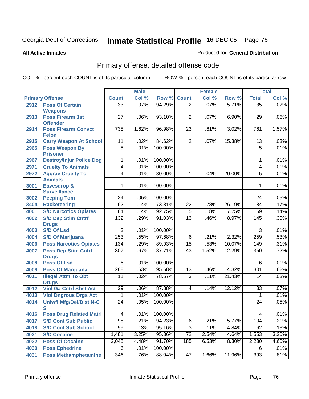**All Active Inmates**

#### Produced for **General Distribution**

# Primary offense, detailed offense code

|      |                                               |                 | <b>Male</b> |                 |                 | <b>Female</b> |        |                         | <b>Total</b> |
|------|-----------------------------------------------|-----------------|-------------|-----------------|-----------------|---------------|--------|-------------------------|--------------|
|      | <b>Primary Offense</b>                        | <b>Count</b>    | Col %       | Row %           | <b>Count</b>    | Col %         | Row %  | <b>Total</b>            | Col %        |
| 2912 | <b>Poss Of Certain</b>                        | $\overline{33}$ | .07%        | 94.29%          | $\overline{2}$  | .07%          | 5.71%  | $\overline{35}$         | .07%         |
|      | <b>Weapons</b>                                |                 |             |                 |                 |               |        |                         |              |
| 2913 | <b>Poss Firearm 1st</b>                       | $\overline{27}$ | .06%        | 93.10%          | $\overline{2}$  | .07%          | 6.90%  | 29                      | .06%         |
|      | <b>Offender</b>                               |                 |             |                 |                 |               |        |                         |              |
| 2914 | <b>Poss Firearm Convct</b>                    | 738             | 1.62%       | 96.98%          | 23              | .81%          | 3.02%  | 761                     | 1.57%        |
| 2915 | <b>Felon</b><br><b>Carry Weapon At School</b> | 11              | .02%        | 84.62%          | $\overline{2}$  | .07%          | 15.38% | 13                      | .03%         |
| 2965 | <b>Poss Weapon By</b>                         | $\overline{5}$  | .01%        | 100.00%         |                 |               |        | $\overline{5}$          | .01%         |
|      | <b>Prisoner</b>                               |                 |             |                 |                 |               |        |                         |              |
| 2967 | <b>Destroy/Injur Police Dog</b>               | $\overline{1}$  | .01%        | 100.00%         |                 |               |        | 1                       | .01%         |
| 2971 | <b>Cruelty To Animals</b>                     | $\overline{4}$  | .01%        | 100.00%         |                 |               |        | $\overline{\mathbf{4}}$ | .01%         |
| 2972 | <b>Aggrav Cruelty To</b>                      | $\overline{4}$  | .01%        | 80.00%          | $\mathbf 1$     | .04%          | 20.00% | 5                       | .01%         |
|      | <b>Animals</b>                                |                 |             |                 |                 |               |        |                         |              |
| 3001 | Eavesdrop &                                   | $\mathbf{1}$    | .01%        | 100.00%         |                 |               |        | 1                       | .01%         |
|      | <b>Surveillance</b>                           |                 |             |                 |                 |               |        |                         |              |
| 3002 | <b>Peeping Tom</b>                            | 24              | .05%        | 100.00%         |                 |               |        | 24                      | .05%         |
| 3404 | <b>Racketeering</b>                           | 62              | .14%        | 73.81%          | $\overline{22}$ | .78%          | 26.19% | 84                      | .17%         |
| 4001 | <b>S/D Narcotics Opiates</b>                  | 64              | .14%        | 92.75%          | $\overline{5}$  | .18%          | 7.25%  | 69                      | .14%         |
| 4002 | <b>S/D Dep Stim Cntrf</b>                     | 132             | .29%        | 91.03%          | $\overline{13}$ | .46%          | 8.97%  | 145                     | .30%         |
|      | <b>Drugs</b>                                  |                 |             |                 |                 |               |        |                         |              |
| 4003 | <b>S/D Of Lsd</b>                             | $\overline{3}$  | .01%        | 100.00%         |                 |               |        | 3                       | .01%         |
| 4004 | <b>S/D Of Marijuana</b>                       | 253             | .55%        | 97.68%          | 6               | .21%          | 2.32%  | 259                     | .53%         |
| 4006 | <b>Poss Narcotics Opiates</b>                 | 134             | .29%        | 89.93%          | 15              | .53%          | 10.07% | 149                     | .31%         |
| 4007 | <b>Poss Dep Stim Cntrf</b>                    | 307             | .67%        | 87.71%          | 43              | 1.52%         | 12.29% | 350                     | .72%         |
| 4008 | <b>Drugs</b><br><b>Poss Of Lsd</b>            | 6               | .01%        | 100.00%         |                 |               |        | 6                       | .01%         |
| 4009 | <b>Poss Of Marijuana</b>                      | 288             | .63%        | 95.68%          | 13              | .46%          | 4.32%  | 301                     | .62%         |
| 4011 | <b>Illegal Attm To Obt</b>                    | 11              | .02%        | 78.57%          | $\overline{3}$  | .11%          | 21.43% | 14                      | .03%         |
|      | <b>Drugs</b>                                  |                 |             |                 |                 |               |        |                         |              |
| 4012 | <b>Viol Ga Cntrl Sbst Act</b>                 | 29              | .06%        | 87.88%          | 4               | .14%          | 12.12% | 33                      | .07%         |
| 4013 | <b>Viol Dngrous Drgs Act</b>                  | 1               | .01%        | 100.00%         |                 |               |        | $\mathbf 1$             | .01%         |
| 4014 | <b>Uniwfl Mfg/Del/Dist N-C</b>                | 24              | .05%        | 100.00%         |                 |               |        | 24                      | .05%         |
|      | S                                             |                 |             |                 |                 |               |        |                         |              |
| 4016 | <b>Poss Drug Related Matri</b>                | $\vert 4 \vert$ |             | $.01\%$ 100.00% |                 |               |        | $\vert 4 \vert$         | .01%         |
| 4017 | <b>S/D Cont Sub Public</b>                    | 98              | .21%        | 94.23%          | 6               | .21%          | 5.77%  | 104                     | .21%         |
| 4018 | <b>S/D Cont Sub School</b>                    | 59              | .13%        | 95.16%          | 3               | .11%          | 4.84%  | 62                      | .13%         |
| 4021 | <b>S/D Cocaine</b>                            | 1,481           | 3.25%       | 95.36%          | 72              | 2.54%         | 4.64%  | 1,553                   | 3.20%        |
| 4022 | <b>Poss Of Cocaine</b>                        | 2,045           | 4.48%       | 91.70%          | 185             | 6.53%         | 8.30%  | 2,230                   | 4.60%        |
| 4030 | <b>Poss Ephedrine</b>                         | 6               | .01%        | 100.00%         |                 |               |        | 6                       | .01%         |
| 4031 | <b>Poss Methamphetamine</b>                   | 346             | .76%        | 88.04%          | 47              | 1.66%         | 11.96% | 393                     | .81%         |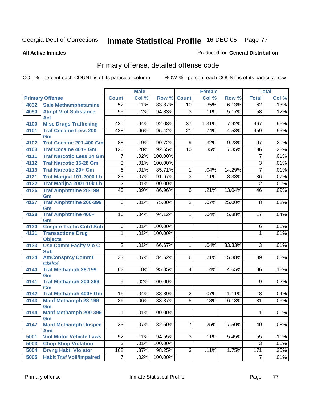**All Active Inmates**

#### Produced for **General Distribution**

# Primary offense, detailed offense code

|      |                                            |                 | <b>Male</b> |            |                 | <b>Female</b> |        |                | <b>Total</b> |
|------|--------------------------------------------|-----------------|-------------|------------|-----------------|---------------|--------|----------------|--------------|
|      | <b>Primary Offense</b>                     | <b>Count</b>    | Col %       | Row %      | <b>Count</b>    | Col %         | Row %  | <b>Total</b>   | Col %        |
| 4032 | <b>Sale Methamphetamine</b>                | 52              | .11%        | 83.87%     | 10              | $.35\%$       | 16.13% | 62             | .13%         |
| 4090 | <b>Atmpt Viol Substance</b><br><b>Act</b>  | $\overline{55}$ | .12%        | 94.83%     | $\overline{3}$  | .11%          | 5.17%  | 58             | .12%         |
| 4100 | <b>Misc Drugs Trafficking</b>              | 430             | .94%        | 92.08%     | 37              | 1.31%         | 7.92%  | 467            | .96%         |
| 4101 | <b>Traf Cocaine Less 200</b><br>Gm         | 438             | .96%        | 95.42%     | 21              | .74%          | 4.58%  | 459            | .95%         |
| 4102 | Traf Cocaine 201-400 Gm                    | 88              | .19%        | 90.72%     | 9               | .32%          | 9.28%  | 97             | .20%         |
| 4103 | <b>Traf Cocaine 401+ Gm</b>                | 126             | .28%        | 92.65%     | 10              | .35%          | 7.35%  | 136            | .28%         |
| 4111 | <b>Traf Narcotic Less 14 Gm</b>            | $\overline{7}$  | .02%        | 100.00%    |                 |               |        | $\overline{7}$ | .01%         |
| 4112 | <b>Traf Narcotic 15-28 Gm</b>              | $\overline{3}$  | .01%        | 100.00%    |                 |               |        | $\overline{3}$ | .01%         |
| 4113 | <b>Traf Narcotic 29+ Gm</b>                | $\overline{6}$  | .01%        | 85.71%     | 1               | .04%          | 14.29% | $\overline{7}$ | .01%         |
| 4121 | Traf Marijna 101-2000 Lb                   | $\overline{33}$ | .07%        | 91.67%     | $\overline{3}$  | .11%          | 8.33%  | 36             | .07%         |
| 4122 | Traf Marijna 2001-10k Lb                   | $\overline{2}$  | .01%        | 100.00%    |                 |               |        | $\overline{2}$ | .01%         |
| 4126 | <b>Traf Amphtmine 28-199</b><br>Gm         | $\overline{40}$ | .09%        | 86.96%     | $\overline{6}$  | .21%          | 13.04% | 46             | .09%         |
| 4127 | <b>Traf Amphtmine 200-399</b><br>Gm        | $6 \mid$        | .01%        | 75.00%     | 2 <sup>1</sup>  | .07%          | 25.00% | 8              | .02%         |
| 4128 | <b>Traf Amphtmine 400+</b><br>Gm           | 16              | .04%        | 94.12%     | $\mathbf 1$     | .04%          | 5.88%  | 17             | .04%         |
| 4130 | <b>Cnspire Traffic Cntrl Sub</b>           | 6               | .01%        | 100.00%    |                 |               |        | 6              | .01%         |
| 4131 | <b>Transactions Drug</b><br><b>Objects</b> | 1               | .01%        | 100.00%    |                 |               |        | 1              | .01%         |
| 4133 | <b>Use Comm Facity Vio C</b><br><b>Sub</b> | $\overline{2}$  | .01%        | 66.67%     | $\mathbf{1}$    | .04%          | 33.33% | 3              | .01%         |
| 4134 | <b>Att/Consprcy Commt</b><br>C/S/Of        | 33              | .07%        | 84.62%     | 6 <sup>1</sup>  | .21%          | 15.38% | 39             | .08%         |
| 4140 | <b>Traf Methamph 28-199</b><br>Gm          | 82              | .18%        | 95.35%     | $\vert 4 \vert$ | .14%          | 4.65%  | 86             | .18%         |
| 4141 | Traf Methamph 200-399<br>Gm                | 9 <sup>1</sup>  | .02%        | 100.00%    |                 |               |        | 9              | .02%         |
| 4142 | Traf Methamph 400+ Gm                      | 16              | .04%        | 88.89%     | 2               | .07%          | 11.11% | 18             | .04%         |
| 4143 | <b>Manf Methamph 28-199</b><br>Gm          | 26              | .06%        | 83.87%     | $\overline{5}$  | .18%          | 16.13% | 31             | .06%         |
| 4144 | <b>Manf Methamph 200-399</b><br>Gm         | 1               | .01%        | 100.00%    |                 |               |        | $\mathbf{1}$   | .01%         |
| 4147 | <b>Manf Methamph Unspec</b><br>Amt         | 33              | .07%        | 82.50%     | 7 <sup>1</sup>  | .25%          | 17.50% | 40             | .08%         |
| 5001 | <b>Viol Motor Vehicle Laws</b>             | 52              | .11%        | 94.55%     | 3 <sup>1</sup>  | .11%          | 5.45%  | 55             | .11%         |
| 5003 | <b>Chop Shop Violation</b>                 | $\overline{3}$  | .01%        | 100.00%    |                 |               |        | 3              | .01%         |
| 5004 | <b>Drvng Habtl Violator</b>                | 168             | .37%        | 98.25%     | 3 <sup>1</sup>  | .11%          | 1.75%  | 171            | .35%         |
| 5005 | <b>Habit Traf Voil/Impaired</b>            | $\overline{7}$  | .02%        | $100.00\%$ |                 |               |        | $\overline{7}$ | .01%         |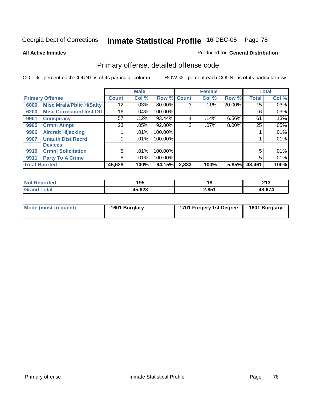**All Active Inmates**

#### Produced for **General Distribution**

# Primary offense, detailed offense code

|      |                                  |              | <b>Male</b> |         |             | <b>Female</b> |          |              | <b>Total</b> |
|------|----------------------------------|--------------|-------------|---------|-------------|---------------|----------|--------------|--------------|
|      | <b>Primary Offense</b>           | <b>Count</b> | Col %       |         | Row % Count | Col %         | Row %    | <b>Total</b> | Col %        |
| 6000 | <b>Misc Mrals/Pblic H/Safty</b>  | 12           | $.03\%$     | 80.00%  | 3           | $.11\%$       | 20.00%   | 15           | .03%         |
| 6200 | <b>Misc Correctionl Inst Off</b> | 16           | .04%        | 100.00% |             |               |          | 16           | .03%         |
| 9901 | <b>Conspiracy</b>                | 57           | .12%        | 93.44%  | 4           | .14%          | 6.56%    | 61           | .13%         |
| 9905 | <b>Crmnl Atmpt</b>               | 23           | $.05\%$     | 92.00%  | 2           | $.07\%$       | $8.00\%$ | 25           | .05%         |
| 9906 | <b>Aircraft Hijacking</b>        |              | $.01\%$     | 100.00% |             |               |          |              | .01%         |
| 9907 | <b>Unauth Dist Recrd</b>         |              | $.01\%$     | 100.00% |             |               |          |              | .01%         |
|      | <b>Devices</b>                   |              |             |         |             |               |          |              |              |
| 9910 | <b>Crmnl Solicitation</b>        | 5            | $.01\%$     | 100.00% |             |               |          | 5            | .01%         |
| 9911 | <b>Party To A Crime</b>          | 5            | $.01\%$     | 100.00% |             |               |          | 5            | .01%         |
|      | <b>Total Rported</b>             | 45,628       | 100%        | 94.15%  | 2,833       | 100%          | 5.85%    | 48,461       | 100%         |

| N <sub>of</sub><br><b>eported</b> | 195    | 10    | 242<br>2 I J |
|-----------------------------------|--------|-------|--------------|
| $\tau$ otar<br>Gra                | 45,823 | 2,851 | $AB$ $67/$   |

| Mode (most frequent) | 1601 Burglary | 1701 Forgery 1st Degree | 1601 Burglary |
|----------------------|---------------|-------------------------|---------------|
|----------------------|---------------|-------------------------|---------------|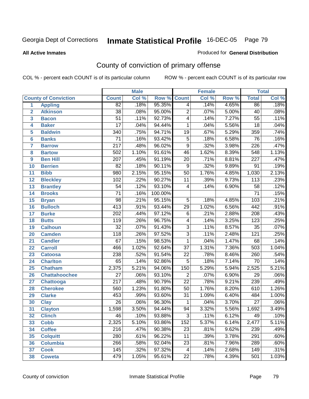**All Active Inmates**

#### Produced for **General Distribution**

# County of conviction of primary offense

|                 |                             |                  | <b>Male</b> |         |                 | <b>Female</b> |       |                  | <b>Total</b> |
|-----------------|-----------------------------|------------------|-------------|---------|-----------------|---------------|-------|------------------|--------------|
|                 | <b>County of Conviction</b> | <b>Count</b>     | Col %       | Row %   | <b>Count</b>    | Col %         | Row % | <b>Total</b>     | Col %        |
| 1               | <b>Appling</b>              | $\overline{82}$  | .18%        | 95.35%  | 4               | .14%          | 4.65% | 86               | .18%         |
| $\overline{2}$  | <b>Atkinson</b>             | $\overline{38}$  | .08%        | 95.00%  | $\overline{2}$  | .07%          | 5.00% | 40               | .08%         |
| 3               | <b>Bacon</b>                | $\overline{51}$  | .11%        | 92.73%  | 4               | .14%          | 7.27% | $\overline{55}$  | .11%         |
| 4               | <b>Baker</b>                | $\overline{17}$  | .04%        | 94.44%  | 1               | .04%          | 5.56% | $\overline{18}$  | .04%         |
| 5               | <b>Baldwin</b>              | $\overline{340}$ | .75%        | 94.71%  | $\overline{19}$ | .67%          | 5.29% | 359              | .74%         |
| 6               | <b>Banks</b>                | $\overline{71}$  | .16%        | 93.42%  | $\overline{5}$  | .18%          | 6.58% | 76               | .16%         |
| $\overline{7}$  | <b>Barrow</b>               | $\overline{217}$ | .48%        | 96.02%  | $\overline{9}$  | .32%          | 3.98% | $\overline{226}$ | .47%         |
| 8               | <b>Bartow</b>               | 502              | 1.10%       | 91.61%  | 46              | 1.62%         | 8.39% | $\overline{548}$ | 1.13%        |
| 9               | <b>Ben Hill</b>             | $\overline{207}$ | .45%        | 91.19%  | $\overline{20}$ | .71%          | 8.81% | $\overline{227}$ | .47%         |
| 10              | <b>Berrien</b>              | $\overline{82}$  | .18%        | 90.11%  | $\overline{9}$  | .32%          | 9.89% | $\overline{91}$  | .19%         |
| 11              | <b>Bibb</b>                 | 980              | 2.15%       | 95.15%  | $\overline{50}$ | 1.76%         | 4.85% | 1,030            | 2.13%        |
| 12              | <b>Bleckley</b>             | 102              | .22%        | 90.27%  | 11              | .39%          | 9.73% | $\overline{113}$ | .23%         |
| $\overline{13}$ | <b>Brantley</b>             | $\overline{54}$  | .12%        | 93.10%  | 4               | .14%          | 6.90% | $\overline{58}$  | .12%         |
| 14              | <b>Brooks</b>               | $\overline{71}$  | .16%        | 100.00% |                 |               |       | $\overline{71}$  | .15%         |
| 15              | <b>Bryan</b>                | $\overline{98}$  | .21%        | 95.15%  | $\overline{5}$  | .18%          | 4.85% | 103              | .21%         |
| 16              | <b>Bulloch</b>              | $\overline{413}$ | .91%        | 93.44%  | 29              | 1.02%         | 6.56% | 442              | .91%         |
| $\overline{17}$ | <b>Burke</b>                | $\overline{202}$ | .44%        | 97.12%  | $\overline{6}$  | .21%          | 2.88% | $\overline{208}$ | .43%         |
| 18              | <b>Butts</b>                | 119              | .26%        | 96.75%  | 4               | .14%          | 3.25% | 123              | .25%         |
| 19              | <b>Calhoun</b>              | $\overline{32}$  | .07%        | 91.43%  | $\overline{3}$  | .11%          | 8.57% | $\overline{35}$  | .07%         |
| 20              | <b>Camden</b>               | $\overline{118}$ | .26%        | 97.52%  | $\overline{3}$  | .11%          | 2.48% | $\overline{121}$ | .25%         |
| 21              | <b>Candler</b>              | $\overline{67}$  | .15%        | 98.53%  | $\mathbf{1}$    | .04%          | 1.47% | 68               | .14%         |
| 22              | <b>Carroll</b>              | 466              | 1.02%       | 92.64%  | $\overline{37}$ | 1.31%         | 7.36% | 503              | 1.04%        |
| 23              | <b>Catoosa</b>              | 238              | .52%        | 91.54%  | $\overline{22}$ | .78%          | 8.46% | 260              | .54%         |
| 24              | <b>Charlton</b>             | 65               | .14%        | 92.86%  | $\overline{5}$  | .18%          | 7.14% | 70               | .14%         |
| 25              | <b>Chatham</b>              | 2,375            | 5.21%       | 94.06%  | 150             | 5.29%         | 5.94% | 2,525            | 5.21%        |
| 26              | <b>Chattahoochee</b>        | $\overline{27}$  | .06%        | 93.10%  | $\overline{2}$  | .07%          | 6.90% | $\overline{29}$  | .06%         |
| 27              | Chattooga                   | $\overline{217}$ | .48%        | 90.79%  | $\overline{22}$ | .78%          | 9.21% | 239              | .49%         |
| 28              | <b>Cherokee</b>             | 560              | 1.23%       | 91.80%  | 50              | 1.76%         | 8.20% | 610              | 1.26%        |
| 29              | <b>Clarke</b>               | 453              | .99%        | 93.60%  | $\overline{31}$ | 1.09%         | 6.40% | 484              | 1.00%        |
| 30              | <b>Clay</b>                 | $\overline{26}$  | .06%        | 96.30%  | 1               | .04%          | 3.70% | $\overline{27}$  | .06%         |
| $\overline{31}$ | <b>Clayton</b>              | 1,598            | 3.50%       | 94.44%  | $\overline{94}$ | 3.32%         | 5.56% | 1,692            | 3.49%        |
| 32              | <b>Clinch</b>               | 46               | .10%        | 93.88%  | 3               | .11%          | 6.12% | 49               | .10%         |
| 33              | <b>Cobb</b>                 | 2,325            | 5.10%       | 93.86%  | 152             | 5.37%         | 6.14% | 2,477            | 5.11%        |
| 34              | <b>Coffee</b>               | 216              | .47%        | 90.38%  | 23              | .81%          | 9.62% | 239              | .49%         |
| 35              | <b>Colquitt</b>             | $\overline{280}$ | .61%        | 96.22%  | 11              | .39%          | 3.78% | 291              | .60%         |
| 36              | <b>Columbia</b>             | 266              | .58%        | 92.04%  | 23              | .81%          | 7.96% | 289              | .60%         |
| 37              | <b>Cook</b>                 | 145              | .32%        | 97.32%  | 4               | .14%          | 2.68% | 149              | .31%         |
| 38              | <b>Coweta</b>               | 479              | 1.05%       | 95.61%  | $\overline{22}$ | .78%          | 4.39% | 501              | 1.03%        |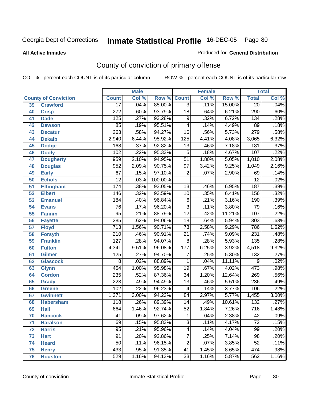**All Active Inmates**

## Georgia Dept of Corrections **Inmate Statistical Profile** 16-DEC-05 Page 80

#### Produced for **General Distribution**

# County of conviction of primary offense

|    |                             |                  | <b>Male</b> |         | <b>Female</b>           |       |        | <b>Total</b>     |         |
|----|-----------------------------|------------------|-------------|---------|-------------------------|-------|--------|------------------|---------|
|    | <b>County of Conviction</b> | <b>Count</b>     | Col %       | Row %   | <b>Count</b>            | Col % | Row %  | <b>Total</b>     | Col %   |
| 39 | <b>Crawford</b>             | $\overline{17}$  | .04%        | 85.00%  | $\overline{3}$          | .11%  | 15.00% | $\overline{20}$  | .04%    |
| 40 | <b>Crisp</b>                | $\overline{272}$ | .60%        | 93.79%  | $\overline{18}$         | .64%  | 6.21%  | 290              | .60%    |
| 41 | <b>Dade</b>                 | 125              | .27%        | 93.28%  | $\overline{9}$          | .32%  | 6.72%  | $\overline{134}$ | .28%    |
| 42 | <b>Dawson</b>               | 85               | .19%        | 95.51%  | 4                       | .14%  | 4.49%  | 89               | .18%    |
| 43 | <b>Decatur</b>              | $\overline{263}$ | .58%        | 94.27%  | 16                      | .56%  | 5.73%  | 279              | .58%    |
| 44 | <b>Dekalb</b>               | 2,940            | 6.44%       | 95.92%  | 125                     | 4.41% | 4.08%  | 3,065            | 6.32%   |
| 45 | <b>Dodge</b>                | 168              | .37%        | 92.82%  | $\overline{13}$         | .46%  | 7.18%  | 181              | .37%    |
| 46 | <b>Dooly</b>                | 102              | .22%        | 95.33%  | $\mathbf 5$             | .18%  | 4.67%  | 107              | .22%    |
| 47 | <b>Dougherty</b>            | 959              | 2.10%       | 94.95%  | $\overline{51}$         | 1.80% | 5.05%  | 1,010            | 2.08%   |
| 48 | <b>Douglas</b>              | 952              | 2.09%       | 90.75%  | $\overline{97}$         | 3.42% | 9.25%  | 1,049            | 2.16%   |
| 49 | <b>Early</b>                | 67               | .15%        | 97.10%  | $\overline{2}$          | .07%  | 2.90%  | 69               | .14%    |
| 50 | <b>Echols</b>               | $\overline{12}$  | .03%        | 100.00% |                         |       |        | $\overline{12}$  | .02%    |
| 51 | <b>Effingham</b>            | 174              | .38%        | 93.05%  | $\overline{13}$         | .46%  | 6.95%  | 187              | .39%    |
| 52 | <b>Elbert</b>               | 146              | .32%        | 93.59%  | 10                      | .35%  | 6.41%  | 156              | .32%    |
| 53 | <b>Emanuel</b>              | 184              | .40%        | 96.84%  | $\overline{6}$          | .21%  | 3.16%  | 190              | .39%    |
| 54 | <b>Evans</b>                | $\overline{76}$  | .17%        | 96.20%  | $\overline{3}$          | .11%  | 3.80%  | 79               | .16%    |
| 55 | <b>Fannin</b>               | $\overline{95}$  | .21%        | 88.79%  | $\overline{12}$         | .42%  | 11.21% | 107              | .22%    |
| 56 | <b>Fayette</b>              | 285              | .62%        | 94.06%  | $\overline{18}$         | .64%  | 5.94%  | $\overline{303}$ | .63%    |
| 57 | <b>Floyd</b>                | $\overline{713}$ | 1.56%       | 90.71%  | $\overline{73}$         | 2.58% | 9.29%  | 786              | 1.62%   |
| 58 | <b>Forsyth</b>              | 210              | .46%        | 90.91%  | $\overline{21}$         | .74%  | 9.09%  | 231              | .48%    |
| 59 | <b>Franklin</b>             | 127              | .28%        | 94.07%  | $\overline{8}$          | .28%  | 5.93%  | 135              | .28%    |
| 60 | <b>Fulton</b>               | 4,341            | 9.51%       | 96.08%  | 177                     | 6.25% | 3.92%  | 4,518            | 9.32%   |
| 61 | Gilmer                      | 125              | .27%        | 94.70%  | $\overline{7}$          | .25%  | 5.30%  | $\overline{132}$ | .27%    |
| 62 | <b>Glascock</b>             | 8                | .02%        | 88.89%  | 1                       | .04%  | 11.11% | 9                | .02%    |
| 63 | <b>Glynn</b>                | 454              | 1.00%       | 95.98%  | 19                      | .67%  | 4.02%  | 473              | .98%    |
| 64 | <b>Gordon</b>               | 235              | .52%        | 87.36%  | $\overline{34}$         | 1.20% | 12.64% | 269              | .56%    |
| 65 | <b>Grady</b>                | 223              | .49%        | 94.49%  | $\overline{13}$         | .46%  | 5.51%  | 236              | .49%    |
| 66 | <b>Greene</b>               | 102              | .22%        | 96.23%  | 4                       | .14%  | 3.77%  | 106              | .22%    |
| 67 | <b>Gwinnett</b>             | 1,371            | 3.00%       | 94.23%  | 84                      | 2.97% | 5.77%  | 1,455            | 3.00%   |
| 68 | <b>Habersham</b>            | 118              | .26%        | 89.39%  | 14                      | .49%  | 10.61% | $\overline{132}$ | .27%    |
| 69 | <b>Hall</b>                 | 664              | 1.46%       | 92.74%  | $\overline{52}$         | 1.84% | 7.26%  | $\overline{716}$ | 1.48%   |
| 70 | <b>Hancock</b>              | 41               | .09%        | 97.62%  | 1                       | .04%  | 2.38%  | 42               | $.09\%$ |
| 71 | <b>Haralson</b>             | 69               | .15%        | 95.83%  | $\overline{3}$          | .11%  | 4.17%  | $\overline{72}$  | .15%    |
| 72 | <b>Harris</b>               | $\overline{95}$  | .21%        | 95.96%  | $\overline{\mathbf{4}}$ | .14%  | 4.04%  | $\overline{99}$  | .20%    |
| 73 | <b>Hart</b>                 | $\overline{91}$  | .20%        | 92.86%  | 7                       | .25%  | 7.14%  | 98               | .20%    |
| 74 | <b>Heard</b>                | 50               | .11%        | 96.15%  | $\overline{2}$          | .07%  | 3.85%  | 52               | .11%    |
| 75 | <b>Henry</b>                | 433              | .95%        | 91.35%  | 41                      | 1.45% | 8.65%  | 474              | .98%    |
| 76 | <b>Houston</b>              | 529              | 1.16%       | 94.13%  | 33                      | 1.16% | 5.87%  | 562              | 1.16%   |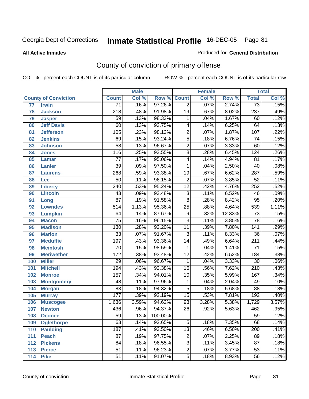#### **All Active Inmates**

#### Produced for **General Distribution**

# County of conviction of primary offense

|                 |                             |                  | <b>Male</b> |         |                 | <b>Female</b> |        |                  | <b>Total</b> |
|-----------------|-----------------------------|------------------|-------------|---------|-----------------|---------------|--------|------------------|--------------|
|                 | <b>County of Conviction</b> | <b>Count</b>     | Col %       | Row %   | <b>Count</b>    | Col %         | Row %  | <b>Total</b>     | Col %        |
| $\overline{77}$ | <b>Irwin</b>                | $\overline{71}$  | .16%        | 97.26%  | $\overline{2}$  | .07%          | 2.74%  | $\overline{73}$  | .15%         |
| 78              | <b>Jackson</b>              | $\overline{218}$ | .48%        | 91.98%  | $\overline{19}$ | .67%          | 8.02%  | 237              | .49%         |
| 79              | <b>Jasper</b>               | 59               | .13%        | 98.33%  | 1               | .04%          | 1.67%  | 60               | .12%         |
| 80              | <b>Jeff Davis</b>           | 60               | .13%        | 93.75%  | 4               | .14%          | 6.25%  | 64               | .13%         |
| 81              | <b>Jefferson</b>            | 105              | .23%        | 98.13%  | $\overline{2}$  | .07%          | 1.87%  | 107              | .22%         |
| 82              | <b>Jenkins</b>              | 69               | .15%        | 93.24%  | $\overline{5}$  | .18%          | 6.76%  | $\overline{74}$  | .15%         |
| 83              | <b>Johnson</b>              | $\overline{58}$  | .13%        | 96.67%  | $\overline{2}$  | .07%          | 3.33%  | 60               | .12%         |
| 84              | <b>Jones</b>                | 116              | .25%        | 93.55%  | $\overline{8}$  | .28%          | 6.45%  | 124              | .26%         |
| 85              | <b>Lamar</b>                | $\overline{77}$  | .17%        | 95.06%  | 4               | .14%          | 4.94%  | $\overline{81}$  | .17%         |
| 86              | <b>Lanier</b>               | $\overline{39}$  | .09%        | 97.50%  | 1               | .04%          | 2.50%  | 40               | .08%         |
| 87              | <b>Laurens</b>              | 268              | .59%        | 93.38%  | $\overline{19}$ | .67%          | 6.62%  | 287              | .59%         |
| 88              | Lee                         | $\overline{50}$  | .11%        | 96.15%  | $\overline{2}$  | .07%          | 3.85%  | $\overline{52}$  | .11%         |
| 89              | <b>Liberty</b>              | $\overline{240}$ | .53%        | 95.24%  | $\overline{12}$ | .42%          | 4.76%  | 252              | .52%         |
| 90              | <b>Lincoln</b>              | 43               | .09%        | 93.48%  | $\overline{3}$  | .11%          | 6.52%  | 46               | .09%         |
| 91              | Long                        | $\overline{87}$  | .19%        | 91.58%  | $\overline{8}$  | .28%          | 8.42%  | $\overline{95}$  | .20%         |
| 92              | <b>Lowndes</b>              | 514              | 1.13%       | 95.36%  | $\overline{25}$ | .88%          | 4.64%  | 539              | 1.11%        |
| 93              | <b>Lumpkin</b>              | 64               | .14%        | 87.67%  | $\overline{9}$  | .32%          | 12.33% | $\overline{73}$  | .15%         |
| 94              | <b>Macon</b>                | $\overline{75}$  | .16%        | 96.15%  | $\overline{3}$  | .11%          | 3.85%  | $\overline{78}$  | .16%         |
| 95              | <b>Madison</b>              | 130              | .28%        | 92.20%  | 11              | .39%          | 7.80%  | $\overline{141}$ | .29%         |
| 96              | <b>Marion</b>               | $\overline{33}$  | .07%        | 91.67%  | $\overline{3}$  | .11%          | 8.33%  | $\overline{36}$  | .07%         |
| 97              | <b>Mcduffie</b>             | 197              | .43%        | 93.36%  | $\overline{14}$ | .49%          | 6.64%  | $\overline{211}$ | .44%         |
| 98              | <b>Mcintosh</b>             | 70               | .15%        | 98.59%  | $\mathbf 1$     | .04%          | 1.41%  | $\overline{71}$  | .15%         |
| 99              | <b>Meriwether</b>           | 172              | .38%        | 93.48%  | $\overline{12}$ | .42%          | 6.52%  | 184              | .38%         |
| 100             | <b>Miller</b>               | $\overline{29}$  | .06%        | 96.67%  | $\mathbf{1}$    | .04%          | 3.33%  | $\overline{30}$  | .06%         |
| 101             | <b>Mitchell</b>             | 194              | .43%        | 92.38%  | 16              | .56%          | 7.62%  | $\overline{210}$ | .43%         |
| 102             | <b>Monroe</b>               | 157              | .34%        | 94.01%  | 10              | .35%          | 5.99%  | 167              | .34%         |
| 103             | <b>Montgomery</b>           | 48               | .11%        | 97.96%  | 1               | .04%          | 2.04%  | 49               | .10%         |
| 104             | <b>Morgan</b>               | 83               | .18%        | 94.32%  | $\overline{5}$  | .18%          | 5.68%  | $\overline{88}$  | .18%         |
| 105             | <b>Murray</b>               | 177              | .39%        | 92.19%  | $\overline{15}$ | .53%          | 7.81%  | 192              | .40%         |
| 106             | <b>Muscogee</b>             | 1,636            | 3.59%       | 94.62%  | 93              | 3.28%         | 5.38%  | 1,729            | 3.57%        |
| 107             | <b>Newton</b>               | 436              | .96%        | 94.37%  | $\overline{26}$ | .92%          | 5.63%  | 462              | .95%         |
| 108             | <b>Oconee</b>               | 59               | .13%        | 100.00% |                 |               |        | 59               | .12%         |
| 109             | <b>Oglethorpe</b>           | 63               | .14%        | 92.65%  | $\overline{5}$  | .18%          | 7.35%  | 68               | .14%         |
| 110             | <b>Paulding</b>             | 187              | .41%        | 93.50%  | $\overline{13}$ | .46%          | 6.50%  | $\overline{200}$ | .41%         |
| 111             | <b>Peach</b>                | $\overline{87}$  | .19%        | 97.75%  | $\overline{2}$  | .07%          | 2.25%  | 89               | .18%         |
| 112             | <b>Pickens</b>              | 84               | .18%        | 96.55%  | $\overline{3}$  | .11%          | 3.45%  | 87               | .18%         |
| 113             | <b>Pierce</b>               | $\overline{51}$  | .11%        | 96.23%  | 2               | .07%          | 3.77%  | $\overline{53}$  | .11%         |
| 114             | <b>Pike</b>                 | 51               | .11%        | 91.07%  | $\overline{5}$  | .18%          | 8.93%  | $\overline{56}$  | .12%         |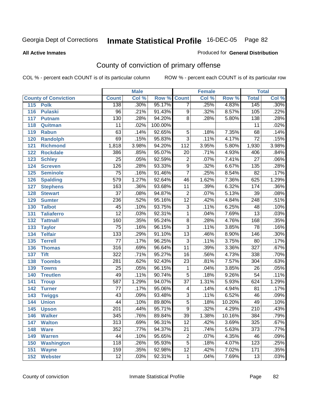#### **All Active Inmates**

#### Produced for **General Distribution**

# County of conviction of primary offense

|                             |                  | <b>Male</b> |         | <b>Female</b>           |       |        | <b>Total</b>     |         |
|-----------------------------|------------------|-------------|---------|-------------------------|-------|--------|------------------|---------|
| <b>County of Conviction</b> | <b>Count</b>     | Col %       | Row %   | <b>Count</b>            | Col % | Row %  | <b>Total</b>     | Col %   |
| 115<br><b>Polk</b>          | 138              | .30%        | 95.17%  | $\overline{7}$          | .25%  | 4.83%  | 145              | $.30\%$ |
| 116<br><b>Pulaski</b>       | $\overline{96}$  | .21%        | 91.43%  | $\overline{9}$          | .32%  | 8.57%  | 105              | .22%    |
| 117<br><b>Putnam</b>        | 130              | .28%        | 94.20%  | $\overline{8}$          | .28%  | 5.80%  | 138              | .28%    |
| Quitman<br>118              | 11               | .02%        | 100.00% |                         |       |        | 11               | .02%    |
| 119<br><b>Rabun</b>         | 63               | .14%        | 92.65%  | $\overline{5}$          | .18%  | 7.35%  | 68               | .14%    |
| 120<br><b>Randolph</b>      | 69               | .15%        | 95.83%  | $\overline{3}$          | .11%  | 4.17%  | $\overline{72}$  | .15%    |
| <b>Richmond</b><br>121      | 1,818            | 3.98%       | 94.20%  | 112                     | 3.95% | 5.80%  | 1,930            | 3.98%   |
| 122<br><b>Rockdale</b>      | 386              | .85%        | 95.07%  | 20                      | .71%  | 4.93%  | 406              | .84%    |
| 123<br><b>Schley</b>        | $\overline{25}$  | .05%        | 92.59%  | $\overline{2}$          | .07%  | 7.41%  | $\overline{27}$  | .06%    |
| 124<br><b>Screven</b>       | 126              | .28%        | 93.33%  | $\overline{9}$          | .32%  | 6.67%  | 135              | .28%    |
| <b>Seminole</b><br>125      | $\overline{75}$  | .16%        | 91.46%  | $\overline{7}$          | .25%  | 8.54%  | $\overline{82}$  | .17%    |
| 126<br><b>Spalding</b>      | $\overline{579}$ | 1.27%       | 92.64%  | 46                      | 1.62% | 7.36%  | 625              | 1.29%   |
| 127<br><b>Stephens</b>      | 163              | .36%        | 93.68%  | 11                      | .39%  | 6.32%  | 174              | .36%    |
| 128<br><b>Stewart</b>       | $\overline{37}$  | .08%        | 94.87%  | $\overline{2}$          | .07%  | 5.13%  | $\overline{39}$  | .08%    |
| 129<br><b>Sumter</b>        | 236              | .52%        | 95.16%  | $\overline{12}$         | .42%  | 4.84%  | $\overline{248}$ | .51%    |
| <b>Talbot</b><br>130        | 45               | .10%        | 93.75%  | $\overline{3}$          | .11%  | 6.25%  | 48               | .10%    |
| 131<br><b>Taliaferro</b>    | $\overline{12}$  | .03%        | 92.31%  | $\mathbf{1}$            | .04%  | 7.69%  | $\overline{13}$  | .03%    |
| 132<br><b>Tattnall</b>      | 160              | .35%        | 95.24%  | $\overline{8}$          | .28%  | 4.76%  | 168              | .35%    |
| 133<br><b>Taylor</b>        | $\overline{75}$  | .16%        | 96.15%  | $\overline{3}$          | .11%  | 3.85%  | 78               | .16%    |
| <b>Telfair</b><br>134       | $\overline{133}$ | .29%        | 91.10%  | $\overline{13}$         | .46%  | 8.90%  | 146              | .30%    |
| 135<br><b>Terrell</b>       | $\overline{77}$  | .17%        | 96.25%  | $\overline{3}$          | .11%  | 3.75%  | $\overline{80}$  | .17%    |
| 136<br><b>Thomas</b>        | 316              | .69%        | 96.64%  | $\overline{11}$         | .39%  | 3.36%  | $\overline{327}$ | .67%    |
| <b>Tift</b><br>137          | $\overline{322}$ | .71%        | 95.27%  | 16                      | .56%  | 4.73%  | 338              | .70%    |
| <b>Toombs</b><br>138        | 281              | .62%        | 92.43%  | 23                      | .81%  | 7.57%  | 304              | .63%    |
| 139<br><b>Towns</b>         | $\overline{25}$  | .05%        | 96.15%  | 1                       | .04%  | 3.85%  | $\overline{26}$  | .05%    |
| <b>Treutlen</b><br>140      | 49               | .11%        | 90.74%  | $\overline{5}$          | .18%  | 9.26%  | $\overline{54}$  | .11%    |
| 141<br><b>Troup</b>         | 587              | 1.29%       | 94.07%  | $\overline{37}$         | 1.31% | 5.93%  | 624              | 1.29%   |
| 142<br><b>Turner</b>        | 77               | .17%        | 95.06%  | $\overline{\mathbf{4}}$ | .14%  | 4.94%  | 81               | .17%    |
| 143<br><b>Twiggs</b>        | 43               | .09%        | 93.48%  | $\overline{3}$          | .11%  | 6.52%  | 46               | .09%    |
| 144<br><b>Union</b>         | 44               | .10%        | 89.80%  | $\overline{5}$          | .18%  | 10.20% | 49               | .10%    |
| 145<br><b>Upson</b>         | 201              | .44%        | 95.71%  | 9                       | .32%  | 4.29%  | $\overline{210}$ | .43%    |
| 146<br><b>Walker</b>        | 345              | .76%        | 89.84%  | 39                      | 1.38% | 10.16% | 384              | .79%    |
| 147<br><b>Walton</b>        | $\overline{313}$ | .69%        | 96.31%  | $\overline{12}$         | .42%  | 3.69%  | 325              | .67%    |
| 148<br><b>Ware</b>          | 352              | .77%        | 94.37%  | $\overline{21}$         | .74%  | 5.63%  | $\overline{373}$ | .77%    |
| <b>Warren</b><br>149        | 44               | .10%        | 95.65%  | $\mathbf 2$             | .07%  | 4.35%  | 46               | .09%    |
| <b>Washington</b><br>150    | 118              | .26%        | 95.93%  | 5                       | .18%  | 4.07%  | 123              | .25%    |
| 151<br><b>Wayne</b>         | 159              | .35%        | 92.98%  | $\overline{12}$         | .42%  | 7.02%  | 171              | .35%    |
| <b>Webster</b><br>152       | $\overline{12}$  | .03%        | 92.31%  | $\mathbf{1}$            | .04%  | 7.69%  | $\overline{13}$  | .03%    |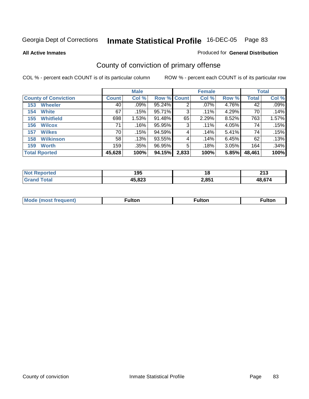**All Active Inmates**

#### Produced for **General Distribution**

# County of conviction of primary offense

|                             |              | <b>Male</b> |                    |       | <b>Female</b> |       |        | <b>Total</b> |
|-----------------------------|--------------|-------------|--------------------|-------|---------------|-------|--------|--------------|
| <b>County of Conviction</b> | <b>Count</b> | Col %       | <b>Row % Count</b> |       | Col %         | Row % | Total  | Col %        |
| <b>Wheeler</b><br>153       | 40           | $.09\%$     | 95.24%             | 2     | $.07\%$       | 4.76% | 42     | .09%         |
| <b>White</b><br>154         | 67           | .15%        | 95.71%             | 3     | .11%          | 4.29% | 70     | .14%         |
| <b>Whitfield</b><br>155     | 698          | 1.53%       | 91.48%             | 65    | 2.29%         | 8.52% | 763    | 1.57%        |
| <b>Wilcox</b><br>156        | 71           | $.16\%$     | 95.95%             | 3     | .11%          | 4.05% | 74     | .15%         |
| <b>Wilkes</b><br>157        | 70           | .15%        | 94.59%             | 4     | .14%          | 5.41% | 74     | .15%         |
| <b>Wilkinson</b><br>158     | 58           | .13%        | 93.55%             | 4     | .14%          | 6.45% | 62     | .13%         |
| <b>Worth</b><br>159         | 159          | .35%        | 96.95%             | 5     | .18%          | 3.05% | 164    | .34%         |
| <b>Total Rported</b>        | 45,628       | 100%        | 94.15%             | 2,833 | 100%          | 5.85% | 48,461 | 100%         |

| N | 195             | I C   | $\mathbf{a}$         |
|---|-----------------|-------|----------------------|
|   | $ -$            | 10    | 2 I J                |
|   | 15 872<br>د ے ہ | 2,851 | $\sim$ $\sim$ $\sim$ |

| <b>Mode (most frequent)</b> | <sup>≂</sup> ulton | ™ulton | <sup>∓</sup> ulton |
|-----------------------------|--------------------|--------|--------------------|
|                             |                    |        |                    |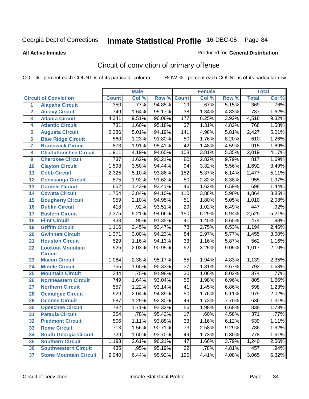**All Active Inmates**

#### Produced for **General Distribution**

# Circuit of conviction of primary offense

|                         |                               |                  | <b>Male</b> |        |                  | <b>Female</b> |       |                  | <b>Total</b> |
|-------------------------|-------------------------------|------------------|-------------|--------|------------------|---------------|-------|------------------|--------------|
|                         | <b>Circuit of Conviction</b>  | <b>Count</b>     | Col %       | Row %  | <b>Count</b>     | Col %         | Row % | <b>Total</b>     | Col %        |
| 1                       | <b>Alapaha Circuit</b>        | 350              | .77%        | 94.85% | $\overline{19}$  | .67%          | 5.15% | 369              | .76%         |
| $\overline{2}$          | <b>Alcovy Circuit</b>         | 749              | 1.64%       | 95.17% | $\overline{38}$  | 1.34%         | 4.83% | 787              | 1.62%        |
| $\overline{3}$          | <b>Atlanta Circuit</b>        | 4,341            | 9.51%       | 96.08% | $\overline{177}$ | 6.25%         | 3.92% | 4,518            | 9.32%        |
| 4                       | <b>Atlantic Circuit</b>       | 731              | 1.60%       | 95.18% | 37               | 1.31%         | 4.82% | 768              | 1.58%        |
| 5                       | <b>Augusta Circuit</b>        | 2,286            | 5.01%       | 94.19% | 141              | 4.98%         | 5.81% | 2,427            | 5.01%        |
| $6\overline{6}$         | <b>Blue Ridge Circuit</b>     | 560              | 1.23%       | 91.80% | 50               | 1.76%         | 8.20% | 610              | 1.26%        |
| $\overline{\mathbf{7}}$ | <b>Brunswick Circuit</b>      | 873              | 1.91%       | 95.41% | 42               | 1.48%         | 4.59% | $\overline{915}$ | 1.89%        |
| 8                       | <b>Chattahoochee Circuit</b>  | 1,911            | 4.19%       | 94.65% | 108              | 3.81%         | 5.35% | 2,019            | 4.17%        |
| 9                       | <b>Cherokee Circuit</b>       | $\overline{737}$ | 1.62%       | 90.21% | 80               | 2.82%         | 9.79% | 817              | 1.69%        |
| 10                      | <b>Clayton Circuit</b>        | 1,598            | 3.50%       | 94.44% | 94               | 3.32%         | 5.56% | 1,692            | 3.49%        |
| 11                      | <b>Cobb Circuit</b>           | 2,325            | 5.10%       | 93.86% | 152              | 5.37%         | 6.14% | 2,477            | 5.11%        |
| 12                      | <b>Conasauga Circuit</b>      | 875              | 1.92%       | 91.62% | 80               | 2.82%         | 8.38% | 955              | 1.97%        |
| 13                      | <b>Cordele Circuit</b>        | 652              | 1.43%       | 93.41% | 46               | 1.62%         | 6.59% | 698              | 1.44%        |
| 14                      | <b>Coweta Circuit</b>         | 1,754            | 3.84%       | 94.10% | 110              | 3.88%         | 5.90% | 1,864            | 3.85%        |
| 15                      | <b>Dougherty Circuit</b>      | 959              | 2.10%       | 94.95% | 51               | 1.80%         | 5.05% | 1,010            | 2.08%        |
| 16                      | <b>Dublin Circuit</b>         | 418              | .92%        | 93.51% | 29               | 1.02%         | 6.49% | 447              | .92%         |
| 17                      | <b>Eastern Circuit</b>        | 2,375            | 5.21%       | 94.06% | 150              | 5.29%         | 5.94% | 2,525            | 5.21%        |
| 18                      | <b>Flint Circuit</b>          | 433              | .95%        | 91.35% | 41               | 1.45%         | 8.65% | 474              | .98%         |
| 19                      | <b>Griffin Circuit</b>        | 1,116            | 2.45%       | 93.47% | 78               | 2.75%         | 6.53% | 1,194            | 2.46%        |
| 20                      | <b>Gwinnett Circuit</b>       | 1,371            | 3.00%       | 94.23% | 84               | 2.97%         | 5.77% | 1,455            | 3.00%        |
| 21                      | <b>Houston Circuit</b>        | 529              | 1.16%       | 94.13% | 33               | 1.16%         | 5.87% | 562              | 1.16%        |
| 22                      | <b>Lookout Mountain</b>       | $\overline{925}$ | 2.03%       | 90.95% | $\overline{92}$  | 3.25%         | 9.05% | 1,017            | 2.10%        |
|                         | <b>Circuit</b>                |                  |             |        |                  |               |       |                  |              |
| 23                      | <b>Macon Circuit</b>          | 1,084            | 2.38%       | 95.17% | 55               | 1.94%         | 4.83% | 1,139            | 2.35%        |
| 24                      | <b>Middle Circuit</b>         | 755              | 1.65%       | 95.33% | 37               | 1.31%         | 4.67% | 792              | 1.63%        |
| 25                      | <b>Mountain Circuit</b>       | 344              | .75%        | 91.98% | 30               | 1.06%         | 8.02% | $\overline{374}$ | .77%         |
| 26                      | <b>Northeastern Circuit</b>   | 749              | 1.64%       | 93.04% | 56               | 1.98%         | 6.96% | 805              | 1.66%        |
| 27                      | <b>Northern Circuit</b>       | 557              | 1.22%       | 93.14% | 41               | 1.45%         | 6.86% | 598              | 1.23%        |
| 28                      | <b>Ocmulgee Circuit</b>       | 929              | 2.04%       | 94.89% | 50               | 1.76%         | 5.11% | 979              | 2.02%        |
| 29                      | <b>Oconee Circuit</b>         | 587              | 1.29%       | 92.30% | 49               | 1.73%         | 7.70% | 636              | 1.31%        |
| 30                      | <b>Ogeechee Circuit</b>       | 782              | 1.71%       | 93.32% | 56               | 1.98%         | 6.68% | 838              | 1.73%        |
| 31                      | <b>Pataula Circuit</b>        | $\overline{354}$ | .78%        | 95.42% | $\overline{17}$  | .60%          | 4.58% | $\overline{371}$ | .77%         |
| 32                      | <b>Piedmont Circuit</b>       | 506              | 1.11%       | 93.88% | 33               | 1.16%         | 6.12% | 539              | 1.11%        |
| 33                      | <b>Rome Circuit</b>           | 713              | 1.56%       | 90.71% | 73               | 2.58%         | 9.29% | 786              | 1.62%        |
| 34                      | <b>South Georgia Circuit</b>  | 729              | 1.60%       | 93.70% | 49               | 1.73%         | 6.30% | 778              | 1.61%        |
| 35                      | <b>Southern Circuit</b>       | 1,193            | 2.61%       | 96.21% | 47               | 1.66%         | 3.79% | 1,240            | 2.56%        |
| 36                      | <b>Southwestern Circuit</b>   | 435              | .95%        | 95.19% | 22               | .78%          | 4.81% | 457              | .94%         |
| 37                      | <b>Stone Mountain Circuit</b> | 2,940            | 6.44%       | 95.92% | 125              | 4.41%         | 4.08% | 3,065            | 6.32%        |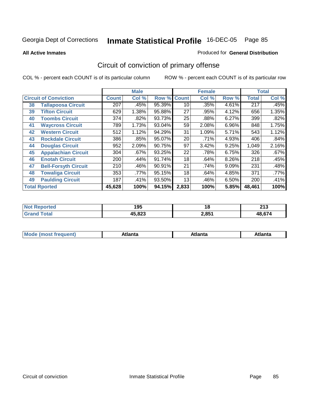**All Active Inmates**

### Produced for **General Distribution**

# Circuit of conviction of primary offense

|    |                              |              | <b>Male</b> |                    |       | <b>Female</b> |       |              | <b>Total</b> |
|----|------------------------------|--------------|-------------|--------------------|-------|---------------|-------|--------------|--------------|
|    | <b>Circuit of Conviction</b> | <b>Count</b> | Col %       | <b>Row % Count</b> |       | Col %         | Row % | <b>Total</b> | Col %        |
| 38 | <b>Tallapoosa Circuit</b>    | 207          | .45%        | 95.39%             | 10    | .35%          | 4.61% | 217          | .45%         |
| 39 | <b>Tifton Circuit</b>        | 629          | 1.38%       | 95.88%             | 27    | .95%          | 4.12% | 656          | 1.35%        |
| 40 | <b>Toombs Circuit</b>        | 374          | .82%        | 93.73%             | 25    | .88%          | 6.27% | 399          | .82%         |
| 41 | <b>Waycross Circuit</b>      | 789          | 1.73%       | 93.04%             | 59    | 2.08%         | 6.96% | 848          | 1.75%        |
| 42 | <b>Western Circuit</b>       | 512          | 1.12%       | 94.29%             | 31    | 1.09%         | 5.71% | 543          | 1.12%        |
| 43 | <b>Rockdale Circuit</b>      | 386          | .85%        | 95.07%             | 20    | .71%          | 4.93% | 406          | .84%         |
| 44 | <b>Douglas Circuit</b>       | 952          | 2.09%       | 90.75%             | 97    | 3.42%         | 9.25% | 1,049        | 2.16%        |
| 45 | <b>Appalachian Circuit</b>   | 304          | $.67\%$     | 93.25%             | 22    | .78%          | 6.75% | 326          | .67%         |
| 46 | <b>Enotah Circuit</b>        | 200          | .44%        | 91.74%             | 18    | .64%          | 8.26% | 218          | .45%         |
| 47 | <b>Bell-Forsyth Circuit</b>  | 210          | .46%        | 90.91%             | 21    | .74%          | 9.09% | 231          | .48%         |
| 48 | <b>Towaliga Circuit</b>      | 353          | .77%        | 95.15%             | 18    | .64%          | 4.85% | 371          | $.77\%$      |
| 49 | <b>Paulding Circuit</b>      | 187          | .41%        | 93.50%             | 13    | .46%          | 6.50% | 200          | .41%         |
|    | <b>Total Rported</b>         | 45,628       | 100%        | 94.15%             | 2,833 | 100%          | 5.85% | 48,461       | 100%         |

| rteo<br>NO<br>⋯ | 195    | 1 Q   | 24c<br>2 I J |
|-----------------|--------|-------|--------------|
|                 | 45,823 | 2,851 | $AB$ $67$    |

| M | ---<br><b><i><u>Property and the second second</u></i></b> | ˈanta | ---<br>Alidiild |
|---|------------------------------------------------------------|-------|-----------------|
|   |                                                            |       |                 |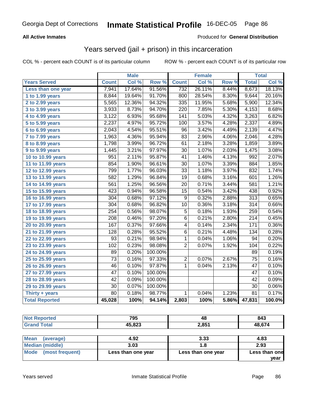### **All Active Inmates**

### Produced for **General Distribution**

## Years served (jail + prison) in this incarceration

|                              |                  | <b>Male</b> |                     |                  | <b>Female</b> |       |                  | <b>Total</b> |
|------------------------------|------------------|-------------|---------------------|------------------|---------------|-------|------------------|--------------|
| <b>Years Served</b>          | <b>Count</b>     | Col %       | Row %               | <b>Count</b>     | Col %         | Row % | <b>Total</b>     | Col %        |
| Less than one year           | 7,941            | 17.64%      | 91.56%              | 732              | 26.11%        | 8.44% | 8,673            | 18.13%       |
| 1 to 1.99 years              | 8,844            | 19.64%      | 91.70%              | 800              | 28.54%        | 8.30% | 9,644            | 20.16%       |
| 2 to 2.99 years              | 5,565            | 12.36%      | 94.32%              | $\frac{1}{335}$  | 11.95%        | 5.68% | 5,900            | 12.34%       |
| 3 to 3.99 years              | 3,933            | 8.73%       | 94.70%              | $\overline{220}$ | 7.85%         | 5.30% | 4,153            | 8.68%        |
| $\overline{4}$ to 4.99 years | 3,122            | 6.93%       | 95.68%              | $\overline{141}$ | 5.03%         | 4.32% | 3,263            | 6.82%        |
| 5 to 5.99 years              | 2,237            | 4.97%       | 95.72%              | 100              | 3.57%         | 4.28% | 2,337            | 4.89%        |
| 6 to 6.99 years              | 2,043            | 4.54%       | 95.51%              | $\overline{96}$  | 3.42%         | 4.49% | 2,139            | 4.47%        |
| 7 to 7.99 years              | 1,963            | 4.36%       | 95.94%              | 83               | 2.96%         | 4.06% | 2,046            | 4.28%        |
| 8 to 8.99 years              | 1,798            | 3.99%       | 96.72%              | 61               | 2.18%         | 3.28% | 1,859            | 3.89%        |
| 9 to 9.99 years              | 1,445            | 3.21%       | 97.97%              | 30               | 1.07%         | 2.03% | 1,475            | 3.08%        |
| 10 to 10.99 years            | 951              | 2.11%       | 95.87%              | $\overline{41}$  | 1.46%         | 4.13% | 992              | 2.07%        |
| 11 to 11.99 years            | 854              | 1.90%       | 96.61%              | $\overline{30}$  | 1.07%         | 3.39% | 884              | 1.85%        |
| 12 to 12.99 years            | 799              | 1.77%       | 96.03%              | 33               | 1.18%         | 3.97% | 832              | 1.74%        |
| 13 to 13.99 years            | 582              | 1.29%       | 96.84%              | $\overline{19}$  | 0.68%         | 3.16% | 601              | 1.26%        |
| 14 to 14.99 years            | 561              | 1.25%       | 96.56%              | $\overline{20}$  | 0.71%         | 3.44% | 581              | 1.21%        |
| 15 to 15.99 years            | 423              | 0.94%       | 96.58%              | $\overline{15}$  | 0.54%         | 3.42% | 438              | 0.92%        |
| 16 to 16.99 years            | 304              | 0.68%       | $\frac{1}{97.12\%}$ | $\overline{9}$   | 0.32%         | 2.88% | $\overline{313}$ | 0.65%        |
| 17 to 17.99 years            | $\overline{304}$ | 0.68%       | 96.82%              | $\overline{10}$  | 0.36%         | 3.18% | $\overline{314}$ | 0.66%        |
| 18 to 18.99 years            | $\overline{254}$ | 0.56%       | 98.07%              | $\overline{5}$   | 0.18%         | 1.93% | 259              | 0.54%        |
| 19 to 19.99 years            | 208              | 0.46%       | 97.20%              | $\overline{6}$   | 0.21%         | 2.80% | $\overline{214}$ | 0.45%        |
| 20 to 20.99 years            | $\overline{167}$ | 0.37%       | 97.66%              | 4                | 0.14%         | 2.34% | $\frac{1}{171}$  | 0.36%        |
| 21 to 21.99 years            | $\overline{128}$ | 0.28%       | 95.52%              | 6                | 0.21%         | 4.48% | 134              | 0.28%        |
| 22 to 22.99 years            | $\overline{93}$  | 0.21%       | 98.94%              | 1                | 0.04%         | 1.06% | $\overline{94}$  | 0.20%        |
| 23 to 23.99 years            | 102              | 0.23%       | 98.08%              | 2                | 0.07%         | 1.92% | 104              | 0.22%        |
| 24 to 24.99 years            | 89               | 0.20%       | 100.00%             |                  |               |       | 89               | 0.19%        |
| 25 to 25.99 years            | $\overline{73}$  | 0.16%       | 97.33%              | $\overline{2}$   | 0.07%         | 2.67% | $\overline{75}$  | 0.16%        |
| 26 to 26.99 years            | 46               | 0.10%       | 97.87%              | 1                | 0.04%         | 2.13% | 47               | 0.10%        |
| 27 to 27.99 years            | $\overline{47}$  | 0.10%       | 100.00%             |                  |               |       | $\overline{47}$  | 0.10%        |
| 28 to 28.99 years            | $\overline{42}$  | 0.09%       | 100.00%             |                  |               |       | $\overline{42}$  | 0.09%        |
| 29 to 29.99 years            | 30               | 0.07%       | 100.00%             |                  |               |       | 30               | 0.06%        |
| Thirty + years               | $\overline{80}$  | 0.18%       | 98.77%              | $\mathbf{1}$     | 0.04%         | 1.23% | $\overline{81}$  | 0.17%        |
| <b>Total Reported</b>        | 45,028           | 100%        | 94.14%              | 2,803            | 100%          | 5.86% | 47,831           | 100.0%       |

| <b>Not Reported</b>    | 795    | 48    | 843    |  |
|------------------------|--------|-------|--------|--|
| <b>Grand Total</b>     | 45,823 | 2,851 | 48,674 |  |
|                        |        |       |        |  |
| Mean<br>(average)      | 4.92   | 3.33  | 4.83   |  |
| <b>Median (middle)</b> | 3.03   | 1.8   | 2.93   |  |

| Median (middle)      | 3.03               |                    | 2.93                  |
|----------------------|--------------------|--------------------|-----------------------|
| Mode (most frequent) | Less than one year | Less than one year | Less than one<br>vear |
|                      |                    |                    |                       |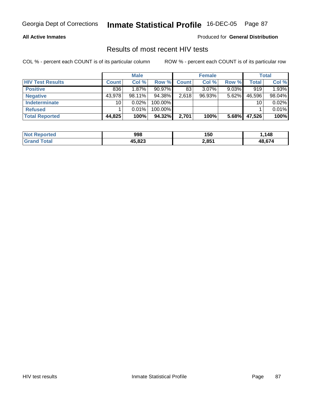### **All Active Inmates**

Produced for **General Distribution**

### Results of most recent HIV tests

|                         |              | <b>Male</b> |            |              | <b>Female</b> |          |        | <b>Total</b> |
|-------------------------|--------------|-------------|------------|--------------|---------------|----------|--------|--------------|
| <b>HIV Test Results</b> | <b>Count</b> | Col %       | Row %      | <b>Count</b> | Col %         | Row %    | Total  | Col %        |
| <b>Positive</b>         | 836          | $1.87\%$    | $90.97\%$  | 83           | $3.07\%$      | $9.03\%$ | 919    | 1.93%        |
| <b>Negative</b>         | 43,978       | $98.11\%$   | 94.38%     | 2,618        | $96.93\%$     | 5.62%    | 46,596 | 98.04%       |
| Indeterminate           | 10           | $0.02\%$    | 100.00%    |              |               |          | 10     | 0.02%        |
| <b>Refused</b>          |              | 0.01%       | $100.00\%$ |              |               |          |        | 0.01%        |
| <b>Total Reported</b>   | 44,825       | 100%        | 94.32%     | 2,701        | 100%          | 5.68%    | 47,526 | 100%         |

| <b>Not</b><br>Reported       | 998    | 150   | .148   |
|------------------------------|--------|-------|--------|
| <b>Total</b><br><b>Grand</b> | 45.823 | 2,851 | 48.674 |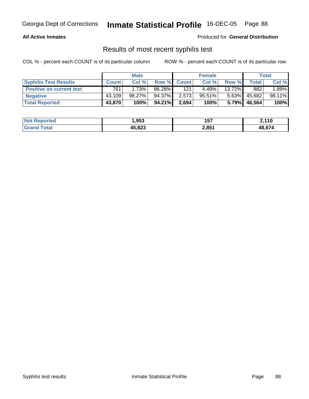### **All Active Inmates**

Produced for **General Distribution**

### Results of most recent syphilis test

|                                 |              | <b>Male</b> |        |             | <b>Female</b> |           |        | Total  |
|---------------------------------|--------------|-------------|--------|-------------|---------------|-----------|--------|--------|
| <b>Syphilis Test Results</b>    | <b>Count</b> | Col %       |        | Row % Count | Col %         | Row %     | Total  | Col %  |
| <b>Positive on current test</b> | 761          | 1.73%       | 86.28% | 121         | 4.49%         | $13.72\%$ | 882    | 1.89%  |
| <b>Negative</b>                 | 43.109       | 98.27%      | 94.37% | 2,573       | 95.51%        | $5.63\%$  | 45,682 | 98.11% |
| <b>Total Reported</b>           | 43,870       | 100%        | 94.21% | 2,694       | 100%          | $5.79\%$  | 46,564 | 100%   |

| <b>Not Reported</b>   | l,953        | 157   | 2,110  |
|-----------------------|--------------|-------|--------|
| <b>Total</b><br>Grand | 45,823<br>45 | 2,851 | 48.674 |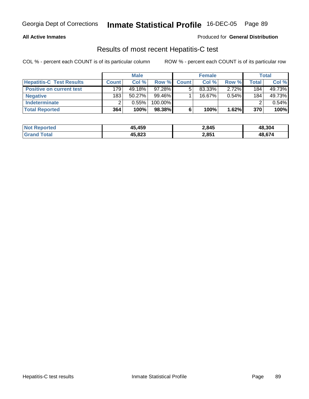### **All Active Inmates**

### Produced for **General Distribution**

### Results of most recent Hepatitis-C test

|                                 |              | <b>Male</b> |            |              | <b>Female</b> |          |         | <b>Total</b> |
|---------------------------------|--------------|-------------|------------|--------------|---------------|----------|---------|--------------|
| <b>Hepatitis-C Test Results</b> | <b>Count</b> | Col %       | Row %      | <b>Count</b> | Col %         | Row %    | Total i | Col %        |
| <b>Positive on current test</b> | 179          | 49.18%      | $97.28\%$  |              | 83.33%        | $2.72\%$ | 184     | 49.73%       |
| <b>Negative</b>                 | 183          | $50.27\%$   | 99.46%     |              | $16.67\%$     | $0.54\%$ | 184     | 49.73%       |
| <b>Indeterminate</b>            |              | 0.55%       | $100.00\%$ |              |               |          |         | 0.54%        |
| <b>Total Reported</b>           | 364          | 100%        | 98.38%     |              | 100%          | 1.62%    | 370     | 100%         |

| <b>Not Reported</b> | 45,459 | 2,845 | 48,304 |
|---------------------|--------|-------|--------|
| <b>Grand Total</b>  | 45,823 | 2,851 | 48,674 |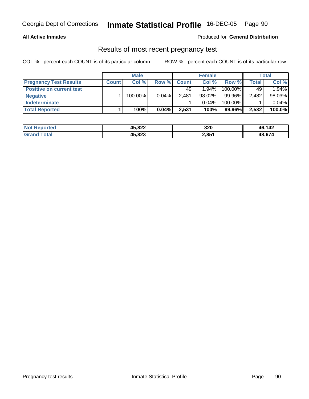### **All Active Inmates**

### Produced for **General Distribution**

# Results of most recent pregnancy test

|                                 |              | <b>Male</b> |          |              | <b>Female</b> |         |       | Total  |
|---------------------------------|--------------|-------------|----------|--------------|---------------|---------|-------|--------|
| <b>Pregnancy Test Results</b>   | <b>Count</b> | Col %       | Row %    | <b>Count</b> | Col %         | Row %   | Total | Col %  |
| <b>Positive on current test</b> |              |             |          | 49           | $1.94\%$      | 100.00% | 49    | 1.94%  |
| <b>Negative</b>                 |              | $100.00\%$  | $0.04\%$ | 2.481        | $98.02\%$     | 99.96%  | 2,482 | 98.03% |
| <b>Indeterminate</b>            |              |             |          |              | $0.04\%$      | 100.00% |       | 0.04%  |
| <b>Total Reported</b>           |              | 100%        | 0.04%    | 2,531        | 100%          | 99.96%  | 2,532 | 100.0% |

| <b>Not Reported</b> | 45,822 | 320   | 46,142 |
|---------------------|--------|-------|--------|
| d Total<br>Grand    | 45,823 | 2,851 | 48,674 |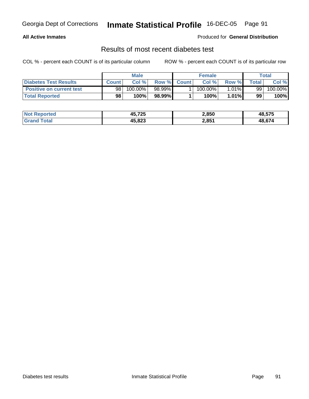### **All Active Inmates**

### Produced for **General Distribution**

### Results of most recent diabetes test

|                                 | Male            |            |         | <b>Female</b> |            |          | Total          |         |
|---------------------------------|-----------------|------------|---------|---------------|------------|----------|----------------|---------|
| Diabetes Test Results           | <b>Count</b>    | Col %      |         | Row % Count   | Col %      | Row %    | <b>Total</b> i | Col %   |
| <b>Positive on current test</b> | 98 <sub>1</sub> | $100.00\%$ | 98.99%I |               | $100.00\%$ | $1.01\%$ | 99             | 100.00% |
| <b>Total Reported</b>           | 98              | 100%       | 98.99%  |               | 100%       | 1.01%    | 99             | 100%    |

| <b>Not Reported</b> | 45,725 | 2,850 | 48,575       |
|---------------------|--------|-------|--------------|
| ⊺ota<br>Grar        | 45,823 | 2,851 | <b>48674</b> |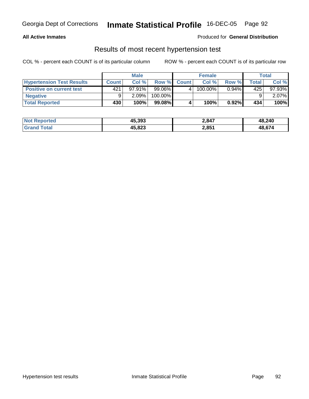### **All Active Inmates**

### Produced for **General Distribution**

### Results of most recent hypertension test

|                                  |       | <b>Male</b> |           |              | <b>Female</b> |          |              | Total     |
|----------------------------------|-------|-------------|-----------|--------------|---------------|----------|--------------|-----------|
| <b>Hypertension Test Results</b> | Count | Col%        | Row %     | <b>Count</b> | Col%          | Row %    | <b>Total</b> | Col %     |
| <b>Positive on current test</b>  | 421   | 97.91%      | $99.06\%$ |              | 100.00%       | $0.94\%$ | 425          | $97.93\%$ |
| <b>Negative</b>                  |       | $2.09\%$    | 100.00%   |              |               |          |              | $2.07\%$  |
| <b>Total Reported</b>            | 430'  | 100%        | 99.08%    |              | 100%          | $0.92\%$ | 434          | 100%      |

| <b>Not Reported</b> | 45,393 | 2,847 | 48,240 |
|---------------------|--------|-------|--------|
| <b>Grand Total</b>  | 45,823 | 2,851 | 48,674 |